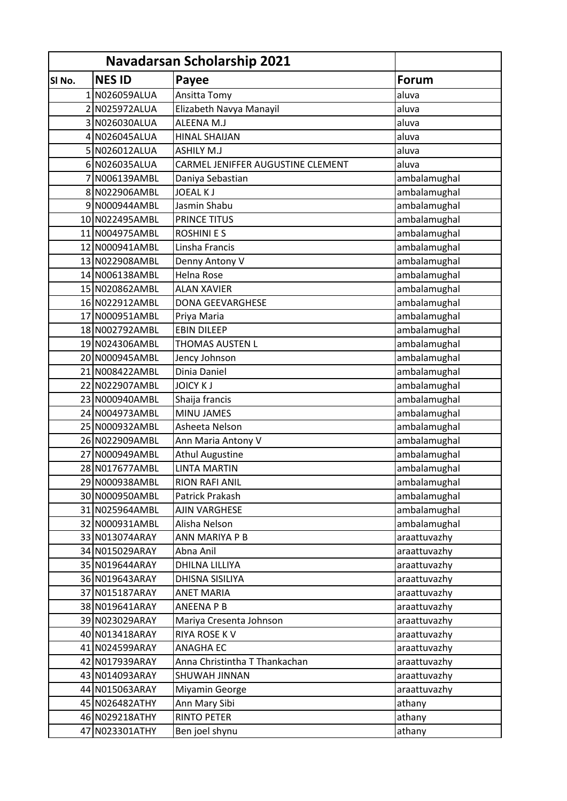| <b>Navadarsan Scholarship 2021</b> |                 |                                   |              |
|------------------------------------|-----------------|-----------------------------------|--------------|
| SI No.                             | <b>NES ID</b>   | Payee                             | <b>Forum</b> |
|                                    | 1 N026059ALUA   | Ansitta Tomy                      | aluva        |
|                                    | 2 N025972ALUA   | Elizabeth Navya Manayil           | aluva        |
|                                    | 3 N026030ALUA   | ALEENA M.J                        | aluva        |
|                                    | 4 N026045ALUA   | <b>HINAL SHAIJAN</b>              | aluva        |
|                                    | 5 N026012ALUA   | <b>ASHILY M.J</b>                 | aluva        |
|                                    | 6 N026035ALUA   | CARMEL JENIFFER AUGUSTINE CLEMENT | aluva        |
|                                    | 7 N006139AMBL   | Daniya Sebastian                  | ambalamughal |
|                                    | 8 N022906AMBL   | <b>JOEAL KJ</b>                   | ambalamughal |
|                                    | 9 N000944AMBL   | Jasmin Shabu                      | ambalamughal |
|                                    | 10 N022495AMBL  | PRINCE TITUS                      | ambalamughal |
|                                    | 11 N004975AMBL  | <b>ROSHINIES</b>                  | ambalamughal |
|                                    | 12 N000941AMBL  | Linsha Francis                    | ambalamughal |
|                                    | 13 N022908 AMBL | Denny Antony V                    | ambalamughal |
|                                    | 14 N006138AMBL  | Helna Rose                        | ambalamughal |
|                                    | 15 N020862AMBL  | <b>ALAN XAVIER</b>                | ambalamughal |
|                                    | 16 N022912AMBL  | <b>DONA GEEVARGHESE</b>           | ambalamughal |
|                                    | 17 N000951AMBL  | Priya Maria                       | ambalamughal |
|                                    | 18 N002792AMBL  | <b>EBIN DILEEP</b>                | ambalamughal |
|                                    | 19 N024306AMBL  | THOMAS AUSTEN L                   | ambalamughal |
|                                    | 20 N000945AMBL  | Jency Johnson                     | ambalamughal |
|                                    | 21 N008422AMBL  | Dinia Daniel                      | ambalamughal |
|                                    | 22 N022907AMBL  | <b>JOICY KJ</b>                   | ambalamughal |
|                                    | 23 N000940AMBL  | Shaija francis                    | ambalamughal |
|                                    | 24 N004973AMBL  | <b>MINU JAMES</b>                 | ambalamughal |
|                                    | 25 N000932AMBL  | Asheeta Nelson                    | ambalamughal |
|                                    | 26 N022909 AMBL | Ann Maria Antony V                | ambalamughal |
|                                    | 27 N000949AMBL  | <b>Athul Augustine</b>            | ambalamughal |
|                                    | 28 N017677AMBL  | <b>LINTA MARTIN</b>               | ambalamughal |
|                                    | 29 N000938AMBL  | <b>RION RAFI ANIL</b>             | ambalamughal |
|                                    | 30 N000950AMBL  | Patrick Prakash                   | ambalamughal |
|                                    | 31 N025964AMBL  | AJIN VARGHESE                     | ambalamughal |
|                                    | 32 N000931AMBL  | Alisha Nelson                     | ambalamughal |
|                                    | 33 N013074ARAY  | ANN MARIYA P B                    | araattuvazhy |
|                                    | 34 N015029ARAY  | Abna Anil                         | araattuvazhy |
|                                    | 35 N019644ARAY  | <b>DHILNA LILLIYA</b>             | araattuvazhy |
|                                    | 36 N019643ARAY  | DHISNA SISILIYA                   | araattuvazhy |
|                                    | 37 N015187ARAY  | <b>ANET MARIA</b>                 | araattuvazhy |
|                                    | 38 N019641ARAY  | <b>ANEENA P B</b>                 | araattuvazhy |
|                                    | 39 N023029ARAY  | Mariya Cresenta Johnson           | araattuvazhy |
|                                    | 40 N013418ARAY  | RIYA ROSE K V                     | araattuvazhy |
|                                    | 41 N024599ARAY  | <b>ANAGHA EC</b>                  | araattuvazhy |
|                                    | 42 N017939ARAY  | Anna Christintha T Thankachan     | araattuvazhy |
|                                    | 43 N014093ARAY  | SHUWAH JINNAN                     | araattuvazhy |
|                                    | 44 N015063ARAY  | Miyamin George                    | araattuvazhy |
|                                    | 45 N026482ATHY  | Ann Mary Sibi                     | athany       |
|                                    | 46 N029218ATHY  | <b>RINTO PETER</b>                | athany       |
|                                    | 47 N023301ATHY  | Ben joel shynu                    | athany       |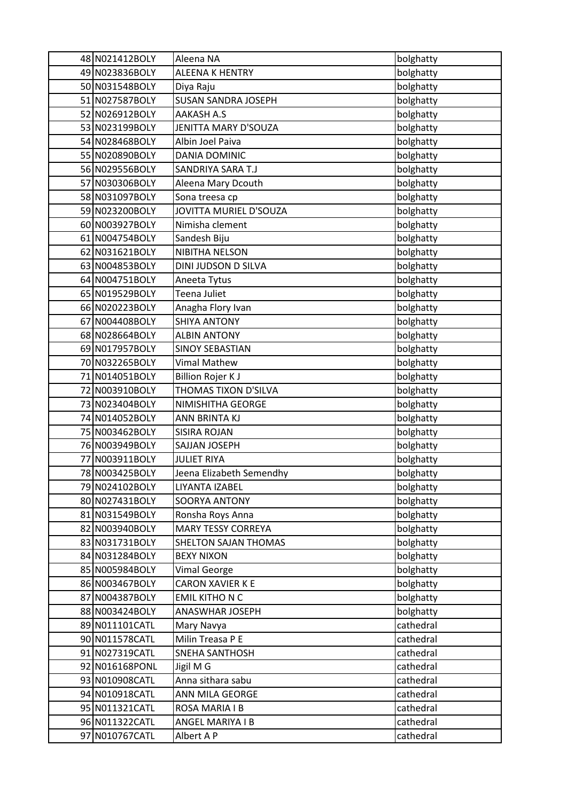| 48 N021412BOLY  | Aleena NA                  | bolghatty |
|-----------------|----------------------------|-----------|
| 49 N023836BOLY  | ALEENA K HENTRY            | bolghatty |
| 50 N031548BOLY  | Diya Raju                  | bolghatty |
| 51 N027587BOLY  | <b>SUSAN SANDRA JOSEPH</b> | bolghatty |
| 52 N026912BOLY  | <b>AAKASH A.S</b>          | bolghatty |
| 53 N023199BOLY  | JENITTA MARY D'SOUZA       | bolghatty |
| 54 N028468BOLY  | Albin Joel Paiva           | bolghatty |
| 55 N020890BOLY  | DANIA DOMINIC              | bolghatty |
| 56 N029556BOLY  | SANDRIYA SARA T.J          | bolghatty |
| 57 N030306BOLY  | Aleena Mary Dcouth         | bolghatty |
| 58 N031097BOLY  | Sona treesa cp             | bolghatty |
| 59 N023200BOLY  | JOVITTA MURIEL D'SOUZA     | bolghatty |
| 60 N003927BOLY  | Nimisha clement            | bolghatty |
| 61 N004754BOLY  | Sandesh Biju               | bolghatty |
| 62 N031621BOLY  | NIBITHA NELSON             | bolghatty |
| 63 N004853BOLY  | DINI JUDSON D SILVA        | bolghatty |
| 64 N004751BOLY  | Aneeta Tytus               | bolghatty |
| 65 N019529BOLY  | Teena Juliet               | bolghatty |
| 66 N020223BOLY  | Anagha Flory Ivan          | bolghatty |
| 67 N004408BOLY  | <b>SHIYA ANTONY</b>        | bolghatty |
| 68 N028664BOLY  | <b>ALBIN ANTONY</b>        | bolghatty |
| 69 N017957BOLY  | <b>SINOY SEBASTIAN</b>     | bolghatty |
| 70 N032265BOLY  | <b>Vimal Mathew</b>        | bolghatty |
| 71 N014051BOLY  | <b>Billion Rojer KJ</b>    | bolghatty |
| 72 N003910BOLY  | THOMAS TIXON D'SILVA       | bolghatty |
| 73 N023404BOLY  | NIMISHITHA GEORGE          | bolghatty |
| 74 N014052BOLY  | ANN BRINTA KJ              | bolghatty |
| 75 N003462BOLY  | <b>SISIRA ROJAN</b>        | bolghatty |
| 76 N003949BOLY  | SAJJAN JOSEPH              | bolghatty |
| 77 N003911BOLY  | <b>JULIET RIYA</b>         | bolghatty |
| 78 N003425 BOLY | Jeena Elizabeth Semendhy   | bolghatty |
| 79 N024102BOLY  | LIYANTA IZABEL             | bolghatty |
| 80 N027431BOLY  | SOORYA ANTONY              | bolghatty |
| 81 N031549BOLY  | Ronsha Roys Anna           | bolghatty |
| 82 N003940BOLY  | MARY TESSY CORREYA         | bolghatty |
| 83 N031731BOLY  | SHELTON SAJAN THOMAS       | bolghatty |
| 84 N031284BOLY  | <b>BEXY NIXON</b>          | bolghatty |
| 85 N005984BOLY  | <b>Vimal George</b>        | bolghatty |
| 86 N003467BOLY  | CARON XAVIER K E           | bolghatty |
| 87 N004387BOLY  | <b>EMIL KITHON C</b>       | bolghatty |
| 88 N003424BOLY  | ANASWHAR JOSEPH            | bolghatty |
| 89 N011101CATL  | Mary Navya                 | cathedral |
| 90 N011578CATL  | Milin Treasa P E           | cathedral |
| 91 N027319CATL  | SNEHA SANTHOSH             | cathedral |
| 92 N016168PONL  | Jigil M G                  | cathedral |
| 93 N010908CATL  | Anna sithara sabu          | cathedral |
| 94 N010918CATL  | ANN MILA GEORGE            | cathedral |
| 95 N011321CATL  | ROSA MARIA I B             | cathedral |
| 96 N011322CATL  | ANGEL MARIYA I B           | cathedral |
| 97 N010767CATL  | Albert A P                 | cathedral |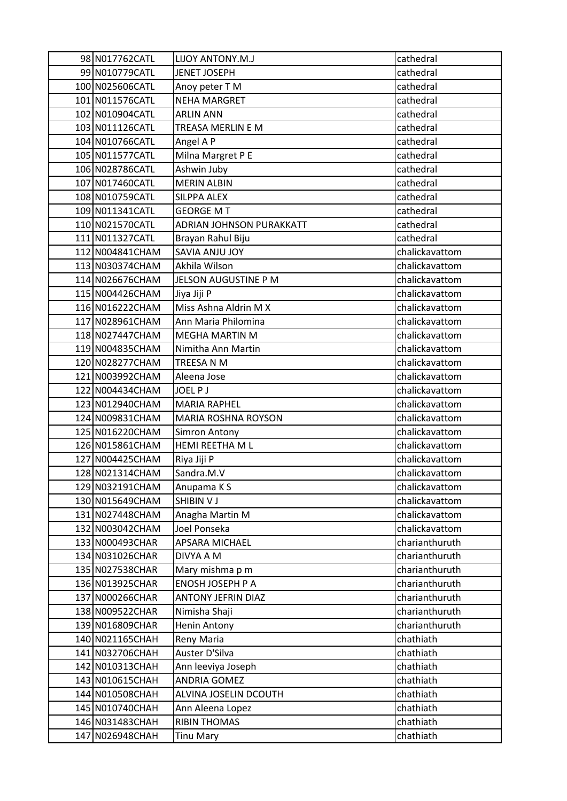| 98 N017762CATL  | LIJOY ANTONY.M.J          | cathedral      |
|-----------------|---------------------------|----------------|
| 99 N010779CATL  | JENET JOSEPH              | cathedral      |
| 100 N025606CATL | Anoy peter T M            | cathedral      |
| 101 N011576CATL | <b>NEHA MARGRET</b>       | cathedral      |
| 102 N010904CATL | <b>ARLIN ANN</b>          | cathedral      |
| 103 N011126CATL | TREASA MERLIN E M         | cathedral      |
| 104 N010766CATL | Angel A P                 | cathedral      |
| 105 N011577CATL | Milna Margret P E         | cathedral      |
| 106 N028786CATL | Ashwin Juby               | cathedral      |
| 107 N017460CATL | <b>MERIN ALBIN</b>        | cathedral      |
| 108 N010759CATL | <b>SILPPA ALEX</b>        | cathedral      |
| 109 N011341CATL | <b>GEORGE MT</b>          | cathedral      |
| 110 N021570CATL | ADRIAN JOHNSON PURAKKATT  | cathedral      |
| 111 N011327CATL | Brayan Rahul Biju         | cathedral      |
| 112 N004841CHAM | <b>SAVIA ANJU JOY</b>     | chalickavattom |
| 113 N030374CHAM | Akhila Wilson             | chalickavattom |
| 114 N026676CHAM | JELSON AUGUSTINE P M      | chalickavattom |
| 115 N004426CHAM | Jiya Jiji P               | chalickavattom |
| 116 N016222CHAM | Miss Ashna Aldrin M X     | chalickavattom |
| 117 N028961CHAM | Ann Maria Philomina       | chalickavattom |
| 118 N027447CHAM | <b>MEGHA MARTIN M</b>     | chalickavattom |
| 119 N004835CHAM | Nimitha Ann Martin        | chalickavattom |
| 120 N028277CHAM | TREESA N M                | chalickavattom |
| 121 N003992CHAM | Aleena Jose               | chalickavattom |
| 122 N004434CHAM | JOEL P J                  | chalickavattom |
| 123 N012940CHAM | <b>MARIA RAPHEL</b>       | chalickavattom |
| 124 N009831CHAM | MARIA ROSHNA ROYSON       | chalickavattom |
| 125 N016220CHAM | <b>Simron Antony</b>      | chalickavattom |
| 126 N015861CHAM | HEMI REETHA M L           | chalickavattom |
| 127 N004425CHAM | Riya Jiji P               | chalickavattom |
| 128 N021314CHAM | Sandra.M.V                | chalickavattom |
| 129 N032191CHAM | Anupama KS                | chalickavattom |
| 130 N015649CHAM | SHIBIN V J                | chalickavattom |
| 131 N027448CHAM | Anagha Martin M           | chalickavattom |
| 132 N003042CHAM | Joel Ponseka              | chalickavattom |
| 133 N000493CHAR | APSARA MICHAEL            | charianthuruth |
| 134 N031026CHAR | DIVYA A M                 | charianthuruth |
| 135 N027538CHAR | Mary mishma p m           | charianthuruth |
| 136 N013925CHAR | ENOSH JOSEPH P A          | charianthuruth |
| 137 N000266CHAR | <b>ANTONY JEFRIN DIAZ</b> | charianthuruth |
| 138 N009522CHAR | Nimisha Shaji             | charianthuruth |
| 139 N016809CHAR | <b>Henin Antony</b>       | charianthuruth |
| 140 N021165CHAH | Reny Maria                | chathiath      |
| 141 N032706CHAH | Auster D'Silva            | chathiath      |
| 142 N010313CHAH | Ann leeviya Joseph        | chathiath      |
| 143 N010615CHAH | <b>ANDRIA GOMEZ</b>       | chathiath      |
| 144 N010508CHAH | ALVINA JOSELIN DCOUTH     | chathiath      |
| 145 N010740CHAH | Ann Aleena Lopez          | chathiath      |
| 146 N031483CHAH | <b>RIBIN THOMAS</b>       | chathiath      |
| 147 N026948CHAH | <b>Tinu Mary</b>          | chathiath      |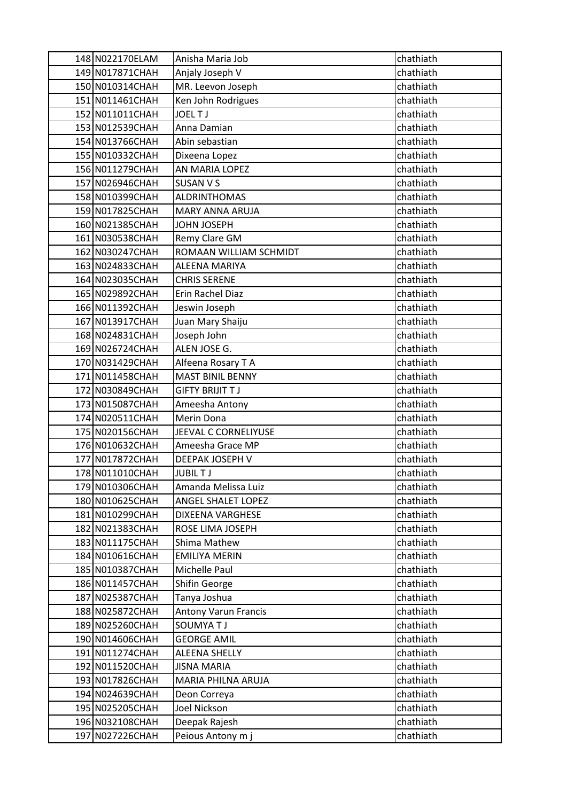| 148 N022170ELAM                    | Anisha Maria Job              | chathiath              |
|------------------------------------|-------------------------------|------------------------|
| 149 N017871CHAH                    | Anjaly Joseph V               | chathiath              |
| 150 N010314CHAH                    | MR. Leevon Joseph             | chathiath              |
| 151 N011461CHAH                    | Ken John Rodrigues            | chathiath              |
| 152 N011011CHAH                    | <b>JOELTJ</b>                 | chathiath              |
| 153 N012539CHAH                    | Anna Damian                   | chathiath              |
| 154 N013766CHAH                    | Abin sebastian                | chathiath              |
| 155 N010332CHAH                    | Dixeena Lopez                 | chathiath              |
| 156 N011279CHAH                    | AN MARIA LOPEZ                | chathiath              |
| 157 N026946CHAH                    | SUSAN V S                     | chathiath              |
| 158 N010399CHAH                    | <b>ALDRINTHOMAS</b>           | chathiath              |
| 159 N017825CHAH                    | <b>MARY ANNA ARUJA</b>        | chathiath              |
| 160 N021385CHAH                    | JOHN JOSEPH                   | chathiath              |
| 161 N030538CHAH                    | Remy Clare GM                 | chathiath              |
| 162 N030247CHAH                    | ROMAAN WILLIAM SCHMIDT        | chathiath              |
| 163 N024833CHAH                    | <b>ALEENA MARIYA</b>          | chathiath              |
| 164 N023035CHAH                    | <b>CHRIS SERENE</b>           | chathiath              |
| 165 N029892CHAH                    | Erin Rachel Diaz              | chathiath              |
| 166 N011392CHAH                    | Jeswin Joseph                 | chathiath              |
| 167 N013917CHAH                    | Juan Mary Shaiju              | chathiath              |
| 168 N024831CHAH                    | Joseph John                   | chathiath              |
| 169 N026724CHAH                    | ALEN JOSE G.                  | chathiath              |
| 170 N031429CHAH                    | Alfeena Rosary T A            | chathiath              |
| 171 N011458CHAH                    | <b>MAST BINIL BENNY</b>       | chathiath              |
| 172 N030849CHAH                    | <b>GIFTY BRIJIT T J</b>       | chathiath              |
| 173 N015087CHAH                    | Ameesha Antony                | chathiath              |
| 174 N020511CHAH                    | Merin Dona                    | chathiath              |
| 175 N020156CHAH                    | JEEVAL C CORNELIYUSE          | chathiath              |
| 176 N010632CHAH                    | Ameesha Grace MP              | chathiath              |
| 177 N017872CHAH                    | DEEPAK JOSEPH V               | chathiath              |
| 178 N011010CHAH                    | <b>JUBILTJ</b>                | chathiath              |
| 179 N010306CHAH                    | Amanda Melissa Luiz           | chathiath              |
| 180 N010625CHAH                    | ANGEL SHALET LOPEZ            | chathiath              |
| 181 N010299CHAH                    | DIXEENA VARGHESE              | chathiath              |
| 182 N021383CHAH                    | ROSE LIMA JOSEPH              | chathiath              |
| 183 N011175CHAH                    | Shima Mathew                  | chathiath              |
| 184 N010616CHAH<br>185 N010387CHAH | <b>EMILIYA MERIN</b>          | chathiath              |
|                                    | Michelle Paul                 | chathiath              |
| 186 N011457CHAH<br>187 N025387CHAH | Shifin George<br>Tanya Joshua | chathiath<br>chathiath |
| 188 N025872CHAH                    | <b>Antony Varun Francis</b>   | chathiath              |
| 189 N025260CHAH                    | <b>SOUMYATJ</b>               | chathiath              |
| 190 N014606CHAH                    | <b>GEORGE AMIL</b>            | chathiath              |
| 191 N011274CHAH                    | <b>ALEENA SHELLY</b>          | chathiath              |
| 192 N011520CHAH                    | <b>JISNA MARIA</b>            | chathiath              |
| 193 N017826CHAH                    | MARIA PHILNA ARUJA            | chathiath              |
| 194 N024639CHAH                    | Deon Correya                  | chathiath              |
| 195 N025205CHAH                    | Joel Nickson                  | chathiath              |
| 196 N032108CHAH                    | Deepak Rajesh                 | chathiath              |
| 197 N027226CHAH                    | Peious Antony m j             | chathiath              |
|                                    |                               |                        |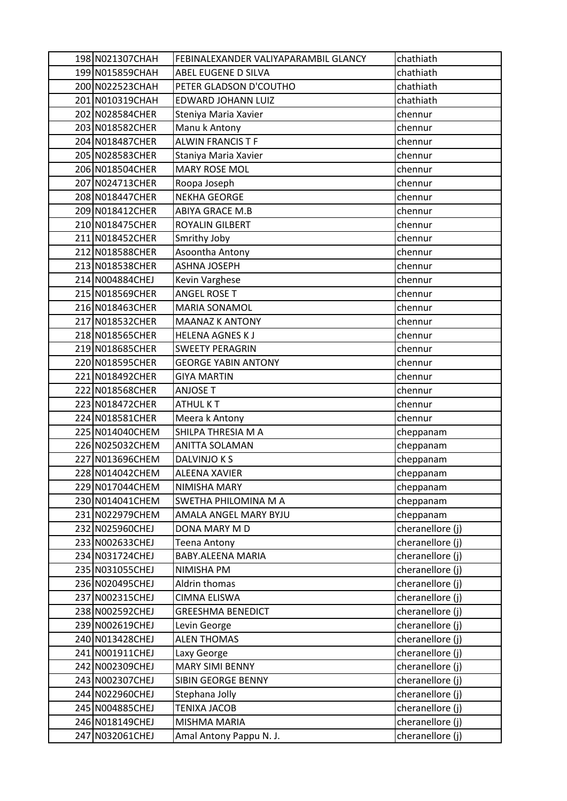| 198 N021307CHAH | FEBINALEXANDER VALIYAPARAMBIL GLANCY | chathiath        |
|-----------------|--------------------------------------|------------------|
| 199 N015859CHAH | ABEL EUGENE D SILVA                  | chathiath        |
| 200 N022523CHAH | PETER GLADSON D'COUTHO               | chathiath        |
| 201 N010319CHAH | EDWARD JOHANN LUIZ                   | chathiath        |
| 202 N028584CHER | Steniya Maria Xavier                 | chennur          |
| 203 N018582CHER | Manu k Antony                        | chennur          |
| 204 N018487CHER | <b>ALWIN FRANCIS T F</b>             | chennur          |
| 205 N028583CHER | Staniya Maria Xavier                 | chennur          |
| 206 N018504CHER | <b>MARY ROSE MOL</b>                 | chennur          |
| 207 N024713CHER | Roopa Joseph                         | chennur          |
| 208 N018447CHER | <b>NEKHA GEORGE</b>                  | chennur          |
| 209 N018412CHER | ABIYA GRACE M.B                      | chennur          |
| 210 N018475CHER | ROYALIN GILBERT                      | chennur          |
| 211 N018452CHER | Smrithy Joby                         | chennur          |
| 212 N018588CHER | Asoontha Antony                      | chennur          |
| 213 N018538CHER | <b>ASHNA JOSEPH</b>                  | chennur          |
| 214 N004884CHEJ | Kevin Varghese                       | chennur          |
| 215 N018569CHER | <b>ANGEL ROSE T</b>                  | chennur          |
| 216 N018463CHER | <b>MARIA SONAMOL</b>                 | chennur          |
| 217 N018532CHER | <b>MAANAZ K ANTONY</b>               | chennur          |
| 218 N018565CHER | <b>HELENA AGNES KJ</b>               | chennur          |
| 219 N018685CHER | <b>SWEETY PERAGRIN</b>               | chennur          |
| 220 N018595CHER | <b>GEORGE YABIN ANTONY</b>           | chennur          |
| 221 N018492CHER | <b>GIYA MARTIN</b>                   | chennur          |
| 222 N018568CHER | <b>ANJOSE T</b>                      | chennur          |
| 223 N018472CHER | <b>ATHUL KT</b>                      | chennur          |
| 224 N018581CHER | Meera k Antony                       | chennur          |
| 225 N014040CHEM | SHILPA THRESIA M A                   | cheppanam        |
| 226 N025032CHEM | <b>ANITTA SOLAMAN</b>                | cheppanam        |
| 227 N013696CHEM | DALVINJO K S                         | cheppanam        |
| 228 N014042CHEM | <b>ALEENA XAVIER</b>                 | cheppanam        |
| 229 N017044CHEM | NIMISHA MARY                         | cheppanam        |
| 230 N014041CHEM | SWETHA PHILOMINA M A                 | cheppanam        |
| 231 N022979CHEM | AMALA ANGEL MARY BYJU                | cheppanam        |
| 232 N025960CHEJ | DONA MARY M D                        | cheranellore (j) |
| 233 N002633CHEJ | <b>Teena Antony</b>                  | cheranellore (j) |
| 234 N031724CHEJ | BABY.ALEENA MARIA                    | cheranellore (j) |
| 235 N031055CHEJ | NIMISHA PM                           | cheranellore (j) |
| 236 N020495CHEJ | Aldrin thomas                        | cheranellore (j) |
| 237 N002315CHEJ | <b>CIMNA ELISWA</b>                  | cheranellore (j) |
| 238 N002592CHEJ | <b>GREESHMA BENEDICT</b>             | cheranellore (j) |
| 239 N002619CHEJ | Levin George                         | cheranellore (j) |
| 240 N013428CHEJ | <b>ALEN THOMAS</b>                   | cheranellore (j) |
| 241 N001911CHEJ | Laxy George                          | cheranellore (j) |
| 242 N002309CHEJ | <b>MARY SIMI BENNY</b>               | cheranellore (j) |
| 243 N002307CHEJ | SIBIN GEORGE BENNY                   | cheranellore (j) |
| 244 N022960CHEJ | Stephana Jolly                       | cheranellore (j) |
| 245 N004885CHEJ | <b>TENIXA JACOB</b>                  | cheranellore (j) |
| 246 N018149CHEJ | MISHMA MARIA                         | cheranellore (j) |
| 247 N032061CHEJ | Amal Antony Pappu N. J.              | cheranellore (j) |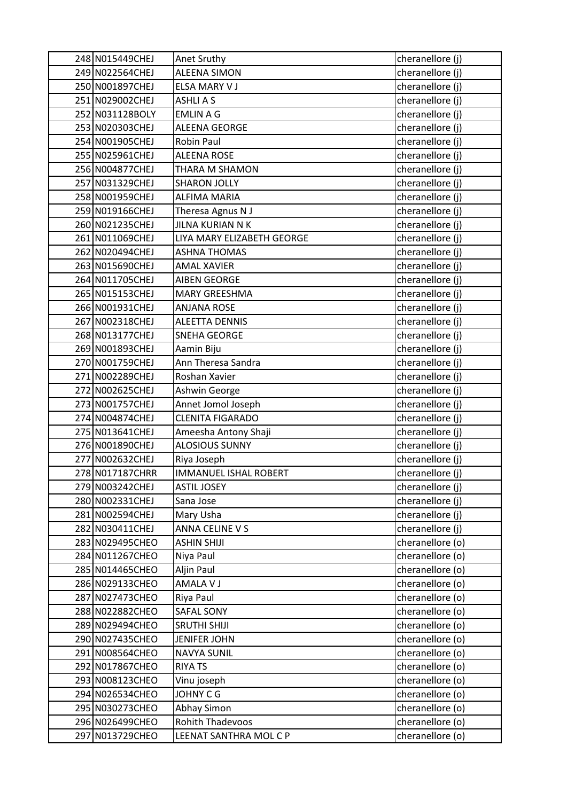| 248 N015449CHEJ | Anet Sruthy                  | cheranellore (j) |
|-----------------|------------------------------|------------------|
| 249 N022564CHEJ | <b>ALEENA SIMON</b>          | cheranellore (j) |
| 250 N001897CHEJ | ELSA MARY V J                | cheranellore (j) |
| 251 N029002CHEJ | <b>ASHLIAS</b>               | cheranellore (j) |
| 252 N031128BOLY | <b>EMLIN A G</b>             | cheranellore (j) |
| 253 N020303CHEJ | ALEENA GEORGE                | cheranellore (j) |
| 254 N001905CHEJ | Robin Paul                   | cheranellore (j) |
| 255 N025961CHEJ | <b>ALEENA ROSE</b>           | cheranellore (j) |
| 256 N004877CHEJ | THARA M SHAMON               | cheranellore (j) |
| 257 N031329CHEJ | <b>SHARON JOLLY</b>          | cheranellore (j) |
| 258 N001959CHEJ | <b>ALFIMA MARIA</b>          | cheranellore (j) |
| 259 N019166CHEJ | Theresa Agnus N J            | cheranellore (j) |
| 260 N021235CHEJ | JILNA KURIAN N K             | cheranellore (j) |
| 261 N011069CHEJ | LIYA MARY ELIZABETH GEORGE   | cheranellore (j) |
| 262 N020494CHEJ | <b>ASHNA THOMAS</b>          | cheranellore (j) |
| 263 N015690CHEJ | <b>AMAL XAVIER</b>           | cheranellore (j) |
| 264 N011705CHEJ | <b>AIBEN GEORGE</b>          | cheranellore (j) |
| 265 N015153CHEJ | <b>MARY GREESHMA</b>         | cheranellore (j) |
| 266 N001931CHEJ | <b>ANJANA ROSE</b>           | cheranellore (j) |
| 267 N002318CHEJ | <b>ALEETTA DENNIS</b>        | cheranellore (j) |
| 268 N013177CHEJ | SNEHA GEORGE                 | cheranellore (j) |
| 269 N001893CHEJ | Aamin Biju                   | cheranellore (j) |
| 270 N001759CHEJ | Ann Theresa Sandra           | cheranellore (j) |
| 271 N002289CHEJ | Roshan Xavier                | cheranellore (j) |
| 272 N002625CHEJ | Ashwin George                | cheranellore (j) |
| 273 N001757CHEJ | Annet Jomol Joseph           | cheranellore (j) |
| 274 N004874CHEJ | <b>CLENITA FIGARADO</b>      | cheranellore (j) |
| 275 N013641CHEJ | Ameesha Antony Shaji         | cheranellore (j) |
| 276 N001890CHEJ | <b>ALOSIOUS SUNNY</b>        | cheranellore (j) |
| 277 N002632CHEJ | Riya Joseph                  | cheranellore (j) |
| 278 N017187CHRR | <b>IMMANUEL ISHAL ROBERT</b> | cheranellore (j) |
| 279 N003242CHEJ | <b>ASTIL JOSEY</b>           | cheranellore (j) |
| 280 N002331CHEJ | Sana Jose                    | cheranellore (j) |
| 281 N002594CHEJ | Mary Usha                    | cheranellore (j) |
| 282 N030411CHEJ | ANNA CELINE V S              | cheranellore (j) |
| 283 N029495CHEO | <b>ASHIN SHIJI</b>           | cheranellore (o) |
| 284 N011267CHEO | Niya Paul                    | cheranellore (o) |
| 285 N014465CHEO | Aljin Paul                   | cheranellore (o) |
| 286 N029133CHEO | AMALA V J                    | cheranellore (o) |
| 287 N027473CHEO | Riya Paul                    | cheranellore (o) |
| 288 N022882CHEO | <b>SAFAL SONY</b>            | cheranellore (o) |
| 289 N029494CHEO | <b>SRUTHI SHIJI</b>          | cheranellore (o) |
| 290 N027435CHEO | <b>JENIFER JOHN</b>          | cheranellore (o) |
| 291 N008564CHEO | <b>NAVYA SUNIL</b>           | cheranellore (o) |
| 292 N017867CHEO | <b>RIYA TS</b>               | cheranellore (o) |
| 293 N008123CHEO | Vinu joseph                  | cheranellore (o) |
| 294 N026534CHEO | JOHNY C G                    | cheranellore (o) |
| 295 N030273CHEO | Abhay Simon                  | cheranellore (o) |
| 296 N026499CHEO | <b>Rohith Thadevoos</b>      | cheranellore (o) |
| 297 N013729CHEO | LEENAT SANTHRA MOL C P       | cheranellore (o) |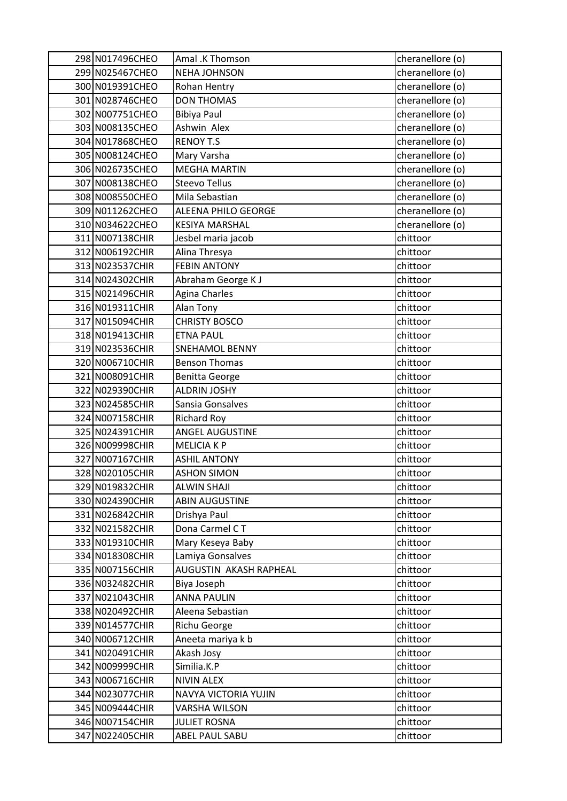| 298 N017496CHEO | Amal .K Thomson            | cheranellore (o) |
|-----------------|----------------------------|------------------|
| 299 N025467CHEO | <b>NEHA JOHNSON</b>        | cheranellore (o) |
| 300 N019391CHEO | Rohan Hentry               | cheranellore (o) |
| 301 N028746CHEO | <b>DON THOMAS</b>          | cheranellore (o) |
| 302 N007751CHEO | <b>Bibiya Paul</b>         | cheranellore (o) |
| 303 N008135CHEO | Ashwin Alex                | cheranellore (o) |
| 304 N017868CHEO | <b>RENOY T.S</b>           | cheranellore (o) |
| 305 N008124CHEO | Mary Varsha                | cheranellore (o) |
| 306 N026735CHEO | <b>MEGHA MARTIN</b>        | cheranellore (o) |
| 307 N008138CHEO | <b>Steevo Tellus</b>       | cheranellore (o) |
| 308 N008550CHEO | Mila Sebastian             | cheranellore (o) |
| 309 N011262CHEO | <b>ALEENA PHILO GEORGE</b> | cheranellore (o) |
| 310 N034622CHEO | <b>KESIYA MARSHAL</b>      | cheranellore (o) |
| 311 N007138CHIR | Jesbel maria jacob         | chittoor         |
| 312 N006192CHIR | Alina Thresya              | chittoor         |
| 313 N023537CHIR | <b>FEBIN ANTONY</b>        | chittoor         |
| 314 N024302CHIR | Abraham George K J         | chittoor         |
| 315 N021496CHIR | Agina Charles              | chittoor         |
| 316 N019311CHIR | Alan Tony                  | chittoor         |
| 317 N015094CHIR | <b>CHRISTY BOSCO</b>       | chittoor         |
| 318 N019413CHIR | <b>ETNA PAUL</b>           | chittoor         |
| 319 N023536CHIR | <b>SNEHAMOL BENNY</b>      | chittoor         |
| 320 N006710CHIR | <b>Benson Thomas</b>       | chittoor         |
| 321 N008091CHIR | <b>Benitta George</b>      | chittoor         |
| 322 N029390CHIR | <b>ALDRIN JOSHY</b>        | chittoor         |
| 323 N024585CHIR | Sansia Gonsalves           | chittoor         |
| 324 N007158CHIR | <b>Richard Roy</b>         | chittoor         |
| 325 N024391CHIR | <b>ANGEL AUGUSTINE</b>     | chittoor         |
| 326 N009998CHIR | <b>MELICIA K P</b>         | chittoor         |
| 327 N007167CHIR | <b>ASHIL ANTONY</b>        | chittoor         |
| 328 N020105CHIR | <b>ASHON SIMON</b>         | chittoor         |
| 329 N019832CHIR | <b>ALWIN SHAJI</b>         | chittoor         |
| 330 N024390CHIR | <b>ABIN AUGUSTINE</b>      | chittoor         |
| 331 N026842CHIR | Drishya Paul               | chittoor         |
| 332 N021582CHIR | Dona Carmel CT             | chittoor         |
| 333 N019310CHIR | Mary Keseya Baby           | chittoor         |
| 334 N018308CHIR | Lamiya Gonsalves           | chittoor         |
| 335 N007156CHIR | AUGUSTIN AKASH RAPHEAL     | chittoor         |
| 336 N032482CHIR | Biya Joseph                | chittoor         |
| 337 N021043CHIR | <b>ANNA PAULIN</b>         | chittoor         |
| 338 N020492CHIR | Aleena Sebastian           | chittoor         |
| 339 N014577CHIR | Richu George               | chittoor         |
| 340 N006712CHIR | Aneeta mariya k b          | chittoor         |
| 341 N020491CHIR | Akash Josy                 | chittoor         |
| 342 N009999CHIR | Similia.K.P                | chittoor         |
| 343 N006716CHIR | <b>NIVIN ALEX</b>          | chittoor         |
| 344 N023077CHIR | NAVYA VICTORIA YUJIN       | chittoor         |
| 345 N009444CHIR | <b>VARSHA WILSON</b>       | chittoor         |
| 346 N007154CHIR | <b>JULIET ROSNA</b>        | chittoor         |
| 347 N022405CHIR | ABEL PAUL SABU             | chittoor         |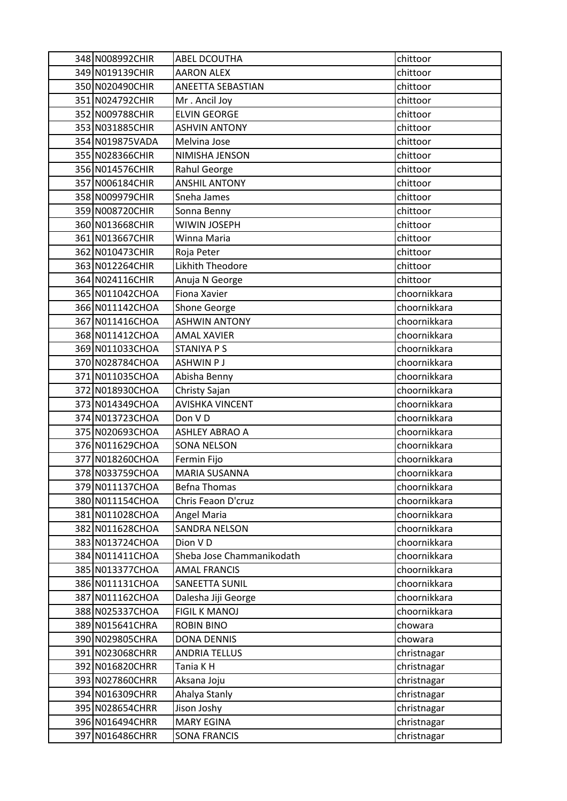| 348 N008992CHIR | <b>ABEL DCOUTHA</b>       | chittoor     |
|-----------------|---------------------------|--------------|
| 349 N019139CHIR | <b>AARON ALEX</b>         | chittoor     |
| 350 N020490CHIR | ANEETTA SEBASTIAN         | chittoor     |
| 351 N024792CHIR | Mr. Ancil Joy             | chittoor     |
| 352 N009788CHIR | <b>ELVIN GEORGE</b>       | chittoor     |
| 353 N031885CHIR | <b>ASHVIN ANTONY</b>      | chittoor     |
| 354 N019875VADA | Melvina Jose              | chittoor     |
| 355 N028366CHIR | NIMISHA JENSON            | chittoor     |
| 356 N014576CHIR | Rahul George              | chittoor     |
| 357 N006184CHIR | <b>ANSHIL ANTONY</b>      | chittoor     |
| 358 N009979CHIR | Sneha James               | chittoor     |
| 359 N008720CHIR | Sonna Benny               | chittoor     |
| 360 N013668CHIR | WIWIN JOSEPH              | chittoor     |
| 361 N013667CHIR | Winna Maria               | chittoor     |
| 362 N010473CHIR | Roja Peter                | chittoor     |
| 363 N012264CHIR | Likhith Theodore          | chittoor     |
| 364 N024116CHIR | Anuja N George            | chittoor     |
| 365 N011042CHOA | Fiona Xavier              | choornikkara |
| 366 N011142CHOA | Shone George              | choornikkara |
| 367 N011416CHOA | <b>ASHWIN ANTONY</b>      | choornikkara |
| 368 N011412CHOA | <b>AMAL XAVIER</b>        | choornikkara |
| 369 N011033CHOA | STANIYA P S               | choornikkara |
| 370 N028784CHOA | <b>ASHWIN PJ</b>          | choornikkara |
| 371 N011035CHOA | Abisha Benny              | choornikkara |
| 372 N018930CHOA | Christy Sajan             | choornikkara |
| 373 N014349CHOA | <b>AVISHKA VINCENT</b>    | choornikkara |
| 374 N013723CHOA | Don VD                    | choornikkara |
| 375 N020693CHOA | <b>ASHLEY ABRAO A</b>     | choornikkara |
| 376 N011629CHOA | <b>SONA NELSON</b>        | choornikkara |
| 377 N018260CHOA | Fermin Fijo               | choornikkara |
| 378 N033759CHOA | <b>MARIA SUSANNA</b>      | choornikkara |
| 379 N011137CHOA | <b>Befna Thomas</b>       | choornikkara |
| 380 N011154CHOA | Chris Feaon D'cruz        | choornikkara |
| 381 N011028CHOA | Angel Maria               | choornikkara |
| 382 N011628CHOA | <b>SANDRA NELSON</b>      | choornikkara |
| 383 N013724CHOA | Dion VD                   | choornikkara |
| 384 N011411CHOA | Sheba Jose Chammanikodath | choornikkara |
| 385 N013377CHOA | <b>AMAL FRANCIS</b>       | choornikkara |
| 386 N011131CHOA | SANEETTA SUNIL            | choornikkara |
| 387 N011162CHOA | Dalesha Jiji George       | choornikkara |
| 388 N025337CHOA | <b>FIGIL K MANOJ</b>      | choornikkara |
| 389 N015641CHRA | <b>ROBIN BINO</b>         | chowara      |
| 390 N029805CHRA | <b>DONA DENNIS</b>        | chowara      |
| 391 N023068CHRR | <b>ANDRIA TELLUS</b>      | christnagar  |
| 392 N016820CHRR | Tania K H                 | christnagar  |
| 393 N027860CHRR | Aksana Joju               | christnagar  |
| 394 N016309CHRR | Ahalya Stanly             | christnagar  |
| 395 N028654CHRR | Jison Joshy               | christnagar  |
| 396 N016494CHRR | <b>MARY EGINA</b>         | christnagar  |
| 397 N016486CHRR | <b>SONA FRANCIS</b>       | christnagar  |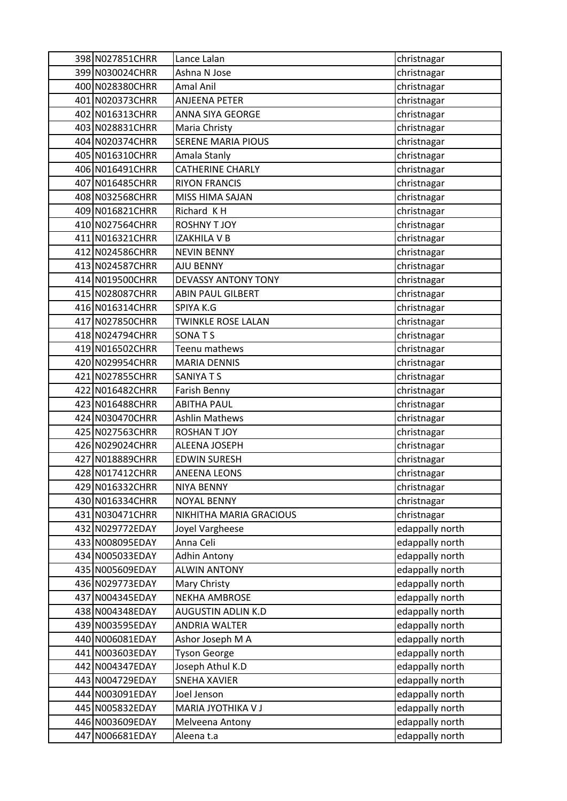| 398 N027851CHRR                    | Lance Lalan                                | christnagar                        |
|------------------------------------|--------------------------------------------|------------------------------------|
| 399 N030024CHRR                    | Ashna N Jose                               | christnagar                        |
| 400 N028380CHRR                    | Amal Anil                                  | christnagar                        |
| 401 N020373CHRR                    | <b>ANJEENA PETER</b>                       | christnagar                        |
| 402 N016313CHRR                    | ANNA SIYA GEORGE                           | christnagar                        |
| 403 N028831CHRR                    | Maria Christy                              | christnagar                        |
| 404 N020374CHRR                    | SERENE MARIA PIOUS                         | christnagar                        |
| 405 N016310CHRR                    | Amala Stanly                               | christnagar                        |
| 406 N016491CHRR                    | <b>CATHERINE CHARLY</b>                    | christnagar                        |
| 407 N016485CHRR                    | <b>RIYON FRANCIS</b>                       | christnagar                        |
| 408 N032568CHRR                    | MISS HIMA SAJAN                            | christnagar                        |
| 409 N016821CHRR                    | Richard KH                                 | christnagar                        |
| 410 N027564CHRR                    | <b>ROSHNY T JOY</b>                        | christnagar                        |
| 411 N016321CHRR                    | <b>IZAKHILA V B</b>                        | christnagar                        |
| 412 N024586CHRR                    | <b>NEVIN BENNY</b>                         | christnagar                        |
| 413 N024587CHRR                    | AJU BENNY                                  | christnagar                        |
| 414 N019500CHRR                    | <b>DEVASSY ANTONY TONY</b>                 | christnagar                        |
| 415 N028087CHRR                    | <b>ABIN PAUL GILBERT</b>                   | christnagar                        |
| 416 N016314CHRR                    | SPIYA K.G                                  | christnagar                        |
| 417 N027850CHRR                    | <b>TWINKLE ROSE LALAN</b>                  | christnagar                        |
| 418 N024794CHRR                    | SONATS                                     | christnagar                        |
| 419 N016502CHRR                    | Teenu mathews                              | christnagar                        |
| 420 N029954CHRR                    | <b>MARIA DENNIS</b>                        | christnagar                        |
| 421 N027855CHRR                    | SANIYA T S                                 | christnagar                        |
| 422 N016482CHRR                    | Farish Benny                               | christnagar                        |
| 423 N016488CHRR                    | <b>ABITHA PAUL</b>                         | christnagar                        |
| 424 N030470CHRR                    | Ashlin Mathews                             | christnagar                        |
| 425 N027563CHRR                    | <b>ROSHAN T JOY</b>                        | christnagar                        |
| 426 N029024CHRR                    | ALEENA JOSEPH                              | christnagar                        |
| 427 N018889CHRR                    | <b>EDWIN SURESH</b>                        | christnagar                        |
| 428 N017412CHRR                    | <b>ANEENA LEONS</b>                        | christnagar                        |
| 429 N016332CHRR                    | <b>NIYA BENNY</b>                          | christnagar                        |
| 430 N016334CHRR                    | <b>NOYAL BENNY</b>                         | christnagar                        |
| 431 N030471CHRR                    | NIKHITHA MARIA GRACIOUS                    | christnagar                        |
| 432 N029772EDAY                    | Joyel Vargheese                            | edappally north                    |
| 433 N008095EDAY                    | Anna Celi                                  | edappally north                    |
| 434 N005033EDAY                    | <b>Adhin Antony</b><br><b>ALWIN ANTONY</b> | edappally north                    |
| 435 N005609EDAY<br>436 N029773EDAY | Mary Christy                               | edappally north<br>edappally north |
| 437 N004345EDAY                    | <b>NEKHA AMBROSE</b>                       | edappally north                    |
| 438 N004348EDAY                    | AUGUSTIN ADLIN K.D                         | edappally north                    |
| 439 N003595EDAY                    | <b>ANDRIA WALTER</b>                       | edappally north                    |
| 440 N006081EDAY                    | Ashor Joseph M A                           | edappally north                    |
| 441 N003603EDAY                    | <b>Tyson George</b>                        | edappally north                    |
| 442 N004347EDAY                    | Joseph Athul K.D                           | edappally north                    |
| 443 N004729EDAY                    | <b>SNEHA XAVIER</b>                        | edappally north                    |
| 444 N003091EDAY                    | Joel Jenson                                | edappally north                    |
| 445 N005832EDAY                    | MARIA JYOTHIKA V J                         | edappally north                    |
| 446 N003609EDAY                    | Melveena Antony                            | edappally north                    |
| 447 N006681EDAY                    | Aleena t.a                                 | edappally north                    |
|                                    |                                            |                                    |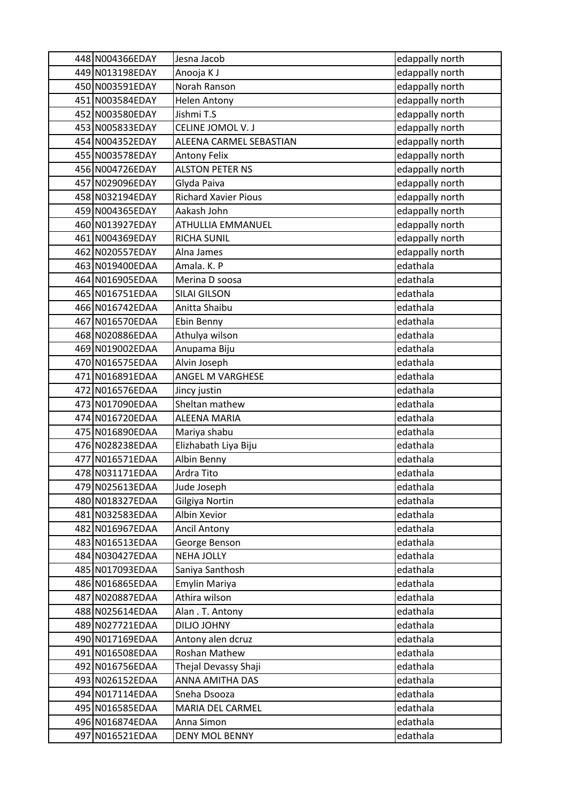| 448 N004366EDAY                    | Jesna Jacob                        | edappally north      |
|------------------------------------|------------------------------------|----------------------|
| 449 N013198EDAY                    | Anooja K J                         | edappally north      |
| 450 N003591EDAY                    | Norah Ranson                       | edappally north      |
| 451 N003584EDAY                    | <b>Helen Antony</b>                | edappally north      |
| 452 N003580EDAY                    | Jishmi T.S                         | edappally north      |
| 453 N005833EDAY                    | CELINE JOMOL V. J                  | edappally north      |
| 454 N004352EDAY                    | ALEENA CARMEL SEBASTIAN            | edappally north      |
| 455 N003578EDAY                    | Antony Felix                       | edappally north      |
| 456 N004726EDAY                    | <b>ALSTON PETER NS</b>             | edappally north      |
| 457 N029096EDAY                    | Glyda Paiva                        | edappally north      |
| 458 N032194EDAY                    | <b>Richard Xavier Pious</b>        | edappally north      |
| 459 N004365EDAY                    | Aakash John                        | edappally north      |
| 460 N013927EDAY                    | ATHULLIA EMMANUEL                  | edappally north      |
| 461 N004369EDAY                    | <b>RICHA SUNIL</b>                 | edappally north      |
| 462 N020557EDAY                    | Alna James                         | edappally north      |
| 463 N019400EDAA                    | Amala. K. P                        | edathala             |
| 464 N016905EDAA                    | Merina D soosa                     | edathala             |
| 465 N016751EDAA                    | <b>SILAI GILSON</b>                | edathala             |
| 466 N016742EDAA                    | Anitta Shaibu                      | edathala             |
| 467 N016570EDAA                    | Ebin Benny                         | edathala             |
| 468 N020886EDAA                    | Athulya wilson                     | edathala             |
| 469 N019002EDAA                    | Anupama Biju                       | edathala             |
| 470 N016575EDAA                    | Alvin Joseph                       | edathala             |
| 471 N016891EDAA                    | ANGEL M VARGHESE                   | edathala             |
| 472 N016576EDAA                    | Jincy justin                       | edathala             |
| 473 N017090EDAA                    | Sheltan mathew                     | edathala             |
| 474 N016720EDAA                    | ALEENA MARIA                       | edathala             |
| 475 N016890EDAA                    | Mariya shabu                       | edathala             |
| 476 N028238EDAA                    | Elizhabath Liya Biju               | edathala             |
| 477 N016571EDAA                    | Albin Benny                        | edathala             |
| 478 N031171EDAA                    | Ardra Tito                         | edathala             |
| 479 N025613EDAA                    | Jude Joseph                        | edathala             |
| 480 N018327EDAA                    | Gilgiya Nortin                     | edathala             |
| 481 N032583EDAA                    | Albin Xevior                       | edathala             |
| 482 N016967EDAA<br>483 N016513EDAA | <b>Ancil Antony</b>                | edathala             |
| 484 N030427EDAA                    | George Benson<br><b>NEHA JOLLY</b> | edathala<br>edathala |
| 485 N017093EDAA                    | Saniya Santhosh                    | edathala             |
| 486 N016865EDAA                    | Emylin Mariya                      | edathala             |
| 487 N020887EDAA                    | Athira wilson                      | edathala             |
| 488 N025614EDAA                    | Alan. T. Antony                    | edathala             |
| 489 N027721EDAA                    | <b>DILJO JOHNY</b>                 | edathala             |
| 490 N017169EDAA                    | Antony alen dcruz                  | edathala             |
| 491 N016508EDAA                    | Roshan Mathew                      | edathala             |
| 492 N016756EDAA                    | Thejal Devassy Shaji               | edathala             |
| 493 N026152EDAA                    | ANNA AMITHA DAS                    | edathala             |
| 494 N017114EDAA                    | Sneha Dsooza                       | edathala             |
| 495 N016585EDAA                    | MARIA DEL CARMEL                   | edathala             |
| 496 N016874EDAA                    | Anna Simon                         | edathala             |
| 497 N016521EDAA                    | <b>DENY MOL BENNY</b>              | edathala             |
|                                    |                                    |                      |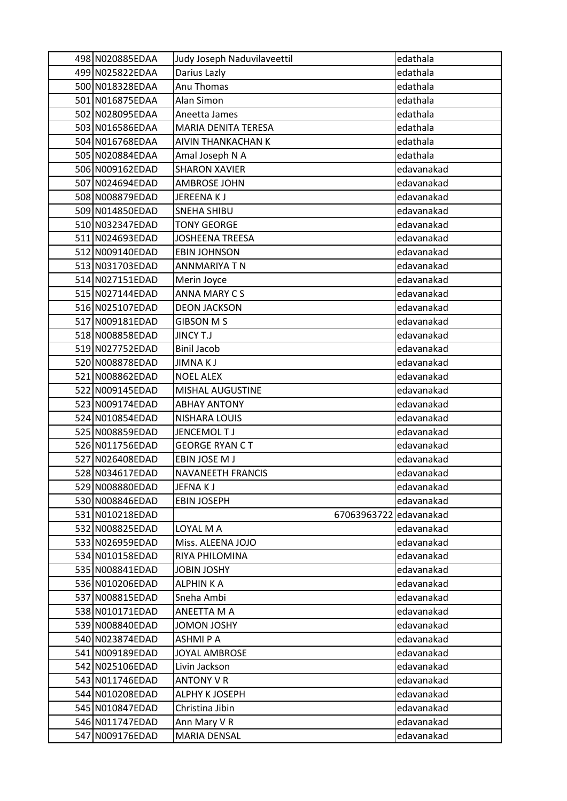| 498 N020885EDAA | Judy Joseph Naduvilaveettil | edathala   |
|-----------------|-----------------------------|------------|
| 499 N025822EDAA | Darius Lazly                | edathala   |
| 500 N018328EDAA | Anu Thomas                  | edathala   |
| 501 N016875EDAA | Alan Simon                  | edathala   |
| 502 N028095EDAA | Aneetta James               | edathala   |
| 503 N016586EDAA | <b>MARIA DENITA TERESA</b>  | edathala   |
| 504 N016768EDAA | AIVIN THANKACHAN K          | edathala   |
| 505 N020884EDAA | Amal Joseph N A             | edathala   |
| 506 N009162EDAD | <b>SHARON XAVIER</b>        | edavanakad |
| 507 N024694EDAD | <b>AMBROSE JOHN</b>         | edavanakad |
| 508 N008879EDAD | JEREENAKJ                   | edavanakad |
| 509 N014850EDAD | <b>SNEHA SHIBU</b>          | edavanakad |
| 510 N032347EDAD | <b>TONY GEORGE</b>          | edavanakad |
| 511 N024693EDAD | <b>JOSHEENA TREESA</b>      | edavanakad |
| 512 N009140EDAD | <b>EBIN JOHNSON</b>         | edavanakad |
| 513 N031703EDAD | <b>ANNMARIYA T N</b>        | edavanakad |
| 514 N027151EDAD | Merin Joyce                 | edavanakad |
| 515 N027144EDAD | ANNA MARY CS                | edavanakad |
| 516 N025107EDAD | <b>DEON JACKSON</b>         | edavanakad |
| 517 N009181EDAD | <b>GIBSON MS</b>            | edavanakad |
| 518 N008858EDAD | <b>JINCY T.J</b>            | edavanakad |
| 519 N027752EDAD | <b>Binil Jacob</b>          | edavanakad |
| 520 N008878EDAD | <b>JIMNAKJ</b>              | edavanakad |
| 521 N008862EDAD | <b>NOEL ALEX</b>            | edavanakad |
| 522 N009145EDAD | MISHAL AUGUSTINE            | edavanakad |
| 523 N009174EDAD | <b>ABHAY ANTONY</b>         | edavanakad |
| 524 N010854EDAD | NISHARA LOUIS               | edavanakad |
| 525 N008859EDAD | JENCEMOL T J                | edavanakad |
| 526 N011756EDAD | <b>GEORGE RYAN CT</b>       | edavanakad |
| 527 N026408EDAD | EBIN JOSE M J               | edavanakad |
| 528 N034617EDAD | NAVANEETH FRANCIS           | edavanakad |
| 529 N008880EDAD | JEFNA K J                   | edavanakad |
| 530 N008846EDAD | <b>EBIN JOSEPH</b>          | edavanakad |
| 531 N010218EDAD | 67063963722                 | edavanakad |
| 532 N008825EDAD | LOYAL M A                   | edavanakad |
| 533 N026959EDAD | Miss. ALEENA JOJO           | edavanakad |
| 534 N010158EDAD | RIYA PHILOMINA              | edavanakad |
| 535 N008841EDAD | <b>JOBIN JOSHY</b>          | edavanakad |
| 536 N010206EDAD | ALPHIN K A                  | edavanakad |
| 537 N008815EDAD | Sneha Ambi                  | edavanakad |
| 538 N010171EDAD | ANEETTA M A                 | edavanakad |
| 539 N008840EDAD | <b>JOMON JOSHY</b>          | edavanakad |
| 540 N023874EDAD | ASHMI P A                   | edavanakad |
| 541 N009189EDAD | JOYAL AMBROSE               | edavanakad |
| 542 N025106EDAD | Livin Jackson               | edavanakad |
| 543 N011746EDAD | <b>ANTONY V R</b>           | edavanakad |
| 544 N010208EDAD | ALPHY K JOSEPH              | edavanakad |
| 545 N010847EDAD | Christina Jibin             | edavanakad |
| 546 N011747EDAD | Ann Mary V R                | edavanakad |
| 547 N009176EDAD | MARIA DENSAL                | edavanakad |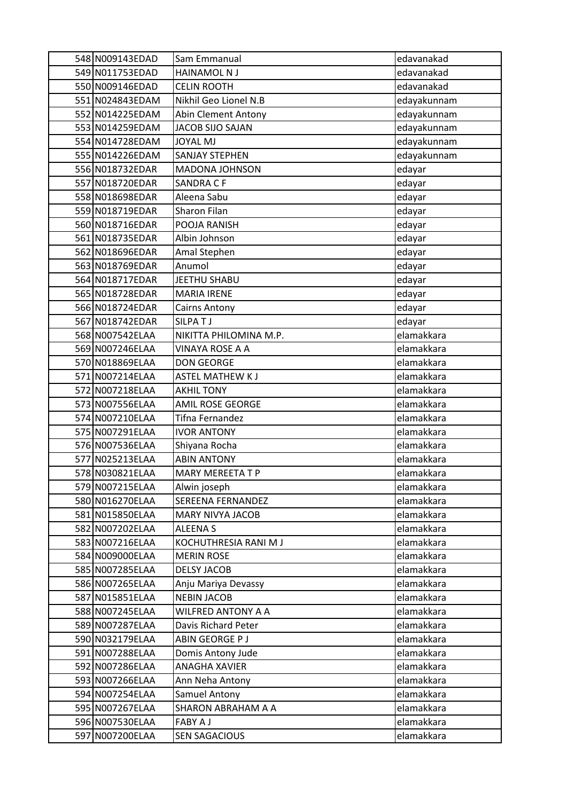| 548 N009143EDAD                    | Sam Emmanual                              | edavanakad               |
|------------------------------------|-------------------------------------------|--------------------------|
| 549 N011753EDAD                    | <b>HAINAMOL N J</b>                       | edavanakad               |
| 550 N009146EDAD                    | <b>CELIN ROOTH</b>                        | edavanakad               |
| 551 N024843EDAM                    | Nikhil Geo Lionel N.B                     | edayakunnam              |
| 552 N014225EDAM                    | <b>Abin Clement Antony</b>                | edayakunnam              |
| 553 N014259EDAM                    | JACOB SIJO SAJAN                          | edayakunnam              |
| 554 N014728EDAM                    | <b>JOYAL MJ</b>                           | edayakunnam              |
| 555 N014226EDAM                    | <b>SANJAY STEPHEN</b>                     | edayakunnam              |
| 556 N018732EDAR                    | <b>MADONA JOHNSON</b>                     | edayar                   |
| 557 N018720EDAR                    | <b>SANDRA CF</b>                          | edayar                   |
| 558 N018698EDAR                    | Aleena Sabu                               | edayar                   |
| 559 N018719EDAR                    | Sharon Filan                              | edayar                   |
| 560 N018716EDAR                    | POOJA RANISH                              | edayar                   |
| 561 N018735EDAR                    | Albin Johnson                             | edayar                   |
| 562 N018696EDAR                    | Amal Stephen                              | edayar                   |
| 563 N018769EDAR                    | Anumol                                    | edayar                   |
| 564 N018717EDAR                    | JEETHU SHABU                              | edayar                   |
| 565 N018728EDAR                    | <b>MARIA IRENE</b>                        | edayar                   |
| 566 N018724EDAR                    | <b>Cairns Antony</b>                      | edayar                   |
| 567 N018742EDAR                    | SILPATJ                                   | edayar                   |
| 568 N007542ELAA                    | NIKITTA PHILOMINA M.P.                    | elamakkara               |
| 569 N007246ELAA                    | <b>VINAYA ROSE A A</b>                    | elamakkara               |
| 570 N018869ELAA                    | <b>DON GEORGE</b>                         | elamakkara               |
| 571 N007214ELAA                    | <b>ASTEL MATHEW KJ</b>                    | elamakkara               |
| 572 N007218ELAA                    | <b>AKHIL TONY</b>                         | elamakkara               |
| 573 N007556ELAA                    | <b>AMIL ROSE GEORGE</b>                   | elamakkara               |
| 574 N007210ELAA                    | Tifna Fernandez                           | elamakkara               |
| 575 N007291ELAA                    | <b>IVOR ANTONY</b>                        | elamakkara               |
| 576 N007536ELAA                    | Shiyana Rocha                             | elamakkara               |
| 577 N025213ELAA                    | <b>ABIN ANTONY</b>                        | elamakkara               |
| 578 N030821ELAA                    | <b>MARY MEREETA T P</b>                   | elamakkara               |
| 579 N007215ELAA                    | Alwin joseph                              | elamakkara               |
| 580 N016270ELAA                    | SEREENA FERNANDEZ                         | elamakkara               |
| 581 N015850ELAA                    | MARY NIVYA JACOB                          | elamakkara               |
| 582 N007202ELAA                    | <b>ALEENA S</b>                           | elamakkara               |
| 583 N007216ELAA                    | KOCHUTHRESIA RANI M J                     | elamakkara               |
| 584 N009000ELAA                    | <b>MERIN ROSE</b>                         | elamakkara               |
| 585 N007285ELAA                    | <b>DELSY JACOB</b>                        | elamakkara               |
| 586 N007265ELAA<br>587 N015851ELAA | Anju Mariya Devassy<br><b>NEBIN JACOB</b> | elamakkara<br>elamakkara |
| 588 N007245ELAA                    |                                           | elamakkara               |
|                                    | WILFRED ANTONY A A                        | elamakkara               |
| 589 N007287ELAA                    | Davis Richard Peter                       | elamakkara               |
| 590 N032179ELAA<br>591 N007288ELAA | ABIN GEORGE P J<br>Domis Antony Jude      | elamakkara               |
| 592 N007286ELAA                    | <b>ANAGHA XAVIER</b>                      | elamakkara               |
| 593 N007266ELAA                    | Ann Neha Antony                           | elamakkara               |
| 594 N007254ELAA                    | Samuel Antony                             | elamakkara               |
| 595 N007267ELAA                    | SHARON ABRAHAM A A                        | elamakkara               |
| 596 N007530ELAA                    | <b>FABY A J</b>                           | elamakkara               |
|                                    |                                           |                          |
| 597 N007200ELAA                    | <b>SEN SAGACIOUS</b>                      | elamakkara               |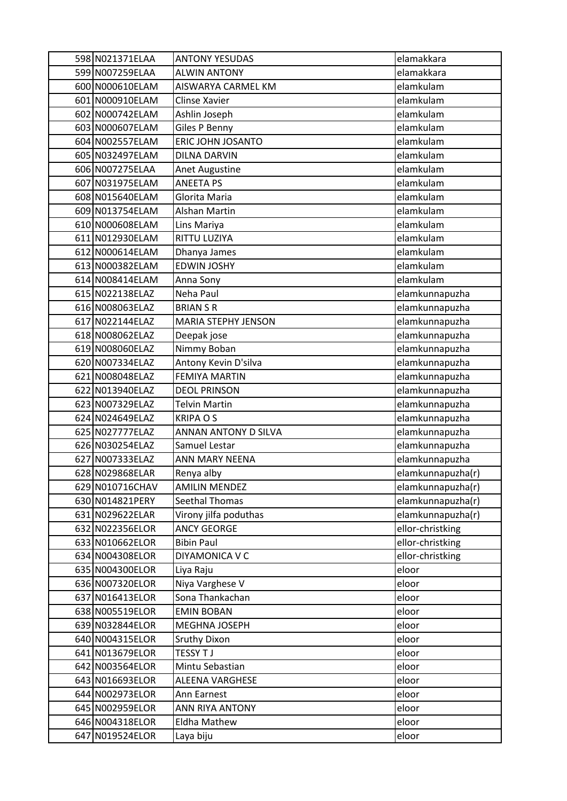| 598 N021371ELAA | <b>ANTONY YESUDAS</b>      | elamakkara        |
|-----------------|----------------------------|-------------------|
| 599 N007259ELAA | <b>ALWIN ANTONY</b>        | elamakkara        |
| 600 N000610ELAM | AISWARYA CARMEL KM         | elamkulam         |
| 601 N000910ELAM | Clinse Xavier              | elamkulam         |
| 602 N000742ELAM | Ashlin Joseph              | elamkulam         |
| 603 N000607ELAM | Giles P Benny              | elamkulam         |
| 604 N002557ELAM | ERIC JOHN JOSANTO          | elamkulam         |
| 605 N032497ELAM | <b>DILNA DARVIN</b>        | elamkulam         |
| 606 N007275ELAA | <b>Anet Augustine</b>      | elamkulam         |
| 607 N031975ELAM | <b>ANEETA PS</b>           | elamkulam         |
| 608 N015640ELAM | Glorita Maria              | elamkulam         |
| 609 N013754ELAM | Alshan Martin              | elamkulam         |
| 610 N000608ELAM | Lins Mariya                | elamkulam         |
| 611 N012930ELAM | RITTU LUZIYA               | elamkulam         |
| 612 N000614ELAM | Dhanya James               | elamkulam         |
| 613 N000382ELAM | <b>EDWIN JOSHY</b>         | elamkulam         |
| 614 N008414ELAM | Anna Sony                  | elamkulam         |
| 615 N022138ELAZ | Neha Paul                  | elamkunnapuzha    |
| 616 N008063ELAZ | <b>BRIAN S R</b>           | elamkunnapuzha    |
| 617 N022144ELAZ | <b>MARIA STEPHY JENSON</b> | elamkunnapuzha    |
| 618 N008062ELAZ | Deepak jose                | elamkunnapuzha    |
| 619 N008060ELAZ | Nimmy Boban                | elamkunnapuzha    |
| 620 N007334ELAZ | Antony Kevin D'silva       | elamkunnapuzha    |
| 621 N008048ELAZ | <b>FEMIYA MARTIN</b>       | elamkunnapuzha    |
| 622 N013940ELAZ | <b>DEOL PRINSON</b>        | elamkunnapuzha    |
| 623 N007329ELAZ | <b>Telvin Martin</b>       | elamkunnapuzha    |
| 624 N024649ELAZ | <b>KRIPA OS</b>            | elamkunnapuzha    |
| 625 N027777ELAZ | ANNAN ANTONY D SILVA       | elamkunnapuzha    |
| 626 N030254ELAZ | Samuel Lestar              | elamkunnapuzha    |
| 627 N007333ELAZ | ANN MARY NEENA             | elamkunnapuzha    |
| 628 N029868ELAR | Renya alby                 | elamkunnapuzha(r) |
| 629 N010716CHAV | <b>AMILIN MENDEZ</b>       | elamkunnapuzha(r) |
| 630 N014821PERY | Seethal Thomas             | elamkunnapuzha(r) |
| 631 N029622ELAR | Virony jilfa poduthas      | elamkunnapuzha(r) |
| 632 N022356ELOR | <b>ANCY GEORGE</b>         | ellor-christking  |
| 633 N010662ELOR | <b>Bibin Paul</b>          | ellor-christking  |
| 634 N004308ELOR | DIYAMONICA V C             | ellor-christking  |
| 635 N004300ELOR | Liya Raju                  | eloor             |
| 636 N007320ELOR | Niya Varghese V            | eloor             |
| 637 N016413ELOR | Sona Thankachan            | eloor             |
| 638 N005519ELOR | <b>EMIN BOBAN</b>          | eloor             |
| 639 N032844ELOR | MEGHNA JOSEPH              | eloor             |
| 640 N004315ELOR | <b>Sruthy Dixon</b>        | eloor             |
| 641 N013679ELOR | <b>TESSY TJ</b>            | eloor             |
| 642 N003564ELOR | Mintu Sebastian            | eloor             |
| 643 N016693ELOR | ALEENA VARGHESE            | eloor             |
| 644 N002973ELOR | Ann Earnest                | eloor             |
| 645 N002959ELOR | ANN RIYA ANTONY            | eloor             |
| 646 N004318ELOR | <b>Eldha Mathew</b>        | eloor             |
| 647 N019524ELOR | Laya biju                  | eloor             |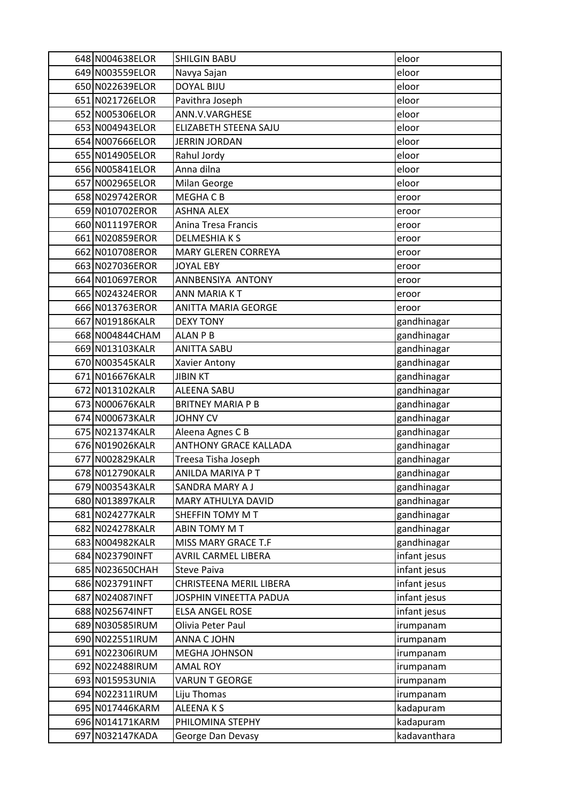| 648 N004638ELOR | <b>SHILGIN BABU</b>          | eloor        |
|-----------------|------------------------------|--------------|
| 649 N003559ELOR | Navya Sajan                  | eloor        |
| 650 N022639ELOR | <b>DOYAL BIJU</b>            | eloor        |
| 651 N021726ELOR | Pavithra Joseph              | eloor        |
| 652 N005306ELOR | ANN.V.VARGHESE               | eloor        |
| 653 N004943ELOR | ELIZABETH STEENA SAJU        | eloor        |
| 654 N007666ELOR | <b>JERRIN JORDAN</b>         | eloor        |
| 655 N014905ELOR | Rahul Jordy                  | eloor        |
| 656 N005841ELOR | Anna dilna                   | eloor        |
| 657 N002965ELOR | Milan George                 | eloor        |
| 658 N029742EROR | MEGHA C B                    | eroor        |
| 659 N010702EROR | <b>ASHNA ALEX</b>            | eroor        |
| 660 N011197EROR | Anina Tresa Francis          | eroor        |
| 661 N020859EROR | <b>DELMESHIAKS</b>           | eroor        |
| 662 N010708EROR | <b>MARY GLEREN CORREYA</b>   | eroor        |
| 663 N027036EROR | <b>JOYAL EBY</b>             | eroor        |
| 664 N010697EROR | ANNBENSIYA ANTONY            | eroor        |
| 665 N024324EROR | ANN MARIA KT                 | eroor        |
| 666 N013763EROR | ANITTA MARIA GEORGE          | eroor        |
| 667 N019186KALR | <b>DEXY TONY</b>             | gandhinagar  |
| 668 N004844CHAM | <b>ALAN P B</b>              | gandhinagar  |
| 669 N013103KALR | <b>ANITTA SABU</b>           | gandhinagar  |
| 670 N003545KALR | Xavier Antony                | gandhinagar  |
| 671 N016676KALR | <b>JIBIN KT</b>              | gandhinagar  |
| 672 N013102KALR | <b>ALEENA SABU</b>           | gandhinagar  |
| 673 N000676KALR | <b>BRITNEY MARIA P B</b>     | gandhinagar  |
| 674 N000673KALR | <b>JOHNY CV</b>              | gandhinagar  |
| 675 N021374KALR | Aleena Agnes C B             | gandhinagar  |
| 676 N019026KALR | <b>ANTHONY GRACE KALLADA</b> | gandhinagar  |
| 677 N002829KALR | Treesa Tisha Joseph          | gandhinagar  |
| 678 N012790KALR | ANILDA MARIYA P T            | gandhinagar  |
| 679 N003543KALR | SANDRA MARY A J              | gandhinagar  |
| 680 N013897KALR | MARY ATHULYA DAVID           | gandhinagar  |
| 681 N024277KALR | SHEFFIN TOMY M T             | gandhinagar  |
| 682 N024278KALR | ABIN TOMY M T                | gandhinagar  |
| 683 N004982KALR | MISS MARY GRACE T.F          | gandhinagar  |
| 684 N023790INFT | AVRIL CARMEL LIBERA          | infant jesus |
| 685 N023650CHAH | <b>Steve Paiva</b>           | infant jesus |
| 686 N023791INFT | CHRISTEENA MERIL LIBERA      | infant jesus |
| 687 N024087INFT | JOSPHIN VINEETTA PADUA       | infant jesus |
| 688 N025674INFT | <b>ELSA ANGEL ROSE</b>       | infant jesus |
| 689 N030585IRUM | Olivia Peter Paul            | irumpanam    |
| 690 N022551IRUM | ANNA C JOHN                  | irumpanam    |
| 691 N022306IRUM | MEGHA JOHNSON                | irumpanam    |
| 692 N022488IRUM | <b>AMAL ROY</b>              | irumpanam    |
| 693 N015953UNIA | VARUN T GEORGE               | irumpanam    |
| 694 N022311IRUM | Liju Thomas                  | irumpanam    |
| 695 N017446KARM | ALEENAKS                     | kadapuram    |
| 696 N014171KARM | PHILOMINA STEPHY             | kadapuram    |
| 697 N032147KADA | George Dan Devasy            | kadavanthara |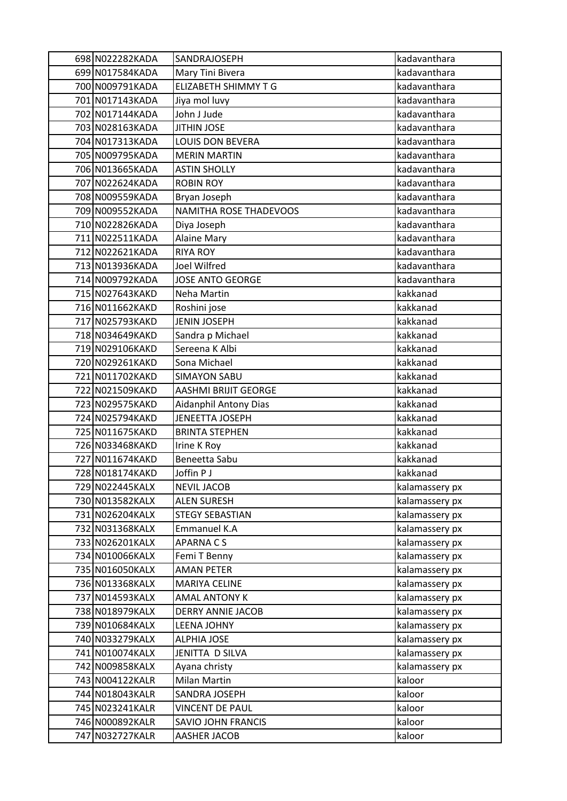| 698 N022282KADA                    | SANDRAJOSEPH                              | kadavanthara                     |
|------------------------------------|-------------------------------------------|----------------------------------|
| 699 N017584KADA                    | Mary Tini Bivera                          | kadavanthara                     |
| 700 N009791KADA                    | <b>ELIZABETH SHIMMY T G</b>               | kadavanthara                     |
| 701 N017143KADA                    | Jiya mol luvy                             | kadavanthara                     |
| 702 N017144KADA                    | John J Jude                               | kadavanthara                     |
| 703 N028163KADA                    | <b>JITHIN JOSE</b>                        | kadavanthara                     |
| 704 N017313KADA                    | LOUIS DON BEVERA                          | kadavanthara                     |
| 705 N009795KADA                    | <b>MERIN MARTIN</b>                       | kadavanthara                     |
| 706 N013665KADA                    | <b>ASTIN SHOLLY</b>                       | kadavanthara                     |
| 707 N022624KADA                    | <b>ROBIN ROY</b>                          | kadavanthara                     |
| 708 N009559KADA                    | Bryan Joseph                              | kadavanthara                     |
| 709 N009552KADA                    | <b>NAMITHA ROSE THADEVOOS</b>             | kadavanthara                     |
| 710 N022826KADA                    | Diya Joseph                               | kadavanthara                     |
| 711 N022511KADA                    | <b>Alaine Mary</b>                        | kadavanthara                     |
| 712 N022621KADA                    | <b>RIYA ROY</b>                           | kadavanthara                     |
| 713 N013936KADA                    | Joel Wilfred                              | kadavanthara                     |
| 714 N009792KADA                    | <b>JOSE ANTO GEORGE</b>                   | kadavanthara                     |
| 715 N027643KAKD                    | Neha Martin                               | kakkanad                         |
| 716 N011662KAKD                    | Roshini jose                              | kakkanad                         |
| 717 N025793KAKD                    | <b>JENIN JOSEPH</b>                       | kakkanad                         |
| 718 N034649KAKD                    | Sandra p Michael                          | kakkanad                         |
| 719 N029106KAKD                    | Sereena K Albi                            | kakkanad                         |
| 720 N029261KAKD                    | Sona Michael                              | kakkanad                         |
| 721 N011702KAKD                    | <b>SIMAYON SABU</b>                       | kakkanad                         |
| 722 N021509KAKD                    | AASHMI BRIJIT GEORGE                      | kakkanad                         |
| 723 N029575KAKD                    | <b>Aidanphil Antony Dias</b>              | kakkanad                         |
| 724 N025794KAKD                    | JENEETTA JOSEPH                           | kakkanad                         |
| 725 N011675KAKD                    | <b>BRINTA STEPHEN</b>                     | kakkanad                         |
| 726 N033468KAKD                    | Irine K Roy                               | kakkanad                         |
| 727 N011674KAKD                    | Beneetta Sabu                             | kakkanad                         |
| 728 N018174KAKD                    | Joffin P J                                | kakkanad                         |
| 729 N022445KALX                    | <b>NEVIL JACOB</b>                        | kalamassery px                   |
| 730 N013582KALX                    | <b>ALEN SURESH</b>                        | kalamassery px                   |
| 731 N026204KALX                    | <b>STEGY SEBASTIAN</b>                    | kalamassery px                   |
| 732 N031368KALX                    | Emmanuel K.A                              | kalamassery px                   |
| 733 N026201KALX                    | <b>APARNACS</b>                           | kalamassery px                   |
| 734 N010066KALX                    | Femi T Benny                              | kalamassery px                   |
| 735 N016050KALX<br>736 N013368KALX | <b>AMAN PETER</b><br><b>MARIYA CELINE</b> | kalamassery px                   |
| 737 N014593KALX                    | <b>AMAL ANTONY K</b>                      | kalamassery px<br>kalamassery px |
| 738 N018979KALX                    | <b>DERRY ANNIE JACOB</b>                  |                                  |
| 739 N010684KALX                    | <b>LEENA JOHNY</b>                        | kalamassery px<br>kalamassery px |
| 740 N033279KALX                    | <b>ALPHIA JOSE</b>                        | kalamassery px                   |
| 741 N010074KALX                    | JENITTA D SILVA                           | kalamassery px                   |
| 742 N009858KALX                    | Ayana christy                             | kalamassery px                   |
| 743 N004122KALR                    | Milan Martin                              | kaloor                           |
| 744 N018043KALR                    | SANDRA JOSEPH                             | kaloor                           |
| 745 N023241KALR                    | <b>VINCENT DE PAUL</b>                    | kaloor                           |
| 746 N000892KALR                    | SAVIO JOHN FRANCIS                        | kaloor                           |
| 747 N032727KALR                    | AASHER JACOB                              | kaloor                           |
|                                    |                                           |                                  |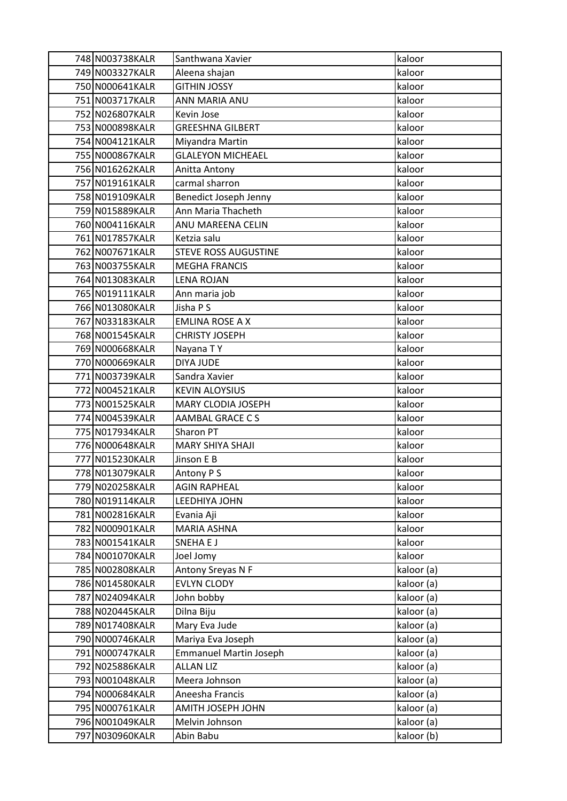| 748 N003738KALR                    | Santhwana Xavier                | kaloor           |
|------------------------------------|---------------------------------|------------------|
| 749 N003327KALR                    | Aleena shajan                   | kaloor           |
| 750 N000641KALR                    | <b>GITHIN JOSSY</b>             | kaloor           |
| 751 N003717KALR                    | ANN MARIA ANU                   | kaloor           |
| 752 N026807KALR                    | Kevin Jose                      | kaloor           |
| 753 N000898KALR                    | <b>GREESHNA GILBERT</b>         | kaloor           |
| 754 N004121KALR                    | Miyandra Martin                 | kaloor           |
| 755 N000867KALR                    | <b>GLALEYON MICHEAEL</b>        | kaloor           |
| 756 N016262KALR                    | Anitta Antony                   | kaloor           |
| 757 N019161KALR                    | carmal sharron                  | kaloor           |
| 758 N019109KALR                    | Benedict Joseph Jenny           | kaloor           |
| 759 N015889KALR                    | Ann Maria Thacheth              | kaloor           |
| 760 N004116KALR                    | ANU MAREENA CELIN               | kaloor           |
| 761 N017857KALR                    | Ketzia salu                     | kaloor           |
| 762 N007671KALR                    | <b>STEVE ROSS AUGUSTINE</b>     | kaloor           |
| 763 N003755KALR                    | <b>MEGHA FRANCIS</b>            | kaloor           |
| 764 N013083KALR                    | <b>LENA ROJAN</b>               | kaloor           |
| 765 N019111KALR                    | Ann maria job                   | kaloor           |
| 766 N013080KALR                    | Jisha P S                       | kaloor           |
| 767 N033183KALR                    | <b>EMLINA ROSE A X</b>          | kaloor           |
| 768 N001545KALR                    | <b>CHRISTY JOSEPH</b>           | kaloor           |
| 769 N000668KALR                    | Nayana TY                       | kaloor           |
| 770 N000669KALR                    | DIYA JUDE                       | kaloor           |
| 771 N003739KALR                    | Sandra Xavier                   | kaloor           |
| 772 N004521KALR                    | <b>KEVIN ALOYSIUS</b>           | kaloor           |
| 773 N001525KALR                    | MARY CLODIA JOSEPH              | kaloor           |
| 774 N004539KALR                    | AAMBAL GRACE CS                 | kaloor           |
| 775 N017934KALR                    | Sharon PT                       | kaloor           |
| 776 N000648KALR                    | <b>MARY SHIYA SHAJI</b>         | kaloor           |
| 777 N015230KALR                    | Jinson E B                      | kaloor           |
| 778 N013079KALR                    | Antony P S                      | kaloor           |
| 779 N020258KALR                    | <b>AGIN RAPHEAL</b>             | kaloor           |
| 780 N019114KALR                    | LEEDHIYA JOHN                   | kaloor           |
| 781 N002816KALR                    | Evania Aji                      | kaloor           |
| 782 N000901KALR<br>783 N001541KALR | <b>MARIA ASHNA</b><br>SNEHA E J | kaloor           |
| 784 N001070KALR                    |                                 | kaloor<br>kaloor |
| 785 N002808KALR                    | Joel Jomy<br>Antony Sreyas N F  | kaloor (a)       |
| 786 N014580KALR                    | <b>EVLYN CLODY</b>              | kaloor (a)       |
| 787 N024094KALR                    | John bobby                      | kaloor (a)       |
| 788 N020445KALR                    | Dilna Biju                      | kaloor (a)       |
| 789 N017408KALR                    | Mary Eva Jude                   | kaloor (a)       |
| 790 N000746KALR                    | Mariya Eva Joseph               | kaloor (a)       |
| 791 N000747KALR                    | <b>Emmanuel Martin Joseph</b>   | kaloor (a)       |
| 792 N025886KALR                    | <b>ALLAN LIZ</b>                | kaloor (a)       |
| 793 N001048KALR                    | Meera Johnson                   | kaloor (a)       |
| 794 N000684KALR                    | Aneesha Francis                 | kaloor (a)       |
| 795 N000761KALR                    | AMITH JOSEPH JOHN               | kaloor (a)       |
| 796 N001049KALR                    | Melvin Johnson                  | kaloor (a)       |
| 797 N030960KALR                    | Abin Babu                       | kaloor (b)       |
|                                    |                                 |                  |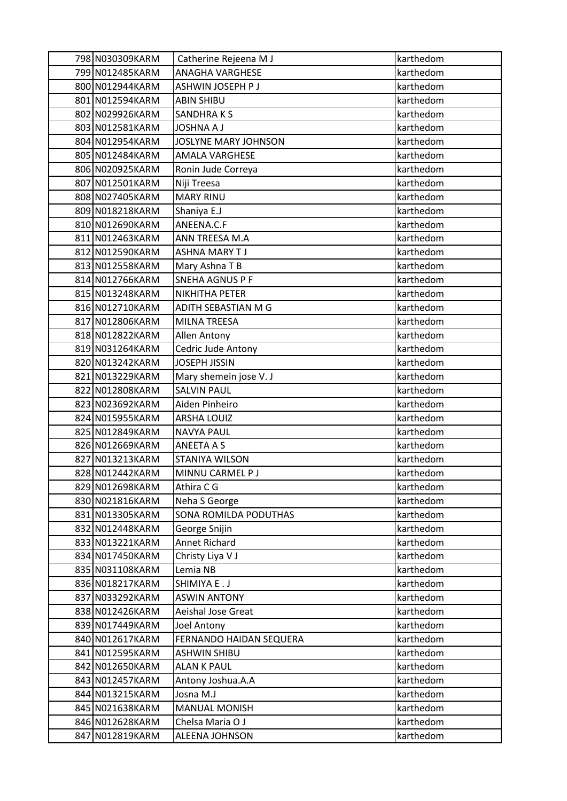| 798 N030309KARM | Catherine Rejeena M J   | karthedom |
|-----------------|-------------------------|-----------|
| 799 N012485KARM | <b>ANAGHA VARGHESE</b>  | karthedom |
| 800 N012944KARM | ASHWIN JOSEPH P J       | karthedom |
| 801 N012594KARM | <b>ABIN SHIBU</b>       | karthedom |
| 802 N029926KARM | SANDHRAKS               | karthedom |
| 803 N012581KARM | <b>JOSHNA A J</b>       | karthedom |
| 804 N012954KARM | JOSLYNE MARY JOHNSON    | karthedom |
| 805 N012484KARM | <b>AMALA VARGHESE</b>   | karthedom |
| 806 N020925KARM | Ronin Jude Correya      | karthedom |
| 807 N012501KARM | Niji Treesa             | karthedom |
| 808 N027405KARM | <b>MARY RINU</b>        | karthedom |
| 809 N018218KARM | Shaniya E.J             | karthedom |
| 810 N012690KARM | ANEENA.C.F              | karthedom |
| 811 N012463KARM | ANN TREESA M.A          | karthedom |
| 812 N012590KARM | <b>ASHNA MARY TJ</b>    | karthedom |
| 813 N012558KARM | Mary Ashna T B          | karthedom |
| 814 N012766KARM | <b>SNEHA AGNUS P F</b>  | karthedom |
| 815 N013248KARM | NIKHITHA PETER          | karthedom |
| 816 N012710KARM | ADITH SEBASTIAN M G     | karthedom |
| 817 N012806KARM | <b>MILNA TREESA</b>     | karthedom |
| 818 N012822KARM | Allen Antony            | karthedom |
| 819 N031264KARM | Cedric Jude Antony      | karthedom |
| 820 N013242KARM | <b>JOSEPH JISSIN</b>    | karthedom |
| 821 N013229KARM | Mary shemein jose V. J  | karthedom |
| 822 N012808KARM | <b>SALVIN PAUL</b>      | karthedom |
| 823 N023692KARM | Aiden Pinheiro          | karthedom |
| 824 N015955KARM | <b>ARSHA LOUIZ</b>      | karthedom |
| 825 N012849KARM | <b>NAVYA PAUL</b>       | karthedom |
| 826 N012669KARM | <b>ANEETA A S</b>       | karthedom |
| 827 N013213KARM | STANIYA WILSON          | karthedom |
| 828 N012442KARM | MINNU CARMEL P J        | karthedom |
| 829 N012698KARM | Athira C G              | karthedom |
| 830 N021816KARM | Neha S George           | karthedom |
| 831 N013305KARM | SONA ROMILDA PODUTHAS   | karthedom |
| 832 N012448KARM | George Snijin           | karthedom |
| 833 N013221KARM | <b>Annet Richard</b>    | karthedom |
| 834 N017450KARM | Christy Liya V J        | karthedom |
| 835 N031108KARM | Lemia NB                | karthedom |
| 836 N018217KARM | SHIMIYA E.J             | karthedom |
| 837 N033292KARM | <b>ASWIN ANTONY</b>     | karthedom |
| 838 N012426KARM | Aeishal Jose Great      | karthedom |
| 839 N017449KARM | Joel Antony             | karthedom |
| 840 N012617KARM | FERNANDO HAIDAN SEQUERA | karthedom |
| 841 N012595KARM | <b>ASHWIN SHIBU</b>     | karthedom |
| 842 N012650KARM | <b>ALAN K PAUL</b>      | karthedom |
| 843 N012457KARM | Antony Joshua.A.A       | karthedom |
| 844 N013215KARM | Josna M.J               | karthedom |
| 845 N021638KARM | <b>MANUAL MONISH</b>    | karthedom |
| 846 N012628KARM | Chelsa Maria O J        | karthedom |
| 847 N012819KARM | ALEENA JOHNSON          | karthedom |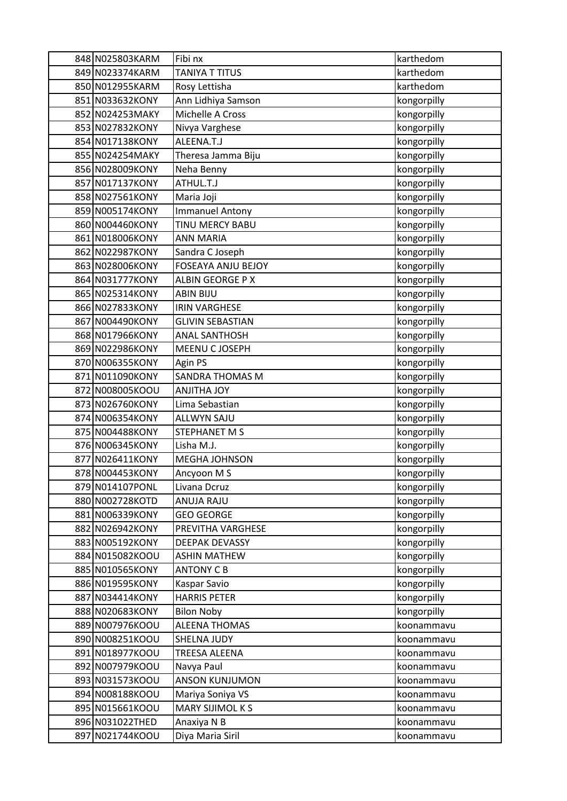| 848 N025803KARM                    | Fibi nx                                  | karthedom                  |
|------------------------------------|------------------------------------------|----------------------------|
| 849 N023374KARM                    | <b>TANIYA T TITUS</b>                    | karthedom                  |
| 850 N012955KARM                    | Rosy Lettisha                            | karthedom                  |
| 851 N033632KONY                    | Ann Lidhiya Samson                       | kongorpilly                |
| 852 N024253MAKY                    | Michelle A Cross                         | kongorpilly                |
| 853 N027832KONY                    | Nivya Varghese                           | kongorpilly                |
| 854 N017138KONY                    | ALEENA.T.J                               | kongorpilly                |
| 855 N024254MAKY                    | Theresa Jamma Biju                       | kongorpilly                |
| 856 N028009KONY                    | Neha Benny                               | kongorpilly                |
| 857 N017137KONY                    | ATHUL.T.J                                | kongorpilly                |
| 858 N027561KONY                    | Maria Joji                               | kongorpilly                |
| 859 N005174KONY                    | <b>Immanuel Antony</b>                   | kongorpilly                |
| 860 N004460KONY                    | TINU MERCY BABU                          | kongorpilly                |
| 861 N018006KONY                    | <b>ANN MARIA</b>                         | kongorpilly                |
| 862 N022987KONY                    | Sandra C Joseph                          | kongorpilly                |
| 863 N028006KONY                    | <b>FOSEAYA ANJU BEJOY</b>                | kongorpilly                |
| 864 N031777KONY                    | ALBIN GEORGE P X                         | kongorpilly                |
| 865 N025314KONY                    | <b>ABIN BIJU</b>                         | kongorpilly                |
| 866 N027833KONY                    | <b>IRIN VARGHESE</b>                     | kongorpilly                |
| 867 N004490KONY                    | <b>GLIVIN SEBASTIAN</b>                  | kongorpilly                |
| 868 N017966KONY                    | <b>ANAL SANTHOSH</b>                     | kongorpilly                |
| 869 N022986KONY                    | MEENU C JOSEPH                           | kongorpilly                |
| 870 N006355KONY                    | Agin PS                                  | kongorpilly                |
| 871 N011090KONY                    | <b>SANDRA THOMAS M</b>                   | kongorpilly                |
| 872 N008005KOOU                    | <b>YOL AHTILIA</b>                       | kongorpilly                |
| 873 N026760KONY                    | Lima Sebastian                           | kongorpilly                |
| 874 N006354KONY                    | <b>ALLWYN SAJU</b>                       | kongorpilly                |
| 875 N004488KONY                    | STEPHANET M S                            | kongorpilly                |
| 876 N006345KONY                    | Lisha M.J.                               | kongorpilly                |
| 877 N026411KONY                    | <b>MEGHA JOHNSON</b>                     | kongorpilly                |
| 878 N004453KONY                    | Ancyoon M S                              | kongorpilly                |
| 879 N014107PONL                    | Livana Dcruz                             | kongorpilly                |
| 880 N002728KOTD                    | <b>ANUJA RAJU</b>                        | kongorpilly                |
| 881 N006339KONY                    | <b>GEO GEORGE</b>                        | kongorpilly                |
| 882 N026942KONY                    | PREVITHA VARGHESE                        | kongorpilly                |
| 883 N005192KONY                    | <b>DEEPAK DEVASSY</b>                    | kongorpilly<br>kongorpilly |
| 884 N015082KOOU<br>885 N010565KONY | <b>ASHIN MATHEW</b><br><b>ANTONY C B</b> |                            |
| 886 N019595KONY                    | Kaspar Savio                             | kongorpilly<br>kongorpilly |
| 887 N034414KONY                    | <b>HARRIS PETER</b>                      | kongorpilly                |
| 888 N020683KONY                    | <b>Bilon Noby</b>                        | kongorpilly                |
| 889 N007976KOOU                    | <b>ALEENA THOMAS</b>                     | koonammavu                 |
| 890 N008251KOOU                    | <b>SHELNA JUDY</b>                       | koonammavu                 |
| 891 N018977KOOU                    | TREESA ALEENA                            | koonammavu                 |
| 892 N007979KOOU                    | Navya Paul                               | koonammavu                 |
| 893 N031573KOOU                    | <b>ANSON KUNJUMON</b>                    | koonammavu                 |
| 894 N008188KOOU                    | Mariya Soniya VS                         | koonammavu                 |
| 895 N015661KOOU                    | MARY SIJIMOL K S                         | koonammavu                 |
| 896 N031022THED                    | Anaxiya N B                              | koonammavu                 |
| 897 N021744KOOU                    | Diya Maria Siril                         | koonammavu                 |
|                                    |                                          |                            |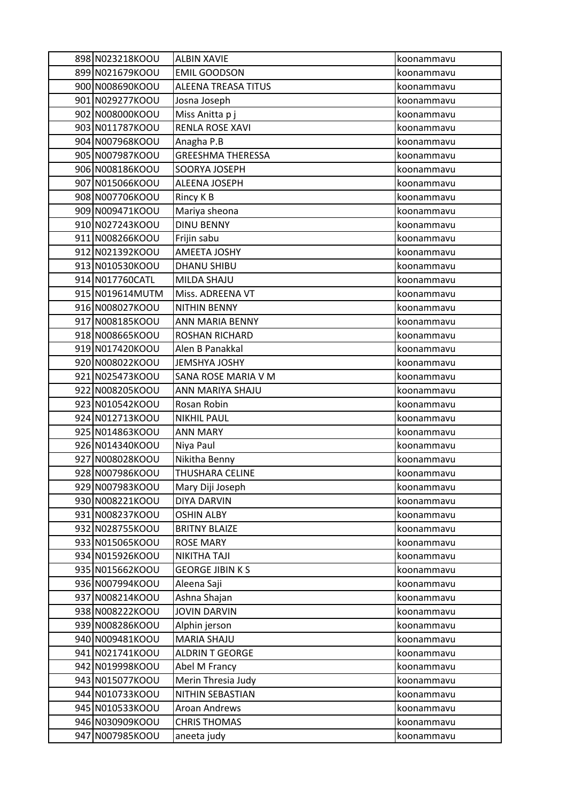| 898 N023218KOOU                    | <b>ALBIN XAVIE</b>          | koonammavu               |
|------------------------------------|-----------------------------|--------------------------|
| 899 N021679KOOU                    | <b>EMIL GOODSON</b>         | koonammavu               |
| 900 N008690KOOU                    | <b>ALEENA TREASA TITUS</b>  | koonammavu               |
| 901 N029277KOOU                    | Josna Joseph                | koonammavu               |
| 902 N008000KOOU                    | Miss Anitta p j             | koonammavu               |
| 903 N011787KOOU                    | RENLA ROSE XAVI             | koonammavu               |
| 904 N007968KOOU                    | Anagha P.B                  | koonammavu               |
| 905 N007987KOOU                    | <b>GREESHMA THERESSA</b>    | koonammavu               |
| 906 N008186KOOU                    | SOORYA JOSEPH               | koonammavu               |
| 907 N015066KOOU                    | ALEENA JOSEPH               | koonammavu               |
| 908 N007706KOOU                    | Rincy K B                   | koonammavu               |
| 909 N009471KOOU                    | Mariya sheona               | koonammavu               |
| 910 N027243KOOU                    | <b>DINU BENNY</b>           | koonammavu               |
| 911 N008266KOOU                    | Frijin sabu                 | koonammavu               |
| 912 N021392KOOU                    | AMEETA JOSHY                | koonammavu               |
| 913 N010530KOOU                    | <b>DHANU SHIBU</b>          | koonammavu               |
| 914 N017760CATL                    | MILDA SHAJU                 | koonammavu               |
| 915 N019614MUTM                    | Miss. ADREENA VT            | koonammavu               |
| 916 N008027KOOU                    | <b>NITHIN BENNY</b>         | koonammavu               |
| 917 N008185KOOU                    | ANN MARIA BENNY             | koonammavu               |
| 918 N008665KOOU                    | ROSHAN RICHARD              | koonammavu               |
| 919 N017420KOOU                    | Alen B Panakkal             | koonammavu               |
| 920 N008022KOOU                    | JEMSHYA JOSHY               | koonammavu               |
| 921 N025473KOOU                    | SANA ROSE MARIA V M         | koonammavu               |
| 922 N008205KOOU                    | ANN MARIYA SHAJU            | koonammavu               |
| 923 N010542KOOU                    | Rosan Robin                 | koonammavu               |
| 924 N012713KOOU                    | <b>NIKHIL PAUL</b>          | koonammavu               |
| 925 N014863KOOU                    | <b>ANN MARY</b>             | koonammavu               |
| 926 N014340KOOU                    | Niya Paul                   | koonammavu               |
| 927 N008028KOOU                    | Nikitha Benny               | koonammavu               |
| 928 N007986KOOU                    | <b>THUSHARA CELINE</b>      | koonammavu               |
| 929 N007983KOOU                    | Mary Diji Joseph            | koonammavu               |
| 930 N008221KOOU                    | <b>DIYA DARVIN</b>          | koonammavu               |
| 931 N008237KOOU                    | <b>OSHIN ALBY</b>           | koonammavu               |
| 932 N028755KOOU                    | <b>BRITNY BLAIZE</b>        | koonammavu               |
| 933 N015065KOOU                    | <b>ROSE MARY</b>            | koonammavu               |
| 934 N015926KOOU                    | <b>NIKITHA TAJI</b>         | koonammavu               |
| 935 N015662KOOU                    | <b>GEORGE JIBIN K S</b>     | koonammavu               |
| 936 N007994KOOU<br>937 N008214KOOU | Aleena Saji<br>Ashna Shajan | koonammavu               |
| 938 N008222KOOU                    | <b>JOVIN DARVIN</b>         | koonammavu<br>koonammavu |
| 939 N008286KOOU                    | Alphin jerson               | koonammavu               |
| 940 N009481KOOU                    | <b>MARIA SHAJU</b>          | koonammavu               |
| 941 N021741KOOU                    | <b>ALDRIN T GEORGE</b>      | koonammavu               |
| 942 N019998KOOU                    | Abel M Francy               | koonammavu               |
| 943 N015077KOOU                    | Merin Thresia Judy          | koonammavu               |
| 944 N010733KOOU                    | NITHIN SEBASTIAN            | koonammavu               |
| 945 N010533KOOU                    | Aroan Andrews               | koonammavu               |
| 946 N030909KOOU                    | <b>CHRIS THOMAS</b>         | koonammavu               |
| 947 N007985KOOU                    | aneeta judy                 | koonammavu               |
|                                    |                             |                          |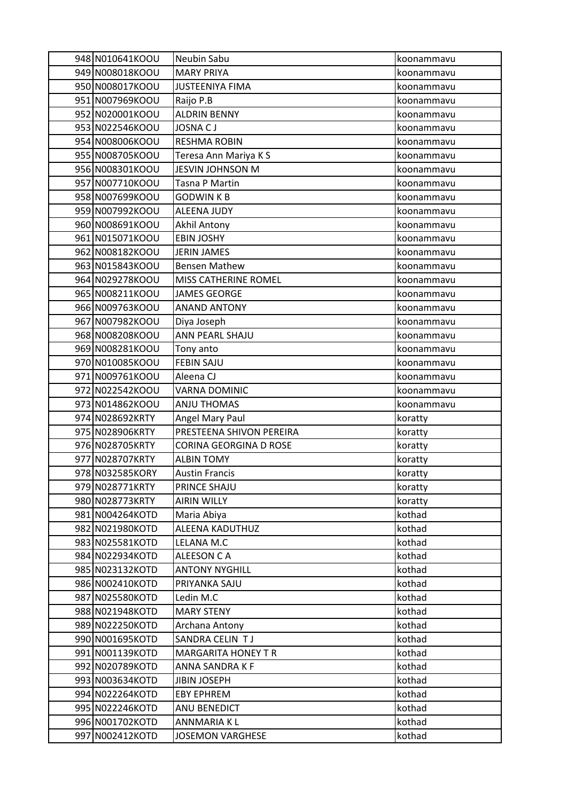| 948 N010641KOOU                    | Neubin Sabu                | koonammavu       |
|------------------------------------|----------------------------|------------------|
| 949 N008018KOOU                    | <b>MARY PRIYA</b>          | koonammavu       |
| 950 N008017KOOU                    | <b>JUSTEENIYA FIMA</b>     | koonammavu       |
| 951 N007969KOOU                    | Raijo P.B                  | koonammavu       |
| 952 N020001KOOU                    | <b>ALDRIN BENNY</b>        | koonammavu       |
| 953 N022546KOOU                    | <b>JOSNA CJ</b>            | koonammavu       |
| 954 N008006KOOU                    | <b>RESHMA ROBIN</b>        | koonammavu       |
| 955 N008705KOOU                    | Teresa Ann Mariya K S      | koonammavu       |
| 956 N008301KOOU                    | <b>JESVIN JOHNSON M</b>    | koonammavu       |
| 957 N007710KOOU                    | Tasna P Martin             | koonammavu       |
| 958 N007699KOOU                    | <b>GODWINKB</b>            | koonammavu       |
| 959 N007992KOOU                    | <b>ALEENA JUDY</b>         | koonammavu       |
| 960 N008691KOOU                    | Akhil Antony               | koonammavu       |
| 961 N015071KOOU                    | <b>EBIN JOSHY</b>          | koonammavu       |
| 962 N008182KOOU                    | <b>JERIN JAMES</b>         | koonammavu       |
| 963 N015843KOOU                    | <b>Bensen Mathew</b>       | koonammavu       |
| 964 N029278KOOU                    | MISS CATHERINE ROMEL       | koonammavu       |
| 965 N008211KOOU                    | <b>JAMES GEORGE</b>        | koonammavu       |
| 966 N009763KOOU                    | <b>ANAND ANTONY</b>        | koonammavu       |
| 967 N007982KOOU                    | Diya Joseph                | koonammavu       |
| 968 N008208KOOU                    | ANN PEARL SHAJU            | koonammavu       |
| 969 N008281KOOU                    | Tony anto                  | koonammavu       |
| 970 N010085KOOU                    | <b>FEBIN SAJU</b>          | koonammavu       |
| 971 N009761KOOU                    | Aleena CJ                  | koonammavu       |
| 972 N022542KOOU                    | VARNA DOMINIC              | koonammavu       |
| 973 N014862KOOU                    | <b>ANJU THOMAS</b>         | koonammavu       |
| 974 N028692KRTY                    | Angel Mary Paul            | koratty          |
| 975 N028906KRTY                    | PRESTEENA SHIVON PEREIRA   | koratty          |
| 976 N028705KRTY                    | CORINA GEORGINA D ROSE     | koratty          |
| 977 N028707KRTY                    | <b>ALBIN TOMY</b>          | koratty          |
| 978 N032585KORY                    | <b>Austin Francis</b>      | koratty          |
| 979 N028771KRTY                    | PRINCE SHAJU               | koratty          |
| 980 N028773KRTY                    | <b>AIRIN WILLY</b>         | koratty          |
| 981 N004264KOTD                    | Maria Abiya                | kothad           |
| 982 N021980KOTD                    | ALEENA KADUTHUZ            | kothad           |
| 983 N025581KOTD<br>984 N022934KOTD | LELANA M.C<br>ALEESON C A  | kothad<br>kothad |
| 985 N023132KOTD                    | <b>ANTONY NYGHILL</b>      | kothad           |
| 986 N002410KOTD                    | PRIYANKA SAJU              | kothad           |
| 987 N025580KOTD                    | Ledin M.C                  | kothad           |
| 988 N021948KOTD                    | <b>MARY STENY</b>          | kothad           |
| 989 N022250KOTD                    | Archana Antony             | kothad           |
| 990 N001695KOTD                    | SANDRA CELIN TJ            | kothad           |
| 991 N001139KOTD                    | <b>MARGARITA HONEY T R</b> | kothad           |
| 992 N020789KOTD                    | ANNA SANDRA K F            | kothad           |
| 993 N003634KOTD                    | <b>JIBIN JOSEPH</b>        | kothad           |
| 994 N022264KOTD                    | <b>EBY EPHREM</b>          | kothad           |
| 995 N022246KOTD                    | ANU BENEDICT               | kothad           |
| 996 N001702KOTD                    | ANNMARIA K L               | kothad           |
| 997 N002412KOTD                    | <b>JOSEMON VARGHESE</b>    | kothad           |
|                                    |                            |                  |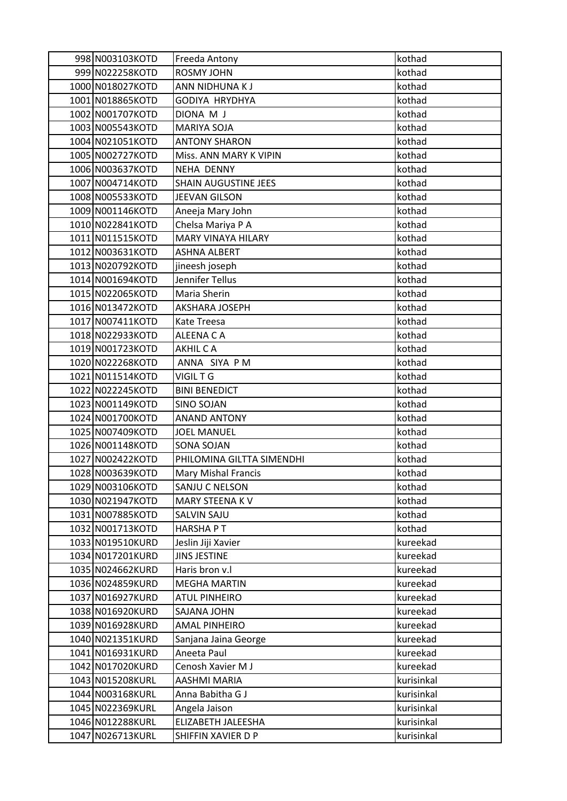| 998 N003103KOTD  | Freeda Antony              | kothad     |
|------------------|----------------------------|------------|
| 999 N022258KOTD  | ROSMY JOHN                 | kothad     |
| 1000 N018027KOTD | ANN NIDHUNA K J            | kothad     |
| 1001 N018865KOTD | GODIYA HRYDHYA             | kothad     |
| 1002 N001707KOTD | DIONA M J                  | kothad     |
| 1003 N005543KOTD | <b>MARIYA SOJA</b>         | kothad     |
| 1004 N021051KOTD | <b>ANTONY SHARON</b>       | kothad     |
| 1005 N002727KOTD | Miss. ANN MARY K VIPIN     | kothad     |
| 1006 N003637KOTD | <b>NEHA DENNY</b>          | kothad     |
| 1007 N004714KOTD | SHAIN AUGUSTINE JEES       | kothad     |
| 1008 N005533KOTD | JEEVAN GILSON              | kothad     |
| 1009 N001146KOTD | Aneeja Mary John           | kothad     |
| 1010 N022841KOTD | Chelsa Mariya P A          | kothad     |
| 1011 N011515KOTD | <b>MARY VINAYA HILARY</b>  | kothad     |
| 1012 N003631KOTD | <b>ASHNA ALBERT</b>        | kothad     |
| 1013 N020792KOTD | jineesh joseph             | kothad     |
| 1014 N001694KOTD | Jennifer Tellus            | kothad     |
| 1015 N022065KOTD | Maria Sherin               | kothad     |
| 1016 N013472KOTD | AKSHARA JOSEPH             | kothad     |
| 1017 N007411KOTD | Kate Treesa                | kothad     |
| 1018 N022933KOTD | ALEENA CA                  | kothad     |
| 1019 N001723KOTD | AKHIL C A                  | kothad     |
| 1020 N022268KOTD | ANNA SIYA PM               | kothad     |
| 1021 N011514KOTD | VIGIL T G                  | kothad     |
| 1022 N022245KOTD | <b>BINI BENEDICT</b>       | kothad     |
| 1023 N001149KOTD | <b>SINO SOJAN</b>          | kothad     |
| 1024 N001700KOTD | <b>ANAND ANTONY</b>        | kothad     |
| 1025 N007409KOTD | <b>JOEL MANUEL</b>         | kothad     |
| 1026 N001148KOTD | <b>SONA SOJAN</b>          | kothad     |
| 1027 N002422KOTD | PHILOMINA GILTTA SIMENDHI  | kothad     |
| 1028 N003639KOTD | <b>Mary Mishal Francis</b> | kothad     |
| 1029 N003106KOTD | SANJU C NELSON             | kothad     |
| 1030 N021947KOTD | MARY STEENA KV             | kothad     |
| 1031 N007885KOTD | SALVIN SAJU                | kothad     |
| 1032 N001713KOTD | <b>HARSHAPT</b>            | kothad     |
| 1033 N019510KURD | Jeslin Jiji Xavier         | kureekad   |
| 1034 N017201KURD | <b>JINS JESTINE</b>        | kureekad   |
| 1035 N024662KURD | Haris bron v.l             | kureekad   |
| 1036 N024859KURD | <b>MEGHA MARTIN</b>        | kureekad   |
| 1037 N016927KURD | <b>ATUL PINHEIRO</b>       | kureekad   |
| 1038 N016920KURD | SAJANA JOHN                | kureekad   |
| 1039 N016928KURD | <b>AMAL PINHEIRO</b>       | kureekad   |
| 1040 N021351KURD | Sanjana Jaina George       | kureekad   |
| 1041 N016931KURD | Aneeta Paul                | kureekad   |
| 1042 N017020KURD | Cenosh Xavier M J          | kureekad   |
| 1043 N015208KURL | AASHMI MARIA               | kurisinkal |
| 1044 N003168KURL | Anna Babitha G J           | kurisinkal |
| 1045 N022369KURL | Angela Jaison              | kurisinkal |
| 1046 N012288KURL | ELIZABETH JALEESHA         | kurisinkal |
| 1047 N026713KURL | SHIFFIN XAVIER D P         | kurisinkal |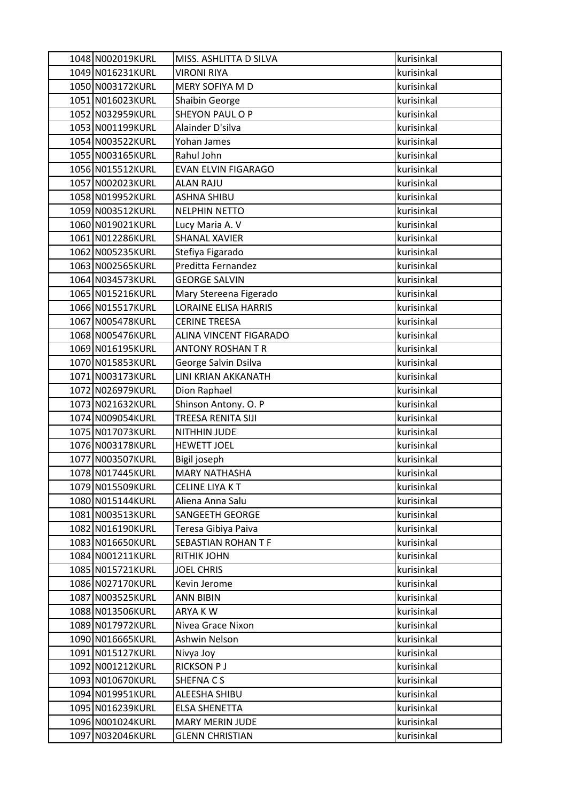| 1048 N002019KURL                     | MISS. ASHLITTA D SILVA       | kurisinkal               |
|--------------------------------------|------------------------------|--------------------------|
| 1049 N016231KURL                     | <b>VIRONI RIYA</b>           | kurisinkal               |
| 1050 N003172KURL                     | MERY SOFIYA M D              | kurisinkal               |
| 1051 N016023KURL                     | Shaibin George               | kurisinkal               |
| 1052 N032959KURL                     | <b>SHEYON PAUL O P</b>       | kurisinkal               |
| 1053 N001199KURL                     | Alainder D'silva             | kurisinkal               |
| 1054 N003522KURL                     | Yohan James                  | kurisinkal               |
| 1055 N003165KURL                     | Rahul John                   | kurisinkal               |
| 1056 N015512KURL                     | <b>EVAN ELVIN FIGARAGO</b>   | kurisinkal               |
| 1057 N002023KURL                     | <b>ALAN RAJU</b>             | kurisinkal               |
| 1058 N019952KURL                     | <b>ASHNA SHIBU</b>           | kurisinkal               |
| 1059 N003512KURL                     | <b>NELPHIN NETTO</b>         | kurisinkal               |
| 1060 N019021KURL                     | Lucy Maria A. V              | kurisinkal               |
| 1061 N012286KURL                     | <b>SHANAL XAVIER</b>         | kurisinkal               |
| 1062 N005235KURL                     | Stefiya Figarado             | kurisinkal               |
| 1063 N002565KURL                     | Preditta Fernandez           | kurisinkal               |
| 1064 N034573KURL                     | <b>GEORGE SALVIN</b>         | kurisinkal               |
| 1065 N015216KURL                     | Mary Stereena Figerado       | kurisinkal               |
| 1066 N015517KURL                     | <b>LORAINE ELISA HARRIS</b>  | kurisinkal               |
| 1067 N005478KURL                     | <b>CERINE TREESA</b>         | kurisinkal               |
| 1068 N005476KURL                     | ALINA VINCENT FIGARADO       | kurisinkal               |
| 1069 N016195KURL                     | <b>ANTONY ROSHAN T R</b>     | kurisinkal               |
| 1070 N015853KURL                     | George Salvin Dsilva         | kurisinkal               |
| 1071 N003173KURL                     | LINI KRIAN AKKANATH          | kurisinkal               |
| 1072 N026979KURL                     | Dion Raphael                 | kurisinkal               |
| 1073 N021632KURL                     | Shinson Antony. O. P         | kurisinkal               |
| 1074 N009054KURL                     | TREESA RENITA SIJI           | kurisinkal               |
| 1075 N017073KURL                     | NITHHIN JUDE                 | kurisinkal               |
| 1076 N003178KURL                     | <b>HEWETT JOEL</b>           | kurisinkal               |
| 1077 N003507KURL                     | Bigil joseph                 | kurisinkal               |
| 1078 N017445KURL                     | <b>MARY NATHASHA</b>         | kurisinkal               |
| 1079 N015509KURL                     | <b>CELINE LIYAKT</b>         | kurisinkal               |
| 1080 N015144KURL                     | Aliena Anna Salu             | kurisinkal               |
| 1081 N003513KURL                     | <b>SANGEETH GEORGE</b>       | kurisinkal               |
| 1082 N016190KURL                     | Teresa Gibiya Paiva          | kurisinkal               |
| 1083 N016650KURL                     | SEBASTIAN ROHAN T F          | kurisinkal               |
| 1084 N001211KURL                     | <b>RITHIK JOHN</b>           | kurisinkal               |
| 1085 N015721KURL                     | <b>JOEL CHRIS</b>            | kurisinkal               |
| 1086 N027170KURL<br>1087 N003525KURL | Kevin Jerome                 | kurisinkal<br>kurisinkal |
| 1088 N013506KURL                     | <b>ANN BIBIN</b>             |                          |
| 1089 N017972KURL                     | ARYA KW<br>Nivea Grace Nixon | kurisinkal<br>kurisinkal |
| 1090 N016665KURL                     | Ashwin Nelson                | kurisinkal               |
| 1091 N015127KURL                     | Nivya Joy                    | kurisinkal               |
| 1092 N001212KURL                     | <b>RICKSON PJ</b>            | kurisinkal               |
| 1093 N010670KURL                     | SHEFNA C S                   | kurisinkal               |
| 1094 N019951KURL                     | ALEESHA SHIBU                | kurisinkal               |
| 1095 N016239KURL                     | <b>ELSA SHENETTA</b>         | kurisinkal               |
| 1096 N001024KURL                     | <b>MARY MERIN JUDE</b>       | kurisinkal               |
| 1097 N032046KURL                     | <b>GLENN CHRISTIAN</b>       | kurisinkal               |
|                                      |                              |                          |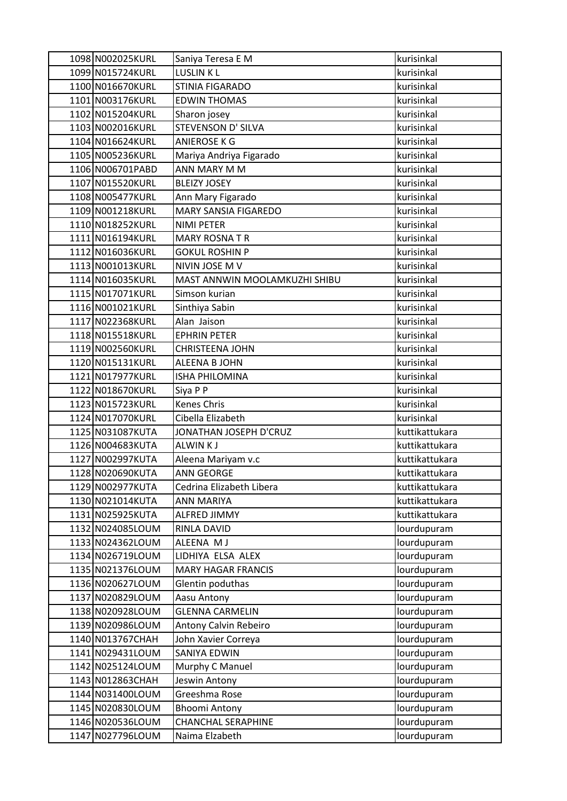| 1098 N002025KURL | Saniya Teresa E M             | kurisinkal     |
|------------------|-------------------------------|----------------|
| 1099 N015724KURL | LUSLIN KL                     | kurisinkal     |
| 1100 N016670KURL | STINIA FIGARADO               | kurisinkal     |
| 1101 N003176KURL | <b>EDWIN THOMAS</b>           | kurisinkal     |
| 1102 N015204KURL | Sharon josey                  | kurisinkal     |
| 1103 N002016KURL | STEVENSON D' SILVA            | kurisinkal     |
| 1104 N016624KURL | ANIEROSE K G                  | kurisinkal     |
| 1105 N005236KURL | Mariya Andriya Figarado       | kurisinkal     |
| 1106 N006701PABD | ANN MARY M M                  | kurisinkal     |
| 1107 N015520KURL | <b>BLEIZY JOSEY</b>           | kurisinkal     |
| 1108 N005477KURL | Ann Mary Figarado             | kurisinkal     |
| 1109 N001218KURL | MARY SANSIA FIGAREDO          | kurisinkal     |
| 1110 N018252KURL | NIMI PETER                    | kurisinkal     |
| 1111 N016194KURL | <b>MARY ROSNATR</b>           | kurisinkal     |
| 1112 N016036KURL | <b>GOKUL ROSHIN P</b>         | kurisinkal     |
| 1113 N001013KURL | NIVIN JOSE M V                | kurisinkal     |
| 1114 N016035KURL | MAST ANNWIN MOOLAMKUZHI SHIBU | kurisinkal     |
| 1115 N017071KURL | Simson kurian                 | kurisinkal     |
| 1116 N001021KURL | Sinthiya Sabin                | kurisinkal     |
| 1117 N022368KURL | Alan Jaison                   | kurisinkal     |
| 1118 N015518KURL | <b>EPHRIN PETER</b>           | kurisinkal     |
| 1119 N002560KURL | CHRISTEENA JOHN               | kurisinkal     |
| 1120 N015131KURL | ALEENA B JOHN                 | kurisinkal     |
| 1121 N017977KURL | <b>ISHA PHILOMINA</b>         | kurisinkal     |
| 1122 N018670KURL | Siya P P                      | kurisinkal     |
| 1123 N015723KURL | <b>Kenes Chris</b>            | kurisinkal     |
| 1124 N017070KURL | Cibella Elizabeth             | kurisinkal     |
| 1125 N031087KUTA | JONATHAN JOSEPH D'CRUZ        | kuttikattukara |
| 1126 N004683KUTA | <b>ALWINKJ</b>                | kuttikattukara |
| 1127 N002997KUTA | Aleena Mariyam v.c            | kuttikattukara |
| 1128 N020690KUTA | <b>ANN GEORGE</b>             | kuttikattukara |
| 1129 N002977KUTA | Cedrina Elizabeth Libera      | kuttikattukara |
| 1130 N021014KUTA | ANN MARIYA                    | kuttikattukara |
| 1131 N025925KUTA | ALFRED JIMMY                  | kuttikattukara |
| 1132 N024085LOUM | RINLA DAVID                   | lourdupuram    |
| 1133 N024362LOUM | ALEENA M J                    | lourdupuram    |
| 1134 N026719LOUM | LIDHIYA ELSA ALEX             | lourdupuram    |
| 1135 N021376LOUM | <b>MARY HAGAR FRANCIS</b>     | lourdupuram    |
| 1136 N020627LOUM | Glentin poduthas              | lourdupuram    |
| 1137 N020829LOUM | Aasu Antony                   | lourdupuram    |
| 1138 N020928LOUM | <b>GLENNA CARMELIN</b>        | lourdupuram    |
| 1139 N020986LOUM | Antony Calvin Rebeiro         | lourdupuram    |
| 1140 N013767CHAH | John Xavier Correya           | lourdupuram    |
| 1141 N029431LOUM | SANIYA EDWIN                  | lourdupuram    |
| 1142 N025124LOUM | Murphy C Manuel               | lourdupuram    |
| 1143 N012863CHAH | Jeswin Antony                 | lourdupuram    |
| 1144 N031400LOUM | Greeshma Rose                 | lourdupuram    |
| 1145 N020830LOUM | <b>Bhoomi Antony</b>          | lourdupuram    |
| 1146 N020536LOUM | CHANCHAL SERAPHINE            | lourdupuram    |
| 1147 N027796LOUM | Naima Elzabeth                | lourdupuram    |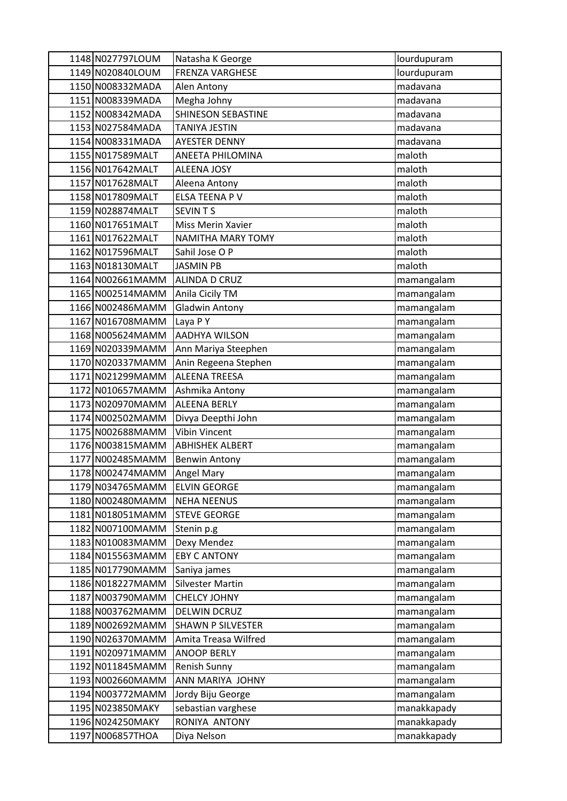| 1148 N027797LOUM | Natasha K George          | lourdupuram |
|------------------|---------------------------|-------------|
| 1149 N020840LOUM | <b>FRENZA VARGHESE</b>    | lourdupuram |
| 1150 N008332MADA | Alen Antony               | madavana    |
| 1151 N008339MADA | Megha Johny               | madavana    |
| 1152 N008342MADA | <b>SHINESON SEBASTINE</b> | madavana    |
| 1153 N027584MADA | TANIYA JESTIN             | madavana    |
| 1154 N008331MADA | <b>AYESTER DENNY</b>      | madavana    |
| 1155 N017589MALT | ANEETA PHILOMINA          | maloth      |
| 1156 N017642MALT | <b>ALEENA JOSY</b>        | maloth      |
| 1157 N017628MALT | Aleena Antony             | maloth      |
| 1158 N017809MALT | <b>ELSA TEENA PV</b>      | maloth      |
| 1159 N028874MALT | <b>SEVINTS</b>            | maloth      |
| 1160 N017651MALT | Miss Merin Xavier         | maloth      |
| 1161 N017622MALT | <b>NAMITHA MARY TOMY</b>  | maloth      |
| 1162 N017596MALT | Sahil Jose O P            | maloth      |
| 1163 N018130MALT | <b>JASMIN PB</b>          | maloth      |
| 1164 N002661MAMM | ALINDA D CRUZ             | mamangalam  |
| 1165 N002514MAMM | Anila Cicily TM           | mamangalam  |
| 1166 N002486MAMM | <b>Gladwin Antony</b>     | mamangalam  |
| 1167 N016708MAMM | Laya PY                   | mamangalam  |
| 1168 N005624MAMM | <b>AADHYA WILSON</b>      | mamangalam  |
| 1169 N020339MAMM | Ann Mariya Steephen       | mamangalam  |
| 1170 N020337MAMM | Anin Regeena Stephen      | mamangalam  |
| 1171 N021299MAMM | <b>ALEENA TREESA</b>      | mamangalam  |
| 1172 N010657MAMM | Ashmika Antony            | mamangalam  |
| 1173 N020970MAMM | <b>ALEENA BERLY</b>       | mamangalam  |
| 1174 N002502MAMM | Divya Deepthi John        | mamangalam  |
| 1175 N002688MAMM | <b>Vibin Vincent</b>      | mamangalam  |
| 1176 N003815MAMM | <b>ABHISHEK ALBERT</b>    | mamangalam  |
| 1177 N002485MAMM | <b>Benwin Antony</b>      | mamangalam  |
| 1178 N002474MAMM | <b>Angel Mary</b>         | mamangalam  |
| 1179 N034765MAMM | <b>ELVIN GEORGE</b>       | mamangalam  |
| 1180 N002480MAMM | <b>NEHA NEENUS</b>        | mamangalam  |
| 1181 N018051MAMM | <b>STEVE GEORGE</b>       | mamangalam  |
| 1182 N007100MAMM | Stenin p.g                | mamangalam  |
| 1183 N010083MAMM | Dexy Mendez               | mamangalam  |
| 1184 N015563MAMM | <b>EBY C ANTONY</b>       | mamangalam  |
| 1185 N017790MAMM | Saniya james              | mamangalam  |
| 1186 N018227MAMM | <b>Silvester Martin</b>   | mamangalam  |
| 1187 N003790MAMM | <b>CHELCY JOHNY</b>       | mamangalam  |
| 1188 N003762MAMM | DELWIN DCRUZ              | mamangalam  |
| 1189 N002692MAMM | <b>SHAWN P SILVESTER</b>  | mamangalam  |
| 1190 N026370MAMM | Amita Treasa Wilfred      | mamangalam  |
| 1191 N020971MAMM | <b>ANOOP BERLY</b>        | mamangalam  |
| 1192 N011845MAMM | Renish Sunny              | mamangalam  |
| 1193 N002660MAMM | ANN MARIYA JOHNY          | mamangalam  |
| 1194 N003772MAMM | Jordy Biju George         | mamangalam  |
| 1195 N023850MAKY | sebastian varghese        | manakkapady |
| 1196 N024250MAKY | RONIYA ANTONY             | manakkapady |
| 1197 N006857THOA | Diya Nelson               | manakkapady |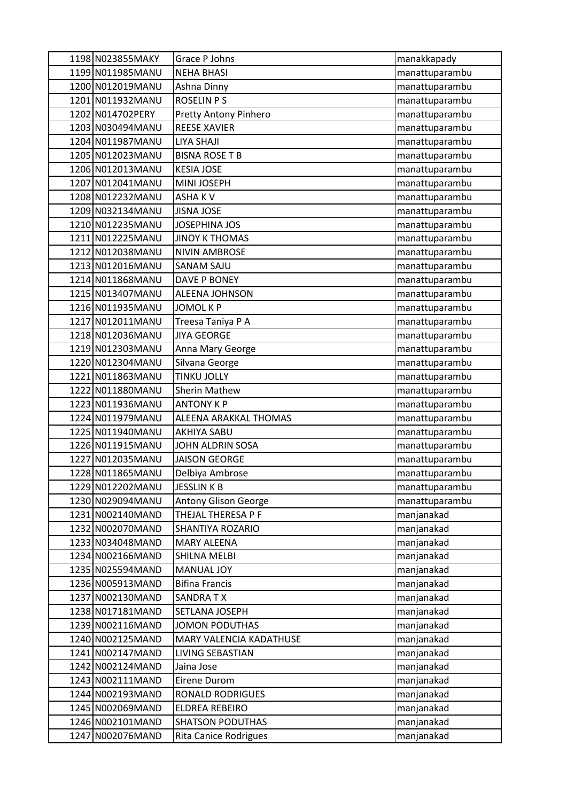| 1198 N023855MAKY  | Grace P Johns                | manakkapady    |
|-------------------|------------------------------|----------------|
| 1199 N011985MANU  | <b>NEHA BHASI</b>            | manattuparambu |
| 1200 N012019MANU  | Ashna Dinny                  | manattuparambu |
| 1201 N011932MANU  | <b>ROSELIN P S</b>           | manattuparambu |
| 1202 N014702PERY  | Pretty Antony Pinhero        | manattuparambu |
| 1203 N030494MANU  | <b>REESE XAVIER</b>          | manattuparambu |
| 1204 N011987MANU  | <b>LIYA SHAJI</b>            | manattuparambu |
| 1205 N012023MANU  | <b>BISNA ROSE T B</b>        | manattuparambu |
| 1206 N012013MANU  | <b>KESIA JOSE</b>            | manattuparambu |
| 1207 N012041MANU  | MINI JOSEPH                  | manattuparambu |
| 1208 N012232MANU  | <b>ASHAKV</b>                | manattuparambu |
| 1209 N032134MANU  | <b>JISNA JOSE</b>            | manattuparambu |
| 1210 N012235MANU  | JOSEPHINA JOS                | manattuparambu |
| 1211 N012225MANU  | <b>JINOY K THOMAS</b>        | manattuparambu |
| 1212 N012038MANU  | <b>NIVIN AMBROSE</b>         | manattuparambu |
| 1213 N012016MANU  | <b>SANAM SAJU</b>            | manattuparambu |
| 1214 N011868MANU  | DAVE P BONEY                 | manattuparambu |
| 1215 N013407 MANU | <b>ALEENA JOHNSON</b>        | manattuparambu |
| 1216 N011935MANU  | <b>JOMOL K P</b>             | manattuparambu |
| 1217 N012011MANU  | Treesa Taniya P A            | manattuparambu |
| 1218 N012036MANU  | <b>JIYA GEORGE</b>           | manattuparambu |
| 1219 N012303MANU  | Anna Mary George             | manattuparambu |
| 1220 N012304MANU  | Silvana George               | manattuparambu |
| 1221 N011863MANU  | <b>TINKU JOLLY</b>           | manattuparambu |
| 1222 N011880MANU  | <b>Sherin Mathew</b>         | manattuparambu |
| 1223 N011936MANU  | <b>ANTONY K P</b>            | manattuparambu |
| 1224 N011979MANU  | ALEENA ARAKKAL THOMAS        | manattuparambu |
| 1225 N011940MANU  | <b>AKHIYA SABU</b>           | manattuparambu |
| 1226 N011915MANU  | JOHN ALDRIN SOSA             | manattuparambu |
| 1227 N012035MANU  | <b>JAISON GEORGE</b>         | manattuparambu |
| 1228 N011865MANU  | Delbiya Ambrose              | manattuparambu |
| 1229 N012202MANU  | <b>JESSLINKB</b>             | manattuparambu |
| 1230 N029094MANU  | <b>Antony Glison George</b>  | manattuparambu |
| 1231 N002140MAND  | THEJAL THERESA P F           | manjanakad     |
| 1232 N002070MAND  | SHANTIYA ROZARIO             | manjanakad     |
| 1233 N034048MAND  | <b>MARY ALEENA</b>           | manjanakad     |
| 1234 N002166MAND  | SHILNA MELBI                 | manjanakad     |
| 1235 N025594MAND  | <b>MANUAL JOY</b>            | manjanakad     |
| 1236 N005913MAND  | <b>Bifina Francis</b>        | manjanakad     |
| 1237 N002130MAND  | SANDRA TX                    | manjanakad     |
| 1238 N017181MAND  | SETLANA JOSEPH               | manjanakad     |
| 1239 N002116MAND  | <b>JOMON PODUTHAS</b>        | manjanakad     |
| 1240 N002125MAND  | MARY VALENCIA KADATHUSE      | manjanakad     |
| 1241 N002147MAND  | LIVING SEBASTIAN             | manjanakad     |
| 1242 N002124MAND  | Jaina Jose                   | manjanakad     |
| 1243 N002111MAND  | Eirene Durom                 | manjanakad     |
| 1244 N002193MAND  | RONALD RODRIGUES             | manjanakad     |
| 1245 N002069MAND  | ELDREA REBEIRO               | manjanakad     |
| 1246 N002101MAND  | <b>SHATSON PODUTHAS</b>      | manjanakad     |
| 1247 N002076MAND  | <b>Rita Canice Rodrigues</b> | manjanakad     |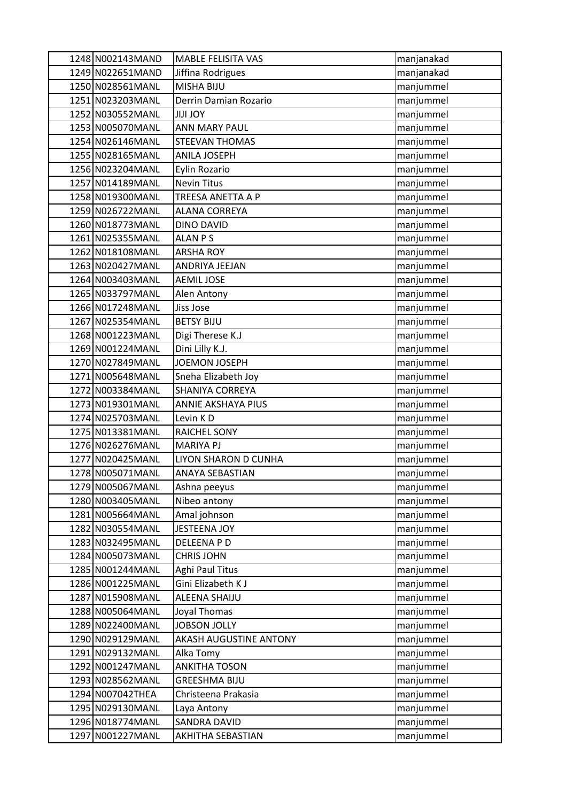| 1248 N002143MAND  | <b>MABLE FELISITA VAS</b> | manjanakad |
|-------------------|---------------------------|------------|
| 1249 N022651MAND  | Jiffina Rodrigues         | manjanakad |
| 1250 N028561MANL  | MISHA BIJU                | manjummel  |
| 1251 N023203MANL  | Derrin Damian Rozario     | manjummel  |
| 1252 N030552MANL  | <b>YOL ILIL</b>           | manjummel  |
| 1253 N005070MANL  | <b>ANN MARY PAUL</b>      | manjummel  |
| 1254 N026146MANL  | STEEVAN THOMAS            | manjummel  |
| 1255 N028165MANL  | <b>ANILA JOSEPH</b>       | manjummel  |
| 1256 N023204 MANL | Eylin Rozario             | manjummel  |
| 1257 N014189MANL  | <b>Nevin Titus</b>        | manjummel  |
| 1258 N019300MANL  | TREESA ANETTA A P         | manjummel  |
| 1259 N026722MANL  | <b>ALANA CORREYA</b>      | manjummel  |
| 1260 N018773MANL  | <b>DINO DAVID</b>         | manjummel  |
| 1261 N025355MANL  | <b>ALAN PS</b>            | manjummel  |
| 1262 N018108MANL  | <b>ARSHA ROY</b>          | manjummel  |
| 1263 N020427MANL  | ANDRIYA JEEJAN            | manjummel  |
| 1264 N003403MANL  | <b>AEMIL JOSE</b>         | manjummel  |
| 1265 N033797MANL  | Alen Antony               | manjummel  |
| 1266 N017248MANL  | Jiss Jose                 | manjummel  |
| 1267 N025354 MANL | <b>BETSY BIJU</b>         | manjummel  |
| 1268 N001223MANL  | Digi Therese K.J          | manjummel  |
| 1269 N001224MANL  | Dini Lilly K.J.           | manjummel  |
| 1270 N027849MANL  | JOEMON JOSEPH             | manjummel  |
| 1271 N005648MANL  | Sneha Elizabeth Joy       | manjummel  |
| 1272 N003384MANL  | SHANIYA CORREYA           | manjummel  |
| 1273 N019301MANL  | ANNIE AKSHAYA PIUS        | manjummel  |
| 1274 N025703 MANL | Levin KD                  | manjummel  |
| 1275 N013381MANL  | <b>RAICHEL SONY</b>       | manjummel  |
| 1276 N026276MANL  | <b>MARIYA PJ</b>          | manjummel  |
| 1277 N020425MANL  | LIYON SHARON D CUNHA      | manjummel  |
| 1278 N005071MANL  | <b>ANAYA SEBASTIAN</b>    | manjummel  |
| 1279 N005067MANL  | Ashna peeyus              | manjummel  |
| 1280 N003405MANL  | Nibeo antony              | manjummel  |
| 1281 N005664MANL  | Amal johnson              | manjummel  |
| 1282 N030554MANL  | JESTEENA JOY              | manjummel  |
| 1283 N032495MANL  | DELEENA P D               | manjummel  |
| 1284 N005073MANL  | <b>CHRIS JOHN</b>         | manjummel  |
| 1285 N001244MANL  | Aghi Paul Titus           | manjummel  |
| 1286 N001225MANL  | Gini Elizabeth K J        | manjummel  |
| 1287 N015908MANL  | ALEENA SHAIJU             | manjummel  |
| 1288 N005064MANL  | Joyal Thomas              | manjummel  |
| 1289 N022400MANL  | <b>JOBSON JOLLY</b>       | manjummel  |
| 1290 N029129MANL  | AKASH AUGUSTINE ANTONY    | manjummel  |
| 1291 N029132MANL  | Alka Tomy                 | manjummel  |
| 1292 N001247MANL  | <b>ANKITHA TOSON</b>      | manjummel  |
| 1293 N028562MANL  | <b>GREESHMA BIJU</b>      | manjummel  |
| 1294 N007042THEA  | Christeena Prakasia       | manjummel  |
| 1295 N029130MANL  | Laya Antony               | manjummel  |
| 1296 N018774MANL  | SANDRA DAVID              | manjummel  |
| 1297 N001227MANL  | AKHITHA SEBASTIAN         | manjummel  |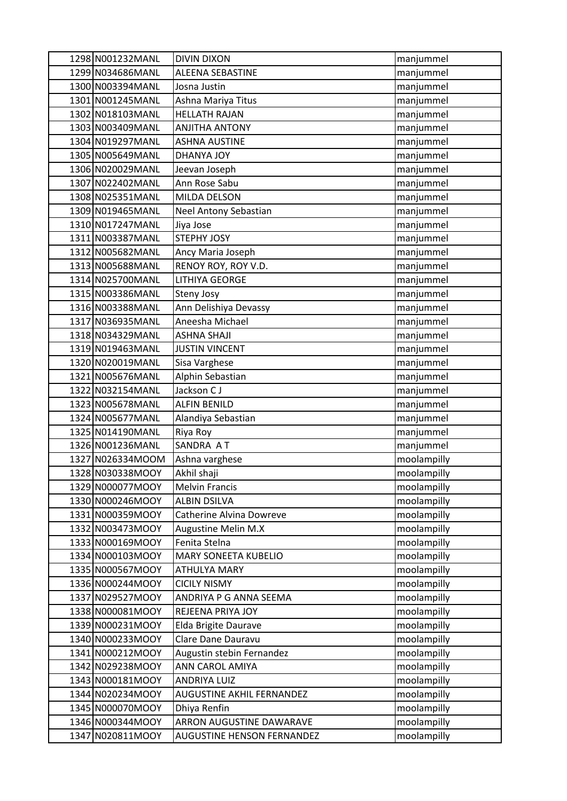| 1298 N001232MANL | <b>DIVIN DIXON</b>          | manjummel   |
|------------------|-----------------------------|-------------|
| 1299 N034686MANL | ALEENA SEBASTINE            | manjummel   |
| 1300 N003394MANL | Josna Justin                | manjummel   |
| 1301 N001245MANL | Ashna Mariya Titus          | manjummel   |
| 1302 N018103MANL | <b>HELLATH RAJAN</b>        | manjummel   |
| 1303 N003409MANL | <b>ANJITHA ANTONY</b>       | manjummel   |
| 1304 N019297MANL | <b>ASHNA AUSTINE</b>        | manjummel   |
| 1305 N005649MANL | <b>DHANYA JOY</b>           | manjummel   |
| 1306 N020029MANL | Jeevan Joseph               | manjummel   |
| 1307 N022402MANL | Ann Rose Sabu               | manjummel   |
| 1308 N025351MANL | MILDA DELSON                | manjummel   |
| 1309 N019465MANL | Neel Antony Sebastian       | manjummel   |
| 1310 N017247MANL | Jiya Jose                   | manjummel   |
| 1311 N003387MANL | <b>STEPHY JOSY</b>          | manjummel   |
| 1312 N005682MANL | Ancy Maria Joseph           | manjummel   |
| 1313 N005688MANL | RENOY ROY, ROY V.D.         | manjummel   |
| 1314 N025700MANL | <b>LITHIYA GEORGE</b>       | manjummel   |
| 1315 N003386MANL | <b>Steny Josy</b>           | manjummel   |
| 1316 N003388MANL | Ann Delishiya Devassy       | manjummel   |
| 1317 N036935MANL | Aneesha Michael             | manjummel   |
| 1318 N034329MANL | <b>ASHNA SHAJI</b>          | manjummel   |
| 1319 N019463MANL | <b>JUSTIN VINCENT</b>       | manjummel   |
| 1320 N020019MANL | Sisa Varghese               | manjummel   |
| 1321 N005676MANL | Alphin Sebastian            | manjummel   |
| 1322 N032154MANL | Jackson CJ                  | manjummel   |
| 1323 N005678MANL | <b>ALFIN BENILD</b>         | manjummel   |
| 1324 N005677MANL | Alandiya Sebastian          | manjummel   |
| 1325 N014190MANL | Riya Roy                    | manjummel   |
| 1326 N001236MANL | SANDRA AT                   | manjummel   |
| 1327 N026334MOOM | Ashna varghese              | moolampilly |
| 1328 N030338MOOY | Akhil shaji                 | moolampilly |
| 1329 N000077MOOY | <b>Melvin Francis</b>       | moolampilly |
| 1330 N000246MOOY | <b>ALBIN DSILVA</b>         | moolampilly |
| 1331 N000359MOOY | Catherine Alvina Dowreve    | moolampilly |
| 1332 N003473MOOY | Augustine Melin M.X         | moolampilly |
| 1333 N000169MOOY | Fenita Stelna               | moolampilly |
| 1334 N000103MOOY | <b>MARY SONEETA KUBELIO</b> | moolampilly |
| 1335 N000567MOOY | ATHULYA MARY                | moolampilly |
| 1336 N000244MOOY | <b>CICILY NISMY</b>         | moolampilly |
| 1337 N029527MOOY | ANDRIYA P G ANNA SEEMA      | moolampilly |
| 1338 N000081MOOY | REJEENA PRIYA JOY           | moolampilly |
| 1339 N000231MOOY | Elda Brigite Daurave        | moolampilly |
| 1340 N000233MOOY | Clare Dane Dauravu          | moolampilly |
| 1341 N000212MOOY | Augustin stebin Fernandez   | moolampilly |
| 1342 N029238MOOY | ANN CAROL AMIYA             | moolampilly |
| 1343 N000181MOOY | <b>ANDRIYA LUIZ</b>         | moolampilly |
| 1344 N020234MOOY | AUGUSTINE AKHIL FERNANDEZ   | moolampilly |
| 1345 N000070MOOY | Dhiya Renfin                | moolampilly |
| 1346 N000344MOOY | ARRON AUGUSTINE DAWARAVE    | moolampilly |
| 1347 N020811MOOY | AUGUSTINE HENSON FERNANDEZ  | moolampilly |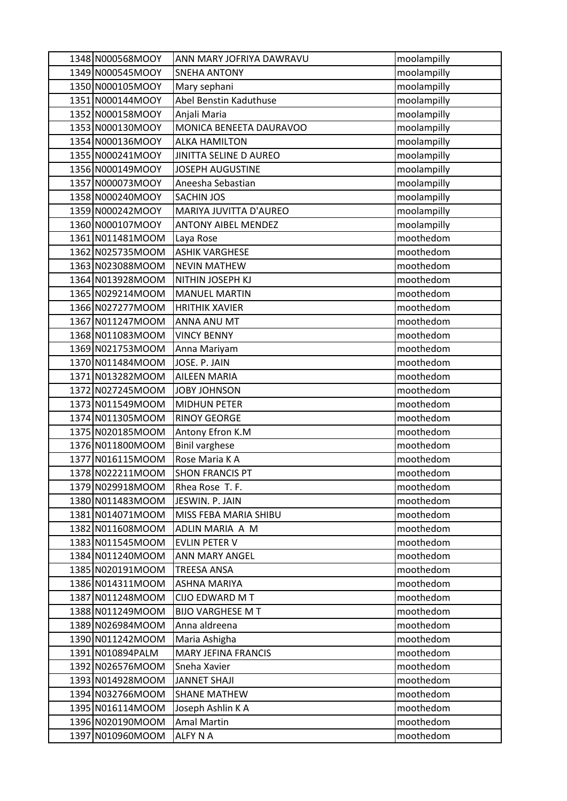| 1348 N000568MOOY | ANN MARY JOFRIYA DAWRAVU   | moolampilly |
|------------------|----------------------------|-------------|
| 1349 N000545MOOY | <b>SNEHA ANTONY</b>        | moolampilly |
| 1350 N000105MOOY | Mary sephani               | moolampilly |
| 1351 N000144MOOY | Abel Benstin Kaduthuse     | moolampilly |
| 1352 N000158MOOY | Anjali Maria               | moolampilly |
| 1353 N000130MOOY | MONICA BENEETA DAURAVOO    | moolampilly |
| 1354 N000136MOOY | <b>ALKA HAMILTON</b>       | moolampilly |
| 1355 N000241MOOY | JINITTA SELINE D AUREO     | moolampilly |
| 1356 N000149MOOY | <b>JOSEPH AUGUSTINE</b>    | moolampilly |
| 1357 N000073MOOY | Aneesha Sebastian          | moolampilly |
| 1358 N000240MOOY | <b>SACHIN JOS</b>          | moolampilly |
| 1359 N000242MOOY | MARIYA JUVITTA D'AUREO     | moolampilly |
| 1360 N000107MOOY | <b>ANTONY AIBEL MENDEZ</b> | moolampilly |
| 1361 N011481MOOM | Laya Rose                  | moothedom   |
| 1362 N025735MOOM | <b>ASHIK VARGHESE</b>      | moothedom   |
| 1363 N023088MOOM | <b>NEVIN MATHEW</b>        | moothedom   |
| 1364 N013928MOOM | NITHIN JOSEPH KJ           | moothedom   |
| 1365 N029214MOOM | <b>MANUEL MARTIN</b>       | moothedom   |
| 1366 N027277MOOM | <b>HRITHIK XAVIER</b>      | moothedom   |
| 1367 N011247MOOM | ANNA ANU MT                | moothedom   |
| 1368 N011083MOOM | <b>VINCY BENNY</b>         | moothedom   |
| 1369 N021753MOOM | Anna Mariyam               | moothedom   |
| 1370 N011484MOOM | JOSE. P. JAIN              | moothedom   |
| 1371 N013282MOOM | <b>AILEEN MARIA</b>        | moothedom   |
| 1372 N027245MOOM | JOBY JOHNSON               | moothedom   |
| 1373 N011549MOOM | <b>MIDHUN PETER</b>        | moothedom   |
| 1374 N011305MOOM | <b>RINOY GEORGE</b>        | moothedom   |
| 1375 N020185MOOM | Antony Efron K.M           | moothedom   |
| 1376 N011800MOOM | <b>Binil varghese</b>      | moothedom   |
| 1377 N016115MOOM | Rose Maria K A             | moothedom   |
| 1378 N022211MOOM | <b>SHON FRANCIS PT</b>     | moothedom   |
| 1379 N029918MOOM | Rhea Rose T. F.            | moothedom   |
| 1380 N011483MOOM | JESWIN. P. JAIN            | moothedom   |
| 1381 N014071MOOM | MISS FEBA MARIA SHIBU      | moothedom   |
| 1382 N011608MOOM | ADLIN MARIA A M            | moothedom   |
| 1383 N011545MOOM | <b>EVLIN PETER V</b>       | moothedom   |
| 1384 N011240MOOM | ANN MARY ANGEL             | moothedom   |
| 1385 N020191MOOM | <b>TREESA ANSA</b>         | moothedom   |
| 1386 N014311MOOM | <b>ASHNA MARIYA</b>        | moothedom   |
| 1387 N011248MOOM | CIJO EDWARD M T            | moothedom   |
| 1388 N011249MOOM | <b>BIJO VARGHESE M T</b>   | moothedom   |
| 1389 N026984MOOM | Anna aldreena              | moothedom   |
| 1390 N011242MOOM | Maria Ashigha              | moothedom   |
| 1391 N010894PALM | <b>MARY JEFINA FRANCIS</b> | moothedom   |
| 1392 N026576MOOM | Sneha Xavier               | moothedom   |
| 1393 N014928MOOM | <b>JANNET SHAJI</b>        | moothedom   |
| 1394 N032766MOOM | <b>SHANE MATHEW</b>        | moothedom   |
| 1395 N016114MOOM | Joseph Ashlin K A          | moothedom   |
| 1396 N020190MOOM | <b>Amal Martin</b>         | moothedom   |
| 1397 N010960MOOM | <b>ALFY N A</b>            | moothedom   |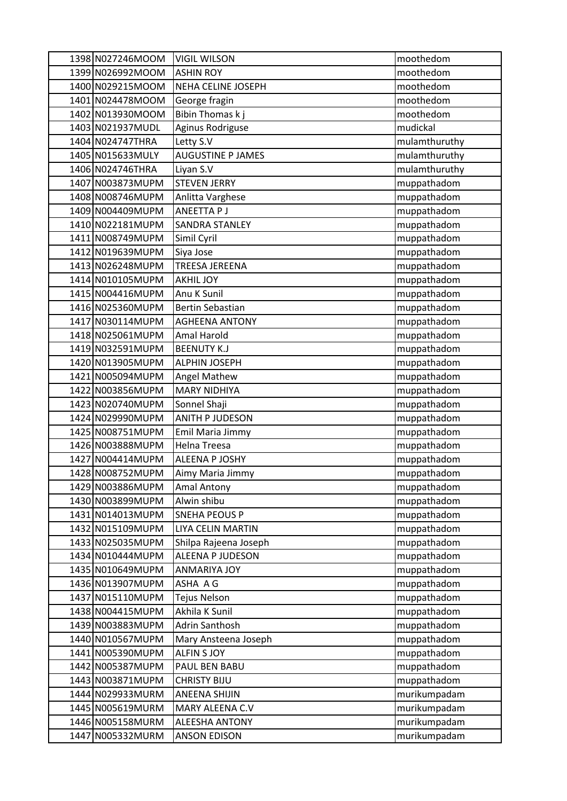| 1398 N027246MOOM | <b>VIGIL WILSON</b>      | moothedom     |
|------------------|--------------------------|---------------|
| 1399 N026992MOOM | <b>ASHIN ROY</b>         | moothedom     |
| 1400 N029215MOOM | NEHA CELINE JOSEPH       | moothedom     |
| 1401 N024478MOOM | George fragin            | moothedom     |
| 1402 N013930MOOM | Bibin Thomas k j         | moothedom     |
| 1403 N021937MUDL | Aginus Rodriguse         | mudickal      |
| 1404 N024747THRA | Letty S.V                | mulamthuruthy |
| 1405 N015633MULY | <b>AUGUSTINE P JAMES</b> | mulamthuruthy |
| 1406 N024746THRA | Liyan S.V                | mulamthuruthy |
| 1407 N003873MUPM | <b>STEVEN JERRY</b>      | muppathadom   |
| 1408 N008746MUPM | Anlitta Varghese         | muppathadom   |
| 1409 N004409MUPM | ANEETTA P J              | muppathadom   |
| 1410 N022181MUPM | <b>SANDRA STANLEY</b>    | muppathadom   |
| 1411 N008749MUPM | Simil Cyril              | muppathadom   |
| 1412 N019639MUPM | Siya Jose                | muppathadom   |
| 1413 N026248MUPM | <b>TREESA JEREENA</b>    | muppathadom   |
| 1414 N010105MUPM | <b>AKHIL JOY</b>         | muppathadom   |
| 1415 N004416MUPM | Anu K Sunil              | muppathadom   |
| 1416 N025360MUPM | <b>Bertin Sebastian</b>  | muppathadom   |
| 1417 N030114MUPM | <b>AGHEENA ANTONY</b>    | muppathadom   |
| 1418 N025061MUPM | Amal Harold              | muppathadom   |
| 1419 N032591MUPM | <b>BEENUTY K.J</b>       | muppathadom   |
| 1420 N013905MUPM | <b>ALPHIN JOSEPH</b>     | muppathadom   |
| 1421 N005094MUPM | Angel Mathew             | muppathadom   |
| 1422 N003856MUPM | <b>MARY NIDHIYA</b>      | muppathadom   |
| 1423 N020740MUPM | Sonnel Shaji             | muppathadom   |
| 1424 N029990MUPM | <b>ANITH P JUDESON</b>   | muppathadom   |
| 1425 N008751MUPM | Emil Maria Jimmy         | muppathadom   |
| 1426 N003888MUPM | Helna Treesa             | muppathadom   |
| 1427 N004414MUPM | ALEENA P JOSHY           | muppathadom   |
| 1428 N008752MUPM | Aimy Maria Jimmy         | muppathadom   |
| 1429 N003886MUPM | <b>Amal Antony</b>       | muppathadom   |
| 1430 N003899MUPM | Alwin shibu              | muppathadom   |
| 1431 N014013MUPM | <b>SNEHA PEOUS P</b>     | muppathadom   |
| 1432 N015109MUPM | LIYA CELIN MARTIN        | muppathadom   |
| 1433 N025035MUPM | Shilpa Rajeena Joseph    | muppathadom   |
| 1434 N010444MUPM | ALEENA P JUDESON         | muppathadom   |
| 1435 N010649MUPM | <b>ANMARIYA JOY</b>      | muppathadom   |
| 1436 N013907MUPM | ASHA A G                 | muppathadom   |
| 1437 N015110MUPM | <b>Tejus Nelson</b>      | muppathadom   |
| 1438 N004415MUPM | Akhila K Sunil           | muppathadom   |
| 1439 N003883MUPM | Adrin Santhosh           | muppathadom   |
| 1440 N010567MUPM | Mary Ansteena Joseph     | muppathadom   |
| 1441 N005390MUPM | <b>ALFIN S JOY</b>       | muppathadom   |
| 1442 N005387MUPM | PAUL BEN BABU            | muppathadom   |
| 1443 N003871MUPM | <b>CHRISTY BIJU</b>      | muppathadom   |
| 1444 N029933MURM | <b>ANEENA SHIJIN</b>     | murikumpadam  |
| 1445 N005619MURM | MARY ALEENA C.V          | murikumpadam  |
| 1446 N005158MURM | ALEESHA ANTONY           | murikumpadam  |
| 1447 N005332MURM | <b>ANSON EDISON</b>      | murikumpadam  |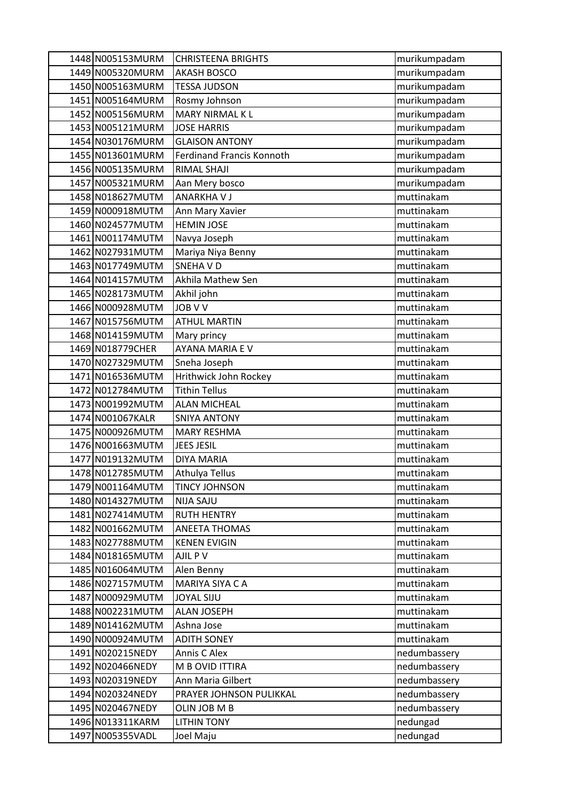| 1448 N005153MURM  | <b>CHRISTEENA BRIGHTS</b>        | murikumpadam |
|-------------------|----------------------------------|--------------|
| 1449 N005320MURM  | <b>AKASH BOSCO</b>               | murikumpadam |
| 1450 N005163MURM  | <b>TESSA JUDSON</b>              | murikumpadam |
| 1451 N005164MURM  | Rosmy Johnson                    | murikumpadam |
| 1452 N005156MURM  | <b>MARY NIRMAL KL</b>            | murikumpadam |
| 1453 N005121MURM  | <b>JOSE HARRIS</b>               | murikumpadam |
| 1454 N030176MURM  | <b>GLAISON ANTONY</b>            | murikumpadam |
| 1455 N013601MURM  | <b>Ferdinand Francis Konnoth</b> | murikumpadam |
| 1456 N005135MURM  | <b>RIMAL SHAJI</b>               | murikumpadam |
| 1457 N005321MURM  | Aan Mery bosco                   | murikumpadam |
| 1458 N018627MUTM  | <b>ANARKHAVJ</b>                 | muttinakam   |
| 1459 N000918MUTM  | Ann Mary Xavier                  | muttinakam   |
| 1460 N024577MUTM  | <b>HEMIN JOSE</b>                | muttinakam   |
| 1461 N001174MUTM  | Navya Joseph                     | muttinakam   |
| 1462 N027931MUTM  | Mariya Niya Benny                | muttinakam   |
| 1463 N017749MUTM  | <b>SNEHAVD</b>                   | muttinakam   |
| 1464 N014157MUTM  | Akhila Mathew Sen                | muttinakam   |
| 1465 N028173MUTM  | Akhil john                       | muttinakam   |
| 1466 N000928MUTM  | <b>JOB V V</b>                   | muttinakam   |
| 1467 N015756MUTM  | <b>ATHUL MARTIN</b>              | muttinakam   |
| 1468 N014159MUTM  | Mary princy                      | muttinakam   |
| 1469 N018779CHER  | AYANA MARIA E V                  | muttinakam   |
| 1470 N027329MUTM  | Sneha Joseph                     | muttinakam   |
| 1471 N016536MUTM  | Hrithwick John Rockey            | muttinakam   |
| 1472 N012784MUTM  | <b>Tithin Tellus</b>             | muttinakam   |
| 1473 N001992MUTM  | <b>ALAN MICHEAL</b>              | muttinakam   |
| 1474 N001067KALR  | <b>SNIYA ANTONY</b>              | muttinakam   |
| 1475 N000926MUTM  | <b>MARY RESHMA</b>               | muttinakam   |
| 1476 N001663MUTM  | <b>JEES JESIL</b>                | muttinakam   |
| 1477 N019132MUTM  | <b>DIYA MARIA</b>                | muttinakam   |
| 1478 N012785 MUTM | Athulya Tellus                   | muttinakam   |
| 1479 N001164MUTM  | <b>TINCY JOHNSON</b>             | muttinakam   |
| 1480 N014327MUTM  | <b>NIJA SAJU</b>                 | muttinakam   |
| 1481 N027414MUTM  | <b>RUTH HENTRY</b>               | muttinakam   |
| 1482 N001662MUTM  | <b>ANEETA THOMAS</b>             | muttinakam   |
| 1483 N027788MUTM  | <b>KENEN EVIGIN</b>              | muttinakam   |
| 1484 N018165MUTM  | AJIL P V                         | muttinakam   |
| 1485 N016064MUTM  | Alen Benny                       | muttinakam   |
| 1486 N027157MUTM  | MARIYA SIYA C A                  | muttinakam   |
| 1487 N000929MUTM  | <b>JOYAL SIJU</b>                | muttinakam   |
| 1488 N002231MUTM  | <b>ALAN JOSEPH</b>               | muttinakam   |
| 1489 N014162MUTM  | Ashna Jose                       | muttinakam   |
| 1490 N000924MUTM  | <b>ADITH SONEY</b>               | muttinakam   |
| 1491 N020215NEDY  | Annis C Alex                     | nedumbassery |
| 1492 N020466NEDY  | M B OVID ITTIRA                  | nedumbassery |
| 1493 N020319NEDY  | Ann Maria Gilbert                | nedumbassery |
| 1494 N020324NEDY  | PRAYER JOHNSON PULIKKAL          | nedumbassery |
| 1495 N020467NEDY  | OLIN JOB M B                     | nedumbassery |
| 1496 N013311KARM  | <b>LITHIN TONY</b>               | nedungad     |
| 1497 N005355VADL  | Joel Maju                        | nedungad     |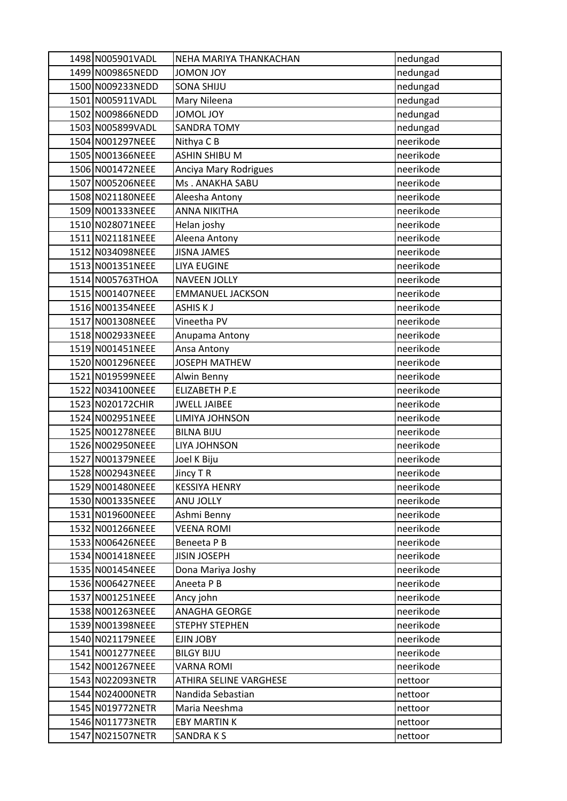| 1498 N005901VADL | NEHA MARIYA THANKACHAN  | nedungad  |
|------------------|-------------------------|-----------|
| 1499 N009865NEDD | <b>YOL VOMOL</b>        | nedungad  |
| 1500 N009233NEDD | <b>SONA SHIJU</b>       | nedungad  |
| 1501 N005911VADL | Mary Nileena            | nedungad  |
| 1502 N009866NEDD | JOMOL JOY               | nedungad  |
| 1503 N005899VADL | <b>SANDRA TOMY</b>      | nedungad  |
| 1504 N001297NEEE | Nithya C B              | neerikode |
| 1505 N001366NEEE | ASHIN SHIBU M           | neerikode |
| 1506 N001472NEEE | Anciya Mary Rodrigues   | neerikode |
| 1507 N005206NEEE | Ms. ANAKHA SABU         | neerikode |
| 1508 N021180NEEE | Aleesha Antony          | neerikode |
| 1509 N001333NEEE | <b>ANNA NIKITHA</b>     | neerikode |
| 1510 N028071NEEE | Helan joshy             | neerikode |
| 1511 N021181NEEE | Aleena Antony           | neerikode |
| 1512 N034098NEEE | <b>JISNA JAMES</b>      | neerikode |
| 1513 N001351NEEE | <b>LIYA EUGINE</b>      | neerikode |
| 1514 N005763THOA | <b>NAVEEN JOLLY</b>     | neerikode |
| 1515 N001407NEEE | <b>EMMANUEL JACKSON</b> | neerikode |
| 1516 N001354NEEE | <b>ASHISKJ</b>          | neerikode |
| 1517 N001308NEEE | Vineetha PV             | neerikode |
| 1518 N002933NEEE | Anupama Antony          | neerikode |
| 1519 N001451NEEE | Ansa Antony             | neerikode |
| 1520 N001296NEEE | <b>JOSEPH MATHEW</b>    | neerikode |
| 1521 N019599NEEE | <b>Alwin Benny</b>      | neerikode |
| 1522 N034100NEEE | <b>ELIZABETH P.E</b>    | neerikode |
| 1523 N020172CHIR | <b>JWELL JAIBEE</b>     | neerikode |
| 1524 N002951NEEE | LIMIYA JOHNSON          | neerikode |
| 1525 N001278NEEE | <b>BILNA BIJU</b>       | neerikode |
| 1526 N002950NEEE | LIYA JOHNSON            | neerikode |
| 1527 N001379NEEE | Joel K Biju             | neerikode |
| 1528 N002943NEEE | Jincy TR                | neerikode |
| 1529 N001480NEEE | <b>KESSIYA HENRY</b>    | neerikode |
| 1530 N001335NEEE | ANU JOLLY               | neerikode |
| 1531 N019600NEEE | Ashmi Benny             | neerikode |
| 1532 N001266NEEE | <b>VEENA ROMI</b>       | neerikode |
| 1533 N006426NEEE | Beneeta P B             | neerikode |
| 1534 N001418NEEE | <b>JISIN JOSEPH</b>     | neerikode |
| 1535 N001454NEEE | Dona Mariya Joshy       | neerikode |
| 1536 N006427NEEE | Aneeta P B              | neerikode |
| 1537 N001251NEEE | Ancy john               | neerikode |
| 1538 N001263NEEE | ANAGHA GEORGE           | neerikode |
| 1539 N001398NEEE | <b>STEPHY STEPHEN</b>   | neerikode |
| 1540 N021179NEEE | EJIN JOBY               | neerikode |
| 1541 N001277NEEE | <b>BILGY BIJU</b>       | neerikode |
| 1542 N001267NEEE | <b>VARNA ROMI</b>       | neerikode |
| 1543 N022093NETR | ATHIRA SELINE VARGHESE  | nettoor   |
| 1544 N024000NETR | Nandida Sebastian       | nettoor   |
| 1545 N019772NETR | Maria Neeshma           | nettoor   |
| 1546 N011773NETR | <b>EBY MARTIN K</b>     | nettoor   |
| 1547 N021507NETR | SANDRAKS                | nettoor   |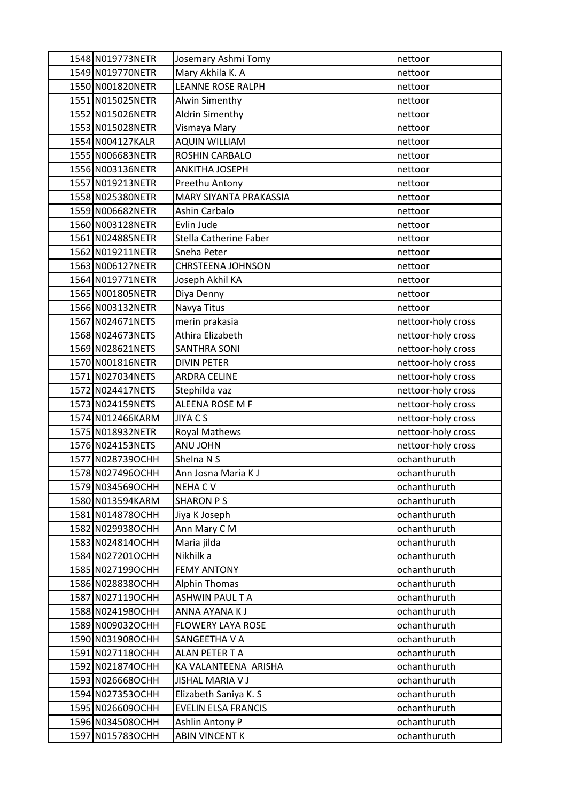| 1548 N019773NETR  | Josemary Ashmi Tomy        | nettoor            |
|-------------------|----------------------------|--------------------|
| 1549 N019770NETR  | Mary Akhila K. A           | nettoor            |
| 1550 N001820NETR  | <b>LEANNE ROSE RALPH</b>   | nettoor            |
| 1551 N015025NETR  | Alwin Simenthy             | nettoor            |
| 1552 N015026NETR  | <b>Aldrin Simenthy</b>     | nettoor            |
| 1553 N015028NETR  | Vismaya Mary               | nettoor            |
| 1554 N004127KALR  | <b>AQUIN WILLIAM</b>       | nettoor            |
| 1555 N006683NETR  | ROSHIN CARBALO             | nettoor            |
| 1556 N003136NETR  | ANKITHA JOSEPH             | nettoor            |
| 1557 N019213NETR  | Preethu Antony             | nettoor            |
| 1558 N025380NETR  | MARY SIYANTA PRAKASSIA     | nettoor            |
| 1559 N006682NETR  | Ashin Carbalo              | nettoor            |
| 1560 N003128NETR  | Evlin Jude                 | nettoor            |
| 1561 N024885NETR  | Stella Catherine Faber     | nettoor            |
| 1562 N019211NETR  | Sneha Peter                | nettoor            |
| 1563 N006127NETR  | <b>CHRSTEENA JOHNSON</b>   | nettoor            |
| 1564 N019771NETR  | Joseph Akhil KA            | nettoor            |
| 1565 N001805NETR  | Diya Denny                 | nettoor            |
| 1566 N003132NETR  | Navya Titus                | nettoor            |
| 1567 N024671NETS  | merin prakasia             | nettoor-holy cross |
| 1568 N024673NETS  | Athira Elizabeth           | nettoor-holy cross |
| 1569 N028621NETS  | SANTHRA SONI               | nettoor-holy cross |
| 1570 N001816NETR  | <b>DIVIN PETER</b>         | nettoor-holy cross |
| 1571 N027034NETS  | <b>ARDRA CELINE</b>        | nettoor-holy cross |
| 1572 N024417NETS  | Stephilda vaz              | nettoor-holy cross |
| 1573 N024159NETS  | ALEENA ROSE M F            | nettoor-holy cross |
| 1574 N012466KARM  | JIYA C S                   | nettoor-holy cross |
| 1575 N018932NETR  | Royal Mathews              | nettoor-holy cross |
| 1576 N024153NETS  | <b>ANU JOHN</b>            | nettoor-holy cross |
| 1577 N028739OCHH  | Shelna N S                 | ochanthuruth       |
| 1578 N027496OCHH  | Ann Josna Maria K J        | ochanthuruth       |
| 1579 N034569 OCHH | <b>NEHACV</b>              | ochanthuruth       |
| 1580 N013594KARM  | <b>SHARON PS</b>           | ochanthuruth       |
| 1581 N014878OCHH  | Jiya K Joseph              | ochanthuruth       |
| 1582 N029938OCHH  | Ann Mary C M               | ochanthuruth       |
| 1583 N024814OCHH  | Maria jilda                | ochanthuruth       |
| 1584 N027201OCHH  | Nikhilk a                  | ochanthuruth       |
| 1585 N027199OCHH  | <b>FEMY ANTONY</b>         | ochanthuruth       |
| 1586 N028838OCHH  | <b>Alphin Thomas</b>       | ochanthuruth       |
| 1587 N027119OCHH  | ASHWIN PAUL TA             | ochanthuruth       |
| 1588 N024198OCHH  | ANNA AYANA K J             | ochanthuruth       |
| 1589 N009032OCHH  | <b>FLOWERY LAYA ROSE</b>   | ochanthuruth       |
| 1590 N031908OCHH  | SANGEETHA V A              | ochanthuruth       |
| 1591 N027118OCHH  | ALAN PETER T A             | ochanthuruth       |
| 1592 N021874OCHH  | KA VALANTEENA ARISHA       | ochanthuruth       |
| 1593 N026668OCHH  | <b>JISHAL MARIA V J</b>    | ochanthuruth       |
| 1594 N027353OCHH  | Elizabeth Saniya K. S      | ochanthuruth       |
| 1595 N026609OCHH  | <b>EVELIN ELSA FRANCIS</b> | ochanthuruth       |
| 1596 N034508OCHH  | Ashlin Antony P            | ochanthuruth       |
| 1597 N015783OCHH  | <b>ABIN VINCENT K</b>      | ochanthuruth       |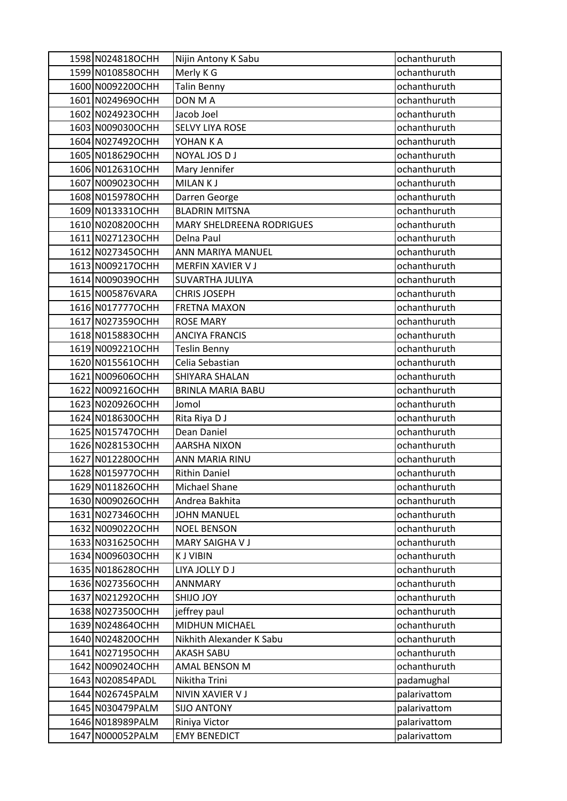| 1598 N024818OCHH  | Nijin Antony K Sabu              | ochanthuruth |
|-------------------|----------------------------------|--------------|
| 1599 N010858OCHH  | Merly K G                        | ochanthuruth |
| 1600 N009220OCHH  | <b>Talin Benny</b>               | ochanthuruth |
| 1601 N024969OCHH  | DON M A                          | ochanthuruth |
| 1602 N024923OCHH  | Jacob Joel                       | ochanthuruth |
| 1603 N009030OCHH  | <b>SELVY LIYA ROSE</b>           | ochanthuruth |
| 1604 N027492OCHH  | YOHAN K A                        | ochanthuruth |
| 1605 N018629OCHH  | NOYAL JOS D J                    | ochanthuruth |
| 1606 N012631OCHH  | Mary Jennifer                    | ochanthuruth |
| 1607 N009023OCHH  | MILAN K J                        | ochanthuruth |
| 1608 N015978OCHH  | Darren George                    | ochanthuruth |
| 1609 N013331OCHH  | <b>BLADRIN MITSNA</b>            | ochanthuruth |
| 1610 N020820OCHH  | <b>MARY SHELDREENA RODRIGUES</b> | ochanthuruth |
| 1611 N027123OCHH  | Delna Paul                       | ochanthuruth |
| 1612 N027345OCHH  | ANN MARIYA MANUEL                | ochanthuruth |
| 1613 N009217OCHH  | MERFIN XAVIER V J                | ochanthuruth |
| 1614 N009039OCHH  | <b>SUVARTHA JULIYA</b>           | ochanthuruth |
| 1615 N005876VARA  | <b>CHRIS JOSEPH</b>              | ochanthuruth |
| 1616 N017777OCHH  | <b>FRETNA MAXON</b>              | ochanthuruth |
| 1617 N027359 OCHH | <b>ROSE MARY</b>                 | ochanthuruth |
| 1618 N015883OCHH  | <b>ANCIYA FRANCIS</b>            | ochanthuruth |
| 1619 N009221OCHH  | <b>Teslin Benny</b>              | ochanthuruth |
| 1620 N015561OCHH  | Celia Sebastian                  | ochanthuruth |
| 1621 N009606OCHH  | SHIYARA SHALAN                   | ochanthuruth |
| 1622 N009216OCHH  | <b>BRINLA MARIA BABU</b>         | ochanthuruth |
| 1623 N020926OCHH  | Jomol                            | ochanthuruth |
| 1624 N018630OCHH  | Rita Riya D J                    | ochanthuruth |
| 1625 N015747OCHH  | Dean Daniel                      | ochanthuruth |
| 1626 N028153OCHH  | <b>AARSHA NIXON</b>              | ochanthuruth |
| 1627 N012280OCHH  | <b>ANN MARIA RINU</b>            | ochanthuruth |
| 1628 N015977OCHH  | <b>Rithin Daniel</b>             | ochanthuruth |
| 1629 N011826OCHH  | Michael Shane                    | ochanthuruth |
| 1630 N009026OCHH  | Andrea Bakhita                   | ochanthuruth |
| 1631 N027346OCHH  | <b>JOHN MANUEL</b>               | ochanthuruth |
| 1632 N009022OCHH  | <b>NOEL BENSON</b>               | ochanthuruth |
| 1633 N031625OCHH  | <b>MARY SAIGHAVJ</b>             | ochanthuruth |
| 1634 N009603OCHH  | <b>KJ VIBIN</b>                  | ochanthuruth |
| 1635 N018628OCHH  | LIYA JOLLY D J                   | ochanthuruth |
| 1636 N027356OCHH  | <b>ANNMARY</b>                   | ochanthuruth |
| 1637 N021292OCHH  | <b>YOL OLIHZ</b>                 | ochanthuruth |
| 1638 N027350OCHH  | jeffrey paul                     | ochanthuruth |
| 1639 N024864 OCHH | MIDHUN MICHAEL                   | ochanthuruth |
| 1640 N024820OCHH  | Nikhith Alexander K Sabu         | ochanthuruth |
| 1641 N027195OCHH  | <b>AKASH SABU</b>                | ochanthuruth |
| 1642 N009024OCHH  | <b>AMAL BENSON M</b>             | ochanthuruth |
| 1643 N020854PADL  | Nikitha Trini                    | padamughal   |
| 1644 N026745 PALM | NIVIN XAVIER V J                 | palarivattom |
| 1645 N030479PALM  | <b>SIJO ANTONY</b>               | palarivattom |
| 1646 N018989PALM  | Riniya Victor                    | palarivattom |
| 1647 N000052PALM  | <b>EMY BENEDICT</b>              | palarivattom |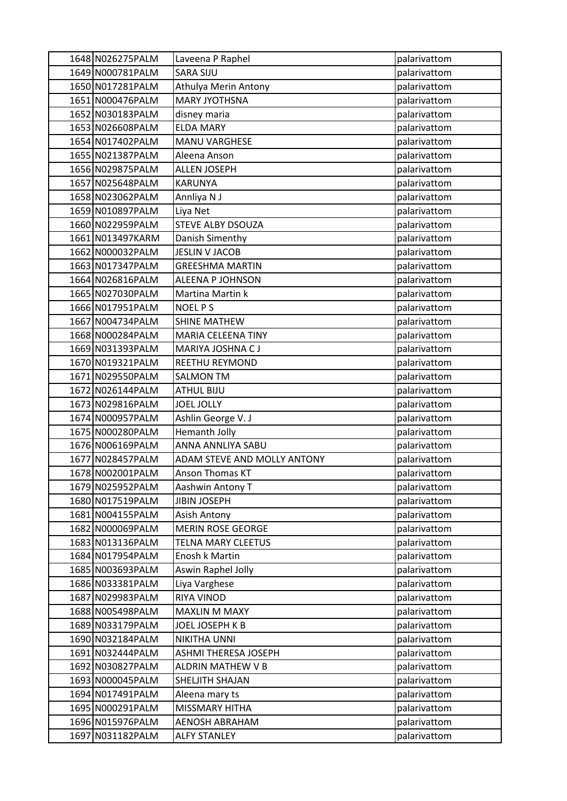| 1648 N026275 PALM | Laveena P Raphel            | palarivattom |
|-------------------|-----------------------------|--------------|
| 1649 N000781PALM  | <b>SARA SIJU</b>            | palarivattom |
| 1650 N017281 PALM | Athulya Merin Antony        | palarivattom |
| 1651 N000476PALM  | <b>MARY JYOTHSNA</b>        | palarivattom |
| 1652 N030183PALM  | disney maria                | palarivattom |
| 1653 N026608 PALM | <b>ELDA MARY</b>            | palarivattom |
| 1654 N017402PALM  | <b>MANU VARGHESE</b>        | palarivattom |
| 1655 N021387PALM  | Aleena Anson                | palarivattom |
| 1656 N029875 PALM | <b>ALLEN JOSEPH</b>         | palarivattom |
| 1657 N025648 PALM | <b>KARUNYA</b>              | palarivattom |
| 1658 N023062PALM  | Annliya N J                 | palarivattom |
| 1659 N010897PALM  | Liya Net                    | palarivattom |
| 1660 N022959PALM  | <b>STEVE ALBY DSOUZA</b>    | palarivattom |
| 1661 N013497KARM  | Danish Simenthy             | palarivattom |
| 1662 N000032PALM  | <b>JESLIN V JACOB</b>       | palarivattom |
| 1663 N017347PALM  | <b>GREESHMA MARTIN</b>      | palarivattom |
| 1664 N026816 PALM | <b>ALEENA P JOHNSON</b>     | palarivattom |
| 1665 N027030PALM  | Martina Martin k            | palarivattom |
| 1666 N017951PALM  | <b>NOEL PS</b>              | palarivattom |
| 1667 N004734 PALM | <b>SHINE MATHEW</b>         | palarivattom |
| 1668 N000284PALM  | MARIA CELEENA TINY          | palarivattom |
| 1669 N031393PALM  | MARIYA JOSHNA CJ            | palarivattom |
| 1670 N019321PALM  | REETHU REYMOND              | palarivattom |
| 1671 N029550 PALM | <b>SALMON TM</b>            | palarivattom |
| 1672 N026144PALM  | <b>ATHUL BIJU</b>           | palarivattom |
| 1673 N029816PALM  | <b>JOEL JOLLY</b>           | palarivattom |
| 1674 N000957PALM  | Ashlin George V. J          | palarivattom |
| 1675 N000280PALM  | Hemanth Jolly               | palarivattom |
| 1676 N006169 PALM | ANNA ANNLIYA SABU           | palarivattom |
| 1677 N028457PALM  | ADAM STEVE AND MOLLY ANTONY | palarivattom |
| 1678 N002001 PALM | Anson Thomas KT             | palarivattom |
| 1679 N025952PALM  | Aashwin Antony T            | palarivattom |
| 1680 N017519PALM  | <b>JIBIN JOSEPH</b>         | palarivattom |
| 1681 N004155 PALM | Asish Antony                | palarivattom |
| 1682 N000069PALM  | <b>MERIN ROSE GEORGE</b>    | palarivattom |
| 1683 N013136 PALM | <b>TELNA MARY CLEETUS</b>   | palarivattom |
| 1684 N017954 PALM | Enosh k Martin              | palarivattom |
| 1685 N003693PALM  | Aswin Raphel Jolly          | palarivattom |
| 1686 N033381 PALM | Liya Varghese               | palarivattom |
| 1687 N029983PALM  | RIYA VINOD                  | palarivattom |
| 1688 N005498PALM  | <b>MAXLIN M MAXY</b>        | palarivattom |
| 1689 N033179PALM  | JOEL JOSEPH K B             | palarivattom |
| 1690 N032184PALM  | NIKITHA UNNI                | palarivattom |
| 1691 N032444 PALM | ASHMI THERESA JOSEPH        | palarivattom |
| 1692 N030827PALM  | ALDRIN MATHEW V B           | palarivattom |
| 1693 N000045 PALM | SHELJITH SHAJAN             | palarivattom |
| 1694 N017491PALM  | Aleena mary ts              | palarivattom |
| 1695 N000291PALM  | MISSMARY HITHA              | palarivattom |
| 1696 N015976 PALM | <b>AENOSH ABRAHAM</b>       | palarivattom |
| 1697 N031182PALM  | <b>ALFY STANLEY</b>         | palarivattom |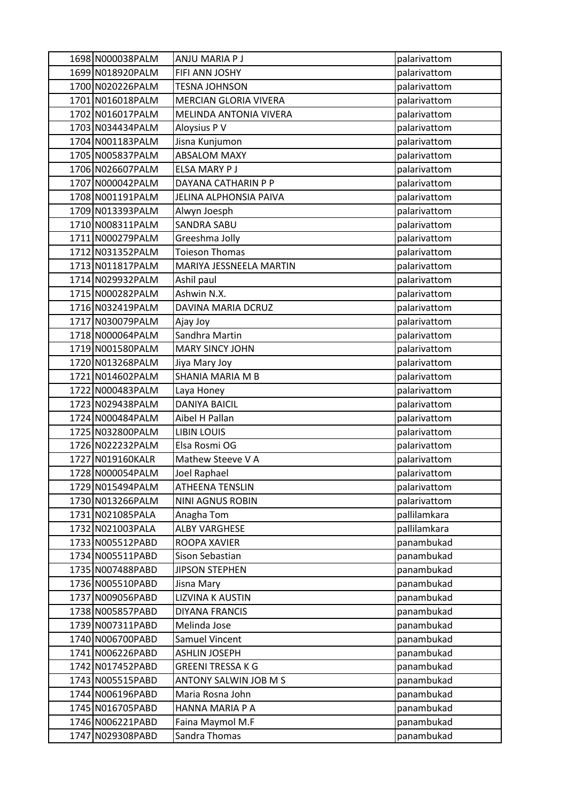| 1698 N000038PALM  | ANJU MARIA P J           | palarivattom |
|-------------------|--------------------------|--------------|
| 1699 N018920PALM  | FIFI ANN JOSHY           | palarivattom |
| 1700 N020226PALM  | <b>TESNA JOHNSON</b>     | palarivattom |
| 1701 N016018PALM  | MERCIAN GLORIA VIVERA    | palarivattom |
| 1702 N016017PALM  | MELINDA ANTONIA VIVERA   | palarivattom |
| 1703 N034434PALM  | Aloysius P V             | palarivattom |
| 1704 N001183PALM  | Jisna Kunjumon           | palarivattom |
| 1705 N005837PALM  | <b>ABSALOM MAXY</b>      | palarivattom |
| 1706 N026607PALM  | ELSA MARY P J            | palarivattom |
| 1707 N000042PALM  | DAYANA CATHARIN P P      | palarivattom |
| 1708 N001191PALM  | JELINA ALPHONSIA PAIVA   | palarivattom |
| 1709 N013393PALM  | Alwyn Joesph             | palarivattom |
| 1710 N008311PALM  | <b>SANDRA SABU</b>       | palarivattom |
| 1711 N000279PALM  | Greeshma Jolly           | palarivattom |
| 1712 N031352PALM  | <b>Toieson Thomas</b>    | palarivattom |
| 1713 N011817PALM  | MARIYA JESSNEELA MARTIN  | palarivattom |
| 1714 N029932PALM  | Ashil paul               | palarivattom |
| 1715 N000282PALM  | Ashwin N.X.              | palarivattom |
| 1716 N032419PALM  | DAVINA MARIA DCRUZ       | palarivattom |
| 1717 N030079PALM  | Ajay Joy                 | palarivattom |
| 1718 N000064PALM  | Sandhra Martin           | palarivattom |
| 1719 N001580PALM  | <b>MARY SINCY JOHN</b>   | palarivattom |
| 1720 N013268PALM  | Jiya Mary Joy            | palarivattom |
| 1721 N014602PALM  | SHANIA MARIA M B         | palarivattom |
| 1722 N000483PALM  | Laya Honey               | palarivattom |
| 1723 N029438PALM  | <b>DANIYA BAICIL</b>     | palarivattom |
| 1724 N000484PALM  | Aibel H Pallan           | palarivattom |
| 1725 N032800 PALM | <b>LIBIN LOUIS</b>       | palarivattom |
| 1726 N022232PALM  | Elsa Rosmi OG            | palarivattom |
| 1727 N019160KALR  | Mathew Steeve V A        | palarivattom |
| 1728 N000054PALM  | Joel Raphael             | palarivattom |
| 1729 N015494PALM  | <b>ATHEENA TENSLIN</b>   | palarivattom |
| 1730 N013266PALM  | NINI AGNUS ROBIN         | palarivattom |
| 1731 N021085 PALA | Anagha Tom               | pallilamkara |
| 1732 N021003PALA  | <b>ALBY VARGHESE</b>     | pallilamkara |
| 1733 N005512PABD  | ROOPA XAVIER             | panambukad   |
| 1734 N005511PABD  | Sison Sebastian          | panambukad   |
| 1735 N007488PABD  | <b>JIPSON STEPHEN</b>    | panambukad   |
| 1736 N005510PABD  | Jisna Mary               | panambukad   |
| 1737 N009056PABD  | <b>LIZVINA K AUSTIN</b>  | panambukad   |
| 1738 N005857PABD  | <b>DIYANA FRANCIS</b>    | panambukad   |
| 1739 N007311PABD  | Melinda Jose             | panambukad   |
| 1740 N006700PABD  | <b>Samuel Vincent</b>    | panambukad   |
| 1741 N006226PABD  | <b>ASHLIN JOSEPH</b>     | panambukad   |
| 1742 N017452PABD  | <b>GREENI TRESSA K G</b> | panambukad   |
| 1743 N005515PABD  | ANTONY SALWIN JOB M S    | panambukad   |
| 1744 N006196PABD  | Maria Rosna John         | panambukad   |
| 1745 N016705 PABD | HANNA MARIA P A          | panambukad   |
| 1746 N006221PABD  | Faina Maymol M.F         | panambukad   |
| 1747 N029308PABD  | Sandra Thomas            | panambukad   |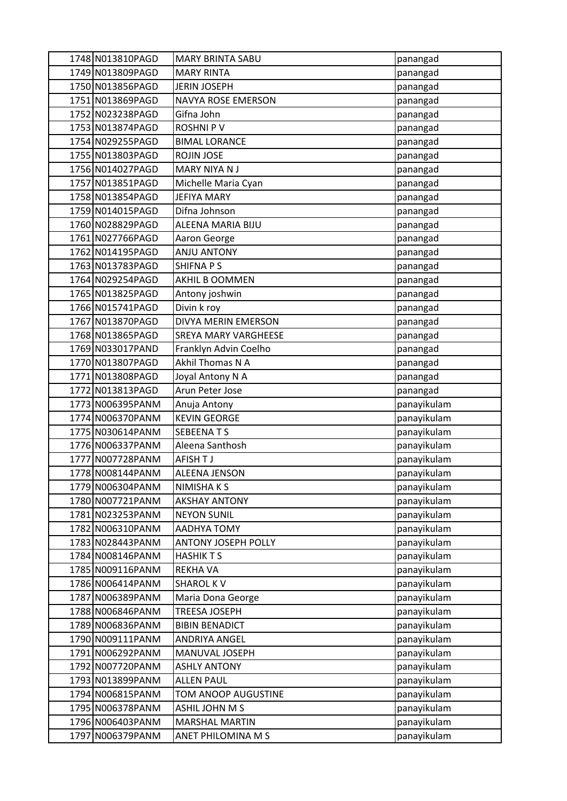| 1748 N013810PAGD                     | <b>MARY BRINTA SABU</b>                | panangad                   |
|--------------------------------------|----------------------------------------|----------------------------|
| 1749 N013809PAGD                     | <b>MARY RINTA</b>                      | panangad                   |
| 1750 N013856 PAGD                    | <b>JERIN JOSEPH</b>                    | panangad                   |
| 1751 N013869PAGD                     | <b>NAVYA ROSE EMERSON</b>              | panangad                   |
| 1752 N023238PAGD                     | Gifna John                             | panangad                   |
| 1753 N013874PAGD                     | <b>ROSHNIPV</b>                        | panangad                   |
| 1754 N029255 PAGD                    | <b>BIMAL LORANCE</b>                   | panangad                   |
| 1755 N013803PAGD                     | ROJIN JOSE                             | panangad                   |
| 1756 N014027PAGD                     | MARY NIYA N J                          | panangad                   |
| 1757 N013851 PAGD                    | Michelle Maria Cyan                    | panangad                   |
| 1758 N013854PAGD                     | <b>JEFIYA MARY</b>                     | panangad                   |
| 1759 N014015PAGD                     | Difna Johnson                          | panangad                   |
| 1760 N028829PAGD                     | ALEENA MARIA BIJU                      | panangad                   |
| 1761 N027766PAGD                     | Aaron George                           | panangad                   |
| 1762 N014195PAGD                     | <b>ANJU ANTONY</b>                     | panangad                   |
| 1763 N013783PAGD                     | <b>SHIFNAPS</b>                        | panangad                   |
| 1764 N029254PAGD                     | <b>AKHIL B OOMMEN</b>                  | panangad                   |
| 1765 N013825PAGD                     | Antony joshwin                         | panangad                   |
| 1766 N015741PAGD                     | Divin k roy                            | panangad                   |
| 1767 N013870PAGD                     | DIVYA MERIN EMERSON                    | panangad                   |
| 1768 N013865PAGD                     | SREYA MARY VARGHEESE                   | panangad                   |
| 1769 N033017PAND                     | Franklyn Advin Coelho                  | panangad                   |
| 1770 N013807PAGD                     | Akhil Thomas N A                       | panangad                   |
| 1771 N013808PAGD                     | Joyal Antony N A                       | panangad                   |
| 1772 N013813PAGD                     | Arun Peter Jose                        | panangad                   |
| 1773 N006395PANM                     | Anuja Antony                           | panayikulam                |
| 1774 N006370PANM                     | <b>KEVIN GEORGE</b>                    | panayikulam                |
| 1775 N030614PANM                     | <b>SEBEENATS</b>                       | panayikulam                |
| 1776 N006337PANM                     | Aleena Santhosh                        | panayikulam                |
| 1777 N007728PANM                     | AFISH TJ                               | panayikulam                |
| 1778 N008144PANM                     | <b>ALEENA JENSON</b>                   | panayikulam                |
| 1779 N006304PANM                     | NIMISHA K S                            | panayikulam                |
| 1780 N007721PANM                     | <b>AKSHAY ANTONY</b>                   | panayikulam                |
| 1781 N023253 PANM                    | <b>NEYON SUNIL</b>                     | panayikulam                |
| 1782 N006310PANM                     | AADHYA TOMY                            | panayikulam                |
| 1783 N028443PANM                     | <b>ANTONY JOSEPH POLLY</b>             | panayikulam                |
| 1784 N008146PANM                     | <b>HASHIKTS</b>                        | panayikulam                |
| 1785 N009116PANM                     | <b>REKHA VA</b><br><b>SHAROL KV</b>    | panayikulam                |
| 1786 N006414PANM<br>1787 N006389PANM | Maria Dona George                      | panayikulam                |
| 1788 N006846PANM                     |                                        | panayikulam                |
| 1789 N006836PANM                     | TREESA JOSEPH<br><b>BIBIN BENADICT</b> | panayikulam<br>panayikulam |
| 1790 N009111PANM                     | <b>ANDRIYA ANGEL</b>                   | panayikulam                |
| 1791 N006292PANM                     | MANUVAL JOSEPH                         | panayikulam                |
| 1792 N007720PANM                     | <b>ASHLY ANTONY</b>                    | panayikulam                |
| 1793 N013899PANM                     | <b>ALLEN PAUL</b>                      | panayikulam                |
| 1794 N006815PANM                     | TOM ANOOP AUGUSTINE                    | panayikulam                |
| 1795 N006378PANM                     | ASHIL JOHN M S                         | panayikulam                |
| 1796 N006403PANM                     | <b>MARSHAL MARTIN</b>                  | panayikulam                |
| 1797 N006379PANM                     | ANET PHILOMINA M S                     | panayikulam                |
|                                      |                                        |                            |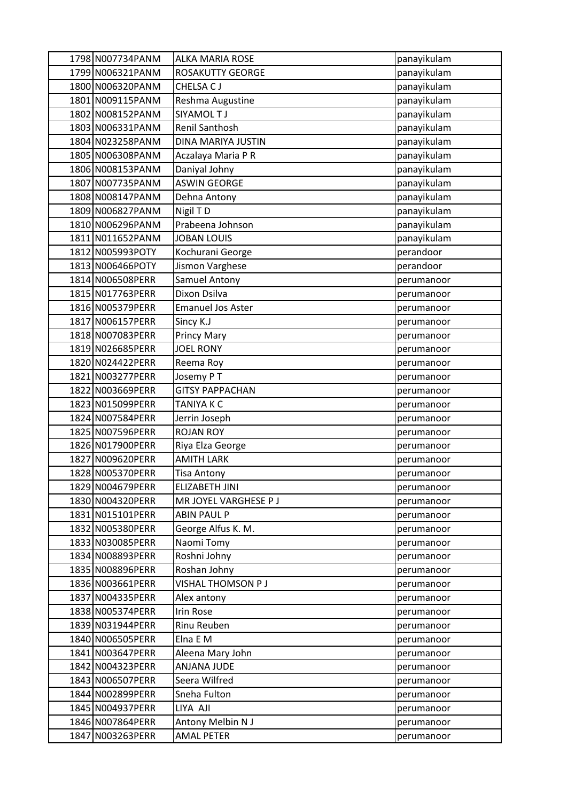| 1798 N007734PANM                     | <b>ALKA MARIA ROSE</b>             | panayikulam              |
|--------------------------------------|------------------------------------|--------------------------|
| 1799 N006321PANM                     | <b>ROSAKUTTY GEORGE</b>            | panayikulam              |
| 1800 N006320PANM                     | CHELSA CJ                          | panayikulam              |
| 1801 N009115PANM                     | Reshma Augustine                   | panayikulam              |
| 1802 N008152PANM                     | SIYAMOL T J                        | panayikulam              |
| 1803 N006331PANM                     | Renil Santhosh                     | panayikulam              |
| 1804 N023258PANM                     | DINA MARIYA JUSTIN                 | panayikulam              |
| 1805 N006308PANM                     | Aczalaya Maria P R                 | panayikulam              |
| 1806 N008153PANM                     | Daniyal Johny                      | panayikulam              |
| 1807 N007735 PANM                    | <b>ASWIN GEORGE</b>                | panayikulam              |
| 1808 N008147PANM                     | Dehna Antony                       | panayikulam              |
| 1809 N006827PANM                     | Nigil TD                           | panayikulam              |
| 1810 N006296 PANM                    | Prabeena Johnson                   | panayikulam              |
| 1811 N011652PANM                     | <b>JOBAN LOUIS</b>                 | panayikulam              |
| 1812 N005993POTY                     | Kochurani George                   | perandoor                |
| 1813 N006466POTY                     | Jismon Varghese                    | perandoor                |
| 1814 N006508PERR                     | <b>Samuel Antony</b>               | perumanoor               |
| 1815 N017763PERR                     | Dixon Dsilva                       | perumanoor               |
| 1816 N005379PERR                     | <b>Emanuel Jos Aster</b>           | perumanoor               |
| 1817 N006157PERR                     | Sincy K.J                          | perumanoor               |
| 1818 N007083PERR                     | <b>Princy Mary</b>                 | perumanoor               |
| 1819 N026685PERR                     | <b>JOEL RONY</b>                   | perumanoor               |
| 1820 N024422PERR                     | Reema Roy                          | perumanoor               |
| 1821 N003277PERR                     | Josemy PT                          | perumanoor               |
| 1822 N003669PERR                     | <b>GITSY PAPPACHAN</b>             | perumanoor               |
| 1823 N015099PERR                     | TANIYA K C                         | perumanoor               |
| 1824 N007584PERR                     | Jerrin Joseph                      | perumanoor               |
| 1825 N007596PERR                     | <b>ROJAN ROY</b>                   | perumanoor               |
| 1826 N017900PERR                     | Riya Elza George                   | perumanoor               |
| 1827 N009620PERR                     | <b>AMITH LARK</b>                  | perumanoor               |
| 1828 N005370PERR                     | <b>Tisa Antony</b>                 | perumanoor               |
| 1829 N004679PERR                     | ELIZABETH JINI                     | perumanoor               |
| 1830 N004320PERR                     | MR JOYEL VARGHESE P J              | perumanoor               |
| 1831 N015101PERR                     | <b>ABIN PAUL P</b>                 | perumanoor               |
| 1832 N005380PERR                     | George Alfus K. M.                 | perumanoor               |
| 1833 N030085PERR                     | Naomi Tomy                         | perumanoor               |
| 1834 N008893PERR                     | Roshni Johny                       | perumanoor               |
| 1835 N008896PERR<br>1836 N003661PERR | Roshan Johny<br>VISHAL THOMSON P J | perumanoor               |
| 1837 N004335PERR                     | Alex antony                        | perumanoor               |
| 1838 N005374PERR                     | Irin Rose                          | perumanoor               |
| 1839 N031944PERR                     | Rinu Reuben                        | perumanoor               |
| 1840 N006505 PERR                    | Elna E M                           | perumanoor<br>perumanoor |
| 1841 N003647PERR                     | Aleena Mary John                   | perumanoor               |
| 1842 N004323PERR                     | <b>ANJANA JUDE</b>                 | perumanoor               |
| 1843 N006507PERR                     | Seera Wilfred                      | perumanoor               |
| 1844 N002899PERR                     | Sneha Fulton                       | perumanoor               |
| 1845 N004937PERR                     | LIYA AJI                           | perumanoor               |
| 1846 N007864PERR                     | Antony Melbin N J                  | perumanoor               |
| 1847 N003263PERR                     | <b>AMAL PETER</b>                  | perumanoor               |
|                                      |                                    |                          |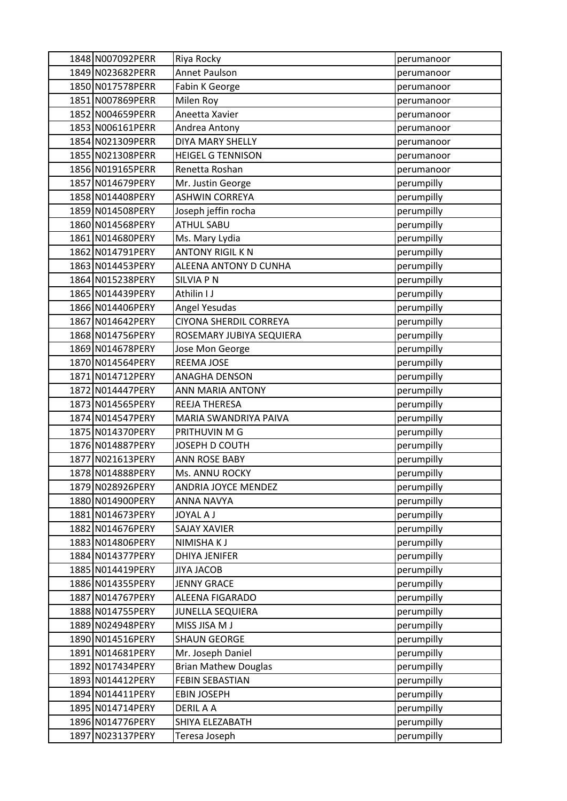| 1848 N007092PERR  | Riya Rocky                  | perumanoor |
|-------------------|-----------------------------|------------|
| 1849 N023682PERR  | <b>Annet Paulson</b>        | perumanoor |
| 1850 N017578PERR  | Fabin K George              | perumanoor |
| 1851 N007869PERR  | Milen Roy                   | perumanoor |
| 1852 N004659PERR  | Aneetta Xavier              | perumanoor |
| 1853 N006161 PERR | Andrea Antony               | perumanoor |
| 1854 N021309PERR  | DIYA MARY SHELLY            | perumanoor |
| 1855 N021308 PERR | <b>HEIGEL G TENNISON</b>    | perumanoor |
| 1856 N019165PERR  | Renetta Roshan              | perumanoor |
| 1857 N014679PERY  | Mr. Justin George           | perumpilly |
| 1858 N014408PERY  | <b>ASHWIN CORREYA</b>       | perumpilly |
| 1859 N014508PERY  | Joseph jeffin rocha         | perumpilly |
| 1860 N014568PERY  | <b>ATHUL SABU</b>           | perumpilly |
| 1861 N014680PERY  | Ms. Mary Lydia              | perumpilly |
| 1862 N014791PERY  | <b>ANTONY RIGIL K N</b>     | perumpilly |
| 1863 N014453 PERY | ALEENA ANTONY D CUNHA       | perumpilly |
| 1864 N015238PERY  | <b>SILVIA P N</b>           | perumpilly |
| 1865 N014439 PERY | Athilin I J                 | perumpilly |
| 1866 N014406PERY  | Angel Yesudas               | perumpilly |
| 1867 N014642PERY  | CIYONA SHERDIL CORREYA      | perumpilly |
| 1868 N014756PERY  | ROSEMARY JUBIYA SEQUIERA    | perumpilly |
| 1869 N014678PERY  | Jose Mon George             | perumpilly |
| 1870 N014564PERY  | <b>REEMA JOSE</b>           | perumpilly |
| 1871 N014712PERY  | <b>ANAGHA DENSON</b>        | perumpilly |
| 1872 N014447PERY  | ANN MARIA ANTONY            | perumpilly |
| 1873 N014565PERY  | REEJA THERESA               | perumpilly |
| 1874 N014547PERY  | MARIA SWANDRIYA PAIVA       | perumpilly |
| 1875 N014370PERY  | PRITHUVIN M G               | perumpilly |
| 1876 N014887PERY  | JOSEPH D COUTH              | perumpilly |
| 1877 N021613 PERY | <b>ANN ROSE BABY</b>        | perumpilly |
| 1878 N014888PERY  | Ms. ANNU ROCKY              | perumpilly |
| 1879 N028926PERY  | <b>ANDRIA JOYCE MENDEZ</b>  | perumpilly |
| 1880 N014900PERY  | ANNA NAVYA                  | perumpilly |
| 1881 N014673 PERY | <b>JOYAL A J</b>            | perumpilly |
| 1882 N014676PERY  | <b>SAJAY XAVIER</b>         | perumpilly |
| 1883 N014806PERY  | NIMISHAKJ                   | perumpilly |
| 1884 N014377PERY  | <b>DHIYA JENIFER</b>        | perumpilly |
| 1885 N014419PERY  | <b>JIYA JACOB</b>           | perumpilly |
| 1886 N014355PERY  | <b>JENNY GRACE</b>          | perumpilly |
| 1887 N014767PERY  | ALEENA FIGARADO             | perumpilly |
| 1888 N014755 PERY | <b>JUNELLA SEQUIERA</b>     | perumpilly |
| 1889 N024948PERY  | MISS JISA M J               | perumpilly |
| 1890 N014516PERY  | <b>SHAUN GEORGE</b>         | perumpilly |
| 1891 N014681 PERY | Mr. Joseph Daniel           | perumpilly |
| 1892 N017434PERY  | <b>Brian Mathew Douglas</b> | perumpilly |
| 1893 N014412PERY  | <b>FEBIN SEBASTIAN</b>      | perumpilly |
| 1894 N014411PERY  | <b>EBIN JOSEPH</b>          | perumpilly |
| 1895 N014714PERY  | <b>DERIL A A</b>            | perumpilly |
| 1896 N014776PERY  | SHIYA ELEZABATH             | perumpilly |
| 1897 N023137PERY  | Teresa Joseph               | perumpilly |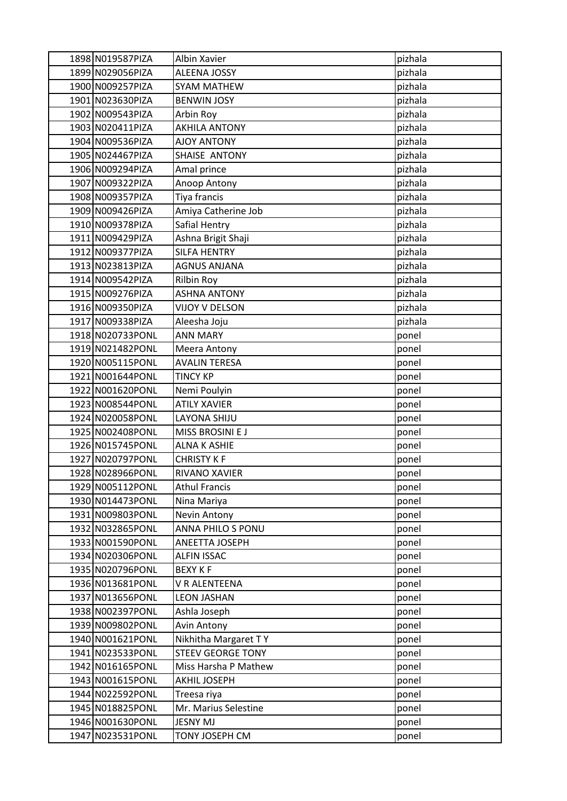| 1898 N019587PIZA  | Albin Xavier             | pizhala |
|-------------------|--------------------------|---------|
| 1899 N029056PIZA  | <b>ALEENA JOSSY</b>      | pizhala |
| 1900 N009257PIZA  | SYAM MATHEW              | pizhala |
| 1901 N023630PIZA  | <b>BENWIN JOSY</b>       | pizhala |
| 1902 N009543PIZA  | Arbin Roy                | pizhala |
| 1903 N020411PIZA  | <b>AKHILA ANTONY</b>     | pizhala |
| 1904 N009536PIZA  | <b>AJOY ANTONY</b>       | pizhala |
| 1905 N024467PIZA  | SHAISE ANTONY            | pizhala |
| 1906 N009294PIZA  | Amal prince              | pizhala |
| 1907 N009322PIZA  | Anoop Antony             | pizhala |
| 1908 N009357PIZA  | Tiya francis             | pizhala |
| 1909 N009426PIZA  | Amiya Catherine Job      | pizhala |
| 1910 N009378PIZA  | Safial Hentry            | pizhala |
| 1911 N009429PIZA  | Ashna Brigit Shaji       | pizhala |
| 1912 N009377PIZA  | <b>SILFA HENTRY</b>      | pizhala |
| 1913 N023813PIZA  | <b>AGNUS ANJANA</b>      | pizhala |
| 1914 N009542PIZA  | Rilbin Roy               | pizhala |
| 1915 N009276PIZA  | <b>ASHNA ANTONY</b>      | pizhala |
| 1916 N009350PIZA  | VIJOY V DELSON           | pizhala |
| 1917 N009338PIZA  | Aleesha Joju             | pizhala |
| 1918 N020733PONL  | <b>ANN MARY</b>          | ponel   |
| 1919 N021482PONL  | Meera Antony             | ponel   |
| 1920 N005115PONL  | <b>AVALIN TERESA</b>     | ponel   |
| 1921 N001644PONL  | <b>TINCY KP</b>          | ponel   |
| 1922 N001620PONL  | Nemi Poulyin             | ponel   |
| 1923 N008544PONL  | <b>ATILY XAVIER</b>      | ponel   |
| 1924 N020058PONL  | LAYONA SHIJU             | ponel   |
| 1925 N002408PONL  | MISS BROSINI E J         | ponel   |
| 1926 N015745PONL  | <b>ALNA K ASHIE</b>      | ponel   |
| 1927 N020797PONL  | <b>CHRISTY K F</b>       | ponel   |
| 1928 N028966PONL  | <b>RIVANO XAVIER</b>     | ponel   |
| 1929 N005112PONL  | <b>Athul Francis</b>     | ponel   |
| 1930 N014473PONL  | Nina Mariya              | ponel   |
| 1931 N009803PONL  | Nevin Antony             | ponel   |
| 1932 N032865PONL  | ANNA PHILO S PONU        | ponel   |
| 1933 N001590PONL  | ANEETTA JOSEPH           | ponel   |
| 1934 N020306PONL  | <b>ALFIN ISSAC</b>       | ponel   |
| 1935 N020796PONL  | <b>BEXY KF</b>           | ponel   |
| 1936 N013681PONL  | V R ALENTEENA            | ponel   |
| 1937 N013656PONL  | <b>LEON JASHAN</b>       | ponel   |
| 1938 N002397PONL  | Ashla Joseph             | ponel   |
| 1939 N009802PONL  | Avin Antony              | ponel   |
| 1940 N001621PONL  | Nikhitha Margaret TY     | ponel   |
| 1941 N023533PONL  | <b>STEEV GEORGE TONY</b> | ponel   |
| 1942 N016165PONL  | Miss Harsha P Mathew     | ponel   |
| 1943 N001615 PONL | AKHIL JOSEPH             | ponel   |
| 1944 N022592PONL  | Treesa riya              | ponel   |
| 1945 N018825PONL  | Mr. Marius Selestine     | ponel   |
| 1946 N001630PONL  | <b>JESNY MJ</b>          | ponel   |
| 1947 N023531PONL  | TONY JOSEPH CM           | ponel   |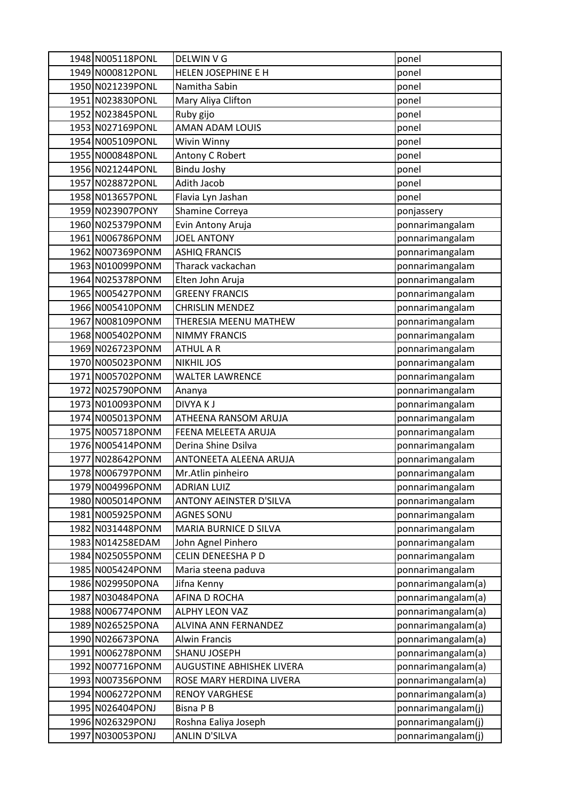| 1948 N005118PONL  | DELWIN V G                       | ponel              |
|-------------------|----------------------------------|--------------------|
| 1949 N000812PONL  | HELEN JOSEPHINE E H              | ponel              |
| 1950 N021239PONL  | Namitha Sabin                    | ponel              |
| 1951 N023830PONL  | Mary Aliya Clifton               | ponel              |
| 1952 N023845PONL  | Ruby gijo                        | ponel              |
| 1953 N027169PONL  | AMAN ADAM LOUIS                  | ponel              |
| 1954 N005109PONL  | Wivin Winny                      | ponel              |
| 1955 N000848PONL  | Antony C Robert                  | ponel              |
| 1956 N021244PONL  | <b>Bindu Joshy</b>               | ponel              |
| 1957 N028872PONL  | Adith Jacob                      | ponel              |
| 1958 N013657PONL  | Flavia Lyn Jashan                | ponel              |
| 1959 N023907PONY  | Shamine Correya                  | ponjassery         |
| 1960 N025379PONM  | Evin Antony Aruja                | ponnarimangalam    |
| 1961 N006786PONM  | <b>JOEL ANTONY</b>               | ponnarimangalam    |
| 1962 N007369PONM  | <b>ASHIQ FRANCIS</b>             | ponnarimangalam    |
| 1963 N010099PONM  | Tharack vackachan                | ponnarimangalam    |
| 1964 N025378PONM  | Elten John Aruja                 | ponnarimangalam    |
| 1965 N005427PONM  | <b>GREENY FRANCIS</b>            | ponnarimangalam    |
| 1966 N005410PONM  | <b>CHRISLIN MENDEZ</b>           | ponnarimangalam    |
| 1967 N008109PONM  | THERESIA MEENU MATHEW            | ponnarimangalam    |
| 1968 N005402PONM  | <b>NIMMY FRANCIS</b>             | ponnarimangalam    |
| 1969 N026723PONM  | <b>ATHUL A R</b>                 | ponnarimangalam    |
| 1970 N005023PONM  | <b>NIKHIL JOS</b>                | ponnarimangalam    |
| 1971 N005702PONM  | <b>WALTER LAWRENCE</b>           | ponnarimangalam    |
| 1972 N025790PONM  | Ananya                           | ponnarimangalam    |
| 1973 N010093PONM  | <b>DIVYAKJ</b>                   | ponnarimangalam    |
| 1974 N005013PONM  | ATHEENA RANSOM ARUJA             | ponnarimangalam    |
| 1975 N005718PONM  | FEENA MELEETA ARUJA              | ponnarimangalam    |
| 1976 N005414PONM  | Derina Shine Dsilva              | ponnarimangalam    |
| 1977 N028642PONM  | ANTONEETA ALEENA ARUJA           | ponnarimangalam    |
| 1978 N006797PONM  | Mr.Atlin pinheiro                | ponnarimangalam    |
| 1979 N004996PONM  | <b>ADRIAN LUIZ</b>               | ponnarimangalam    |
| 1980 N005014PONM  | <b>ANTONY AEINSTER D'SILVA</b>   | ponnarimangalam    |
| 1981 N005925PONM  | <b>AGNES SONU</b>                | ponnarimangalam    |
| 1982 N031448PONM  | MARIA BURNICE D SILVA            | ponnarimangalam    |
| 1983 N014258EDAM  | John Agnel Pinhero               | ponnarimangalam    |
| 1984 N025055 PONM | CELIN DENEESHA P D               | ponnarimangalam    |
| 1985 N005424PONM  | Maria steena paduva              | ponnarimangalam    |
| 1986 N029950PONA  | Jifna Kenny                      | ponnarimangalam(a) |
| 1987 N030484PONA  | AFINA D ROCHA                    | ponnarimangalam(a) |
| 1988 N006774PONM  | <b>ALPHY LEON VAZ</b>            | ponnarimangalam(a) |
| 1989 N026525PONA  | <b>ALVINA ANN FERNANDEZ</b>      | ponnarimangalam(a) |
| 1990 N026673PONA  | <b>Alwin Francis</b>             | ponnarimangalam(a) |
| 1991 N006278PONM  | SHANU JOSEPH                     | ponnarimangalam(a) |
| 1992 N007716PONM  | <b>AUGUSTINE ABHISHEK LIVERA</b> | ponnarimangalam(a) |
| 1993 N007356PONM  | ROSE MARY HERDINA LIVERA         | ponnarimangalam(a) |
| 1994 N006272PONM  | <b>RENOY VARGHESE</b>            | ponnarimangalam(a) |
| 1995 N026404PONJ  | <b>Bisna P B</b>                 | ponnarimangalam(j) |
| 1996 N026329PONJ  | Roshna Ealiya Joseph             | ponnarimangalam(j) |
| 1997 N030053PONJ  | <b>ANLIN D'SILVA</b>             | ponnarimangalam(j) |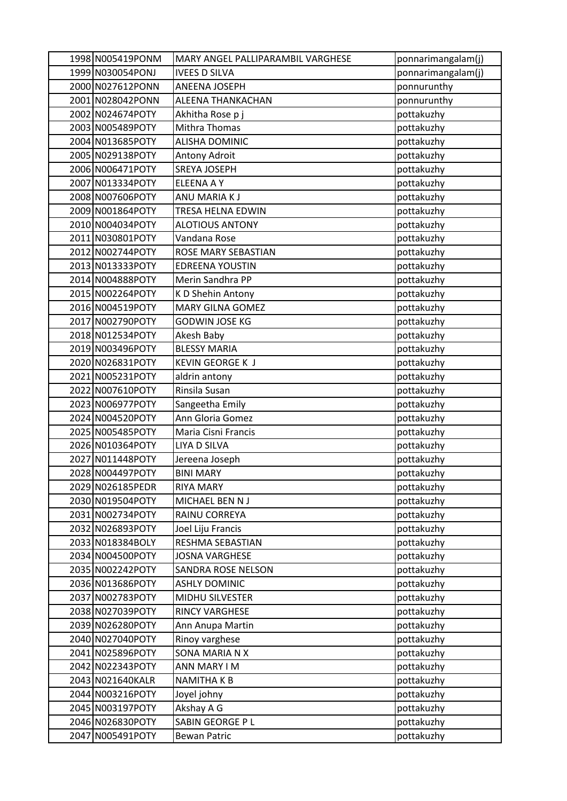| 1998 N005419PONM | MARY ANGEL PALLIPARAMBIL VARGHESE | ponnarimangalam(j) |
|------------------|-----------------------------------|--------------------|
| 1999 N030054PONJ | <b>IVEES D SILVA</b>              | ponnarimangalam(j) |
| 2000 N027612PONN | ANEENA JOSEPH                     | ponnurunthy        |
| 2001 N028042PONN | ALEENA THANKACHAN                 | ponnurunthy        |
| 2002 N024674POTY | Akhitha Rose p j                  | pottakuzhy         |
| 2003 N005489POTY | Mithra Thomas                     | pottakuzhy         |
| 2004 N013685POTY | <b>ALISHA DOMINIC</b>             | pottakuzhy         |
| 2005 N029138POTY | Antony Adroit                     | pottakuzhy         |
| 2006 N006471POTY | <b>SREYA JOSEPH</b>               | pottakuzhy         |
| 2007 N013334POTY | <b>ELEENA A Y</b>                 | pottakuzhy         |
| 2008 N007606POTY | ANU MARIA KJ                      | pottakuzhy         |
| 2009 N001864POTY | TRESA HELNA EDWIN                 | pottakuzhy         |
| 2010 N004034POTY | <b>ALOTIOUS ANTONY</b>            | pottakuzhy         |
| 2011 N030801POTY | Vandana Rose                      | pottakuzhy         |
| 2012 N002744POTY | ROSE MARY SEBASTIAN               | pottakuzhy         |
| 2013 N013333POTY | <b>EDREENA YOUSTIN</b>            | pottakuzhy         |
| 2014 N004888POTY | Merin Sandhra PP                  | pottakuzhy         |
| 2015 N002264POTY | K D Shehin Antony                 | pottakuzhy         |
| 2016 N004519POTY | <b>MARY GILNA GOMEZ</b>           | pottakuzhy         |
| 2017 N002790POTY | <b>GODWIN JOSE KG</b>             | pottakuzhy         |
| 2018 N012534POTY | Akesh Baby                        | pottakuzhy         |
| 2019 N003496POTY | <b>BLESSY MARIA</b>               | pottakuzhy         |
| 2020 N026831POTY | <b>KEVIN GEORGE K J</b>           | pottakuzhy         |
| 2021 N005231POTY | aldrin antony                     | pottakuzhy         |
| 2022 N007610POTY | Rinsila Susan                     | pottakuzhy         |
| 2023 N006977POTY | Sangeetha Emily                   | pottakuzhy         |
| 2024 N004520POTY | Ann Gloria Gomez                  | pottakuzhy         |
| 2025 N005485POTY | Maria Cisni Francis               | pottakuzhy         |
| 2026 N010364POTY | LIYA D SILVA                      | pottakuzhy         |
| 2027 N011448POTY | Jereena Joseph                    | pottakuzhy         |
| 2028 N004497POTY | <b>BINI MARY</b>                  | pottakuzhy         |
| 2029 N026185PEDR | <b>RIYA MARY</b>                  | pottakuzhy         |
| 2030 N019504POTY | MICHAEL BEN N J                   | pottakuzhy         |
| 2031 N002734POTY | RAINU CORREYA                     | pottakuzhy         |
| 2032 N026893POTY | Joel Liju Francis                 | pottakuzhy         |
| 2033 N018384BOLY | RESHMA SEBASTIAN                  | pottakuzhy         |
| 2034 N004500POTY | <b>JOSNA VARGHESE</b>             | pottakuzhy         |
| 2035 N002242POTY | SANDRA ROSE NELSON                | pottakuzhy         |
| 2036 N013686POTY | <b>ASHLY DOMINIC</b>              | pottakuzhy         |
| 2037 N002783POTY | MIDHU SILVESTER                   | pottakuzhy         |
| 2038 N027039POTY | <b>RINCY VARGHESE</b>             | pottakuzhy         |
| 2039 N026280POTY | Ann Anupa Martin                  | pottakuzhy         |
| 2040 N027040POTY | Rinoy varghese                    | pottakuzhy         |
| 2041 N025896POTY | SONA MARIA N X                    | pottakuzhy         |
| 2042 N022343POTY | ANN MARY I M                      | pottakuzhy         |
| 2043 N021640KALR | <b>NAMITHAKB</b>                  | pottakuzhy         |
| 2044 N003216POTY | Joyel johny                       | pottakuzhy         |
| 2045 N003197POTY | Akshay A G                        | pottakuzhy         |
| 2046 N026830POTY | SABIN GEORGE P L                  | pottakuzhy         |
| 2047 N005491POTY | <b>Bewan Patric</b>               | pottakuzhy         |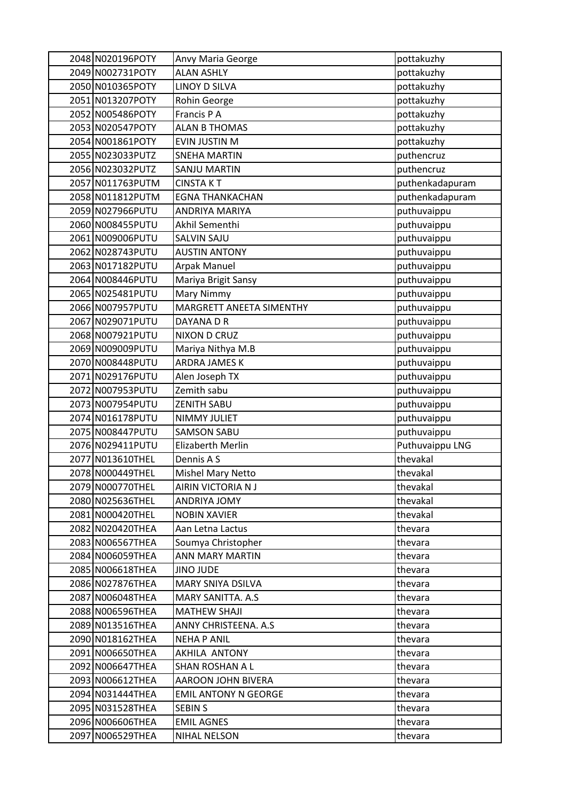| 2048 N020196POTY  | Anvy Maria George           | pottakuzhy      |
|-------------------|-----------------------------|-----------------|
| 2049 N002731POTY  | <b>ALAN ASHLY</b>           | pottakuzhy      |
| 2050 N010365POTY  | <b>LINOY D SILVA</b>        | pottakuzhy      |
| 2051 N013207POTY  | Rohin George                | pottakuzhy      |
| 2052 N005486POTY  | Francis P A                 | pottakuzhy      |
| 2053 N020547POTY  | <b>ALAN B THOMAS</b>        | pottakuzhy      |
| 2054 N001861POTY  | <b>EVIN JUSTIN M</b>        | pottakuzhy      |
| 2055 N023033PUTZ  | <b>SNEHA MARTIN</b>         | puthencruz      |
| 2056 N023032PUTZ  | <b>SANJU MARTIN</b>         | puthencruz      |
| 2057 N011763 PUTM | <b>CINSTAKT</b>             | puthenkadapuram |
| 2058 N011812PUTM  | <b>EGNA THANKACHAN</b>      | puthenkadapuram |
| 2059 N027966 PUTU | ANDRIYA MARIYA              | puthuvaippu     |
| 2060 N008455 PUTU | Akhil Sementhi              | puthuvaippu     |
| 2061 N009006 PUTU | <b>SALVIN SAJU</b>          | puthuvaippu     |
| 2062 N028743 PUTU | <b>AUSTIN ANTONY</b>        | puthuvaippu     |
| 2063 N017182PUTU  | Arpak Manuel                | puthuvaippu     |
| 2064 N008446 PUTU | Mariya Brigit Sansy         | puthuvaippu     |
| 2065 N025481 PUTU | Mary Nimmy                  | puthuvaippu     |
| 2066 N007957PUTU  | MARGRETT ANEETA SIMENTHY    | puthuvaippu     |
| 2067 N029071 PUTU | DAYANA D R                  | puthuvaippu     |
| 2068 N007921PUTU  | NIXON D CRUZ                | puthuvaippu     |
| 2069 N009009 PUTU | Mariya Nithya M.B           | puthuvaippu     |
| 2070 N008448 PUTU | ARDRA JAMES K               | puthuvaippu     |
| 2071 N029176 PUTU | Alen Joseph TX              | puthuvaippu     |
| 2072 N007953PUTU  | Zemith sabu                 | puthuvaippu     |
| 2073 N007954PUTU  | <b>ZENITH SABU</b>          | puthuvaippu     |
| 2074 N016178 PUTU | NIMMY JULIET                | puthuvaippu     |
| 2075 N008447PUTU  | <b>SAMSON SABU</b>          | puthuvaippu     |
| 2076 N029411PUTU  | <b>Elizaberth Merlin</b>    | Puthuvaippu LNG |
| 2077 N013610THEL  | Dennis A S                  | thevakal        |
| 2078 N000449THEL  | <b>Mishel Mary Netto</b>    | thevakal        |
| 2079 N000770THEL  | AIRIN VICTORIA N J          | thevakal        |
| 2080 N025636THEL  | ANDRIYA JOMY                | thevakal        |
| 2081 N000420THEL  | <b>NOBIN XAVIER</b>         | thevakal        |
| 2082 N020420THEA  | Aan Letna Lactus            | thevara         |
| 2083 N006567THEA  | Soumya Christopher          | thevara         |
| 2084 N006059THEA  | ANN MARY MARTIN             | thevara         |
| 2085 N006618THEA  | <b>JINO JUDE</b>            | thevara         |
| 2086 N027876THEA  | MARY SNIYA DSILVA           | thevara         |
| 2087 N006048THEA  | MARY SANITTA. A.S.          | thevara         |
| 2088 N006596THEA  | <b>MATHEW SHAJI</b>         | thevara         |
| 2089 N013516THEA  | ANNY CHRISTEENA. A.S.       | thevara         |
| 2090 N018162THEA  | <b>NEHA P ANIL</b>          | thevara         |
| 2091 N006650THEA  | AKHILA ANTONY               | thevara         |
| 2092 N006647THEA  | SHAN ROSHAN A L             | thevara         |
| 2093 N006612THEA  | AAROON JOHN BIVERA          | thevara         |
| 2094 N031444THEA  | <b>EMIL ANTONY N GEORGE</b> | thevara         |
| 2095 N031528THEA  | <b>SEBIN S</b>              | thevara         |
| 2096 N006606THEA  | <b>EMIL AGNES</b>           | thevara         |
| 2097 N006529THEA  | NIHAL NELSON                | thevara         |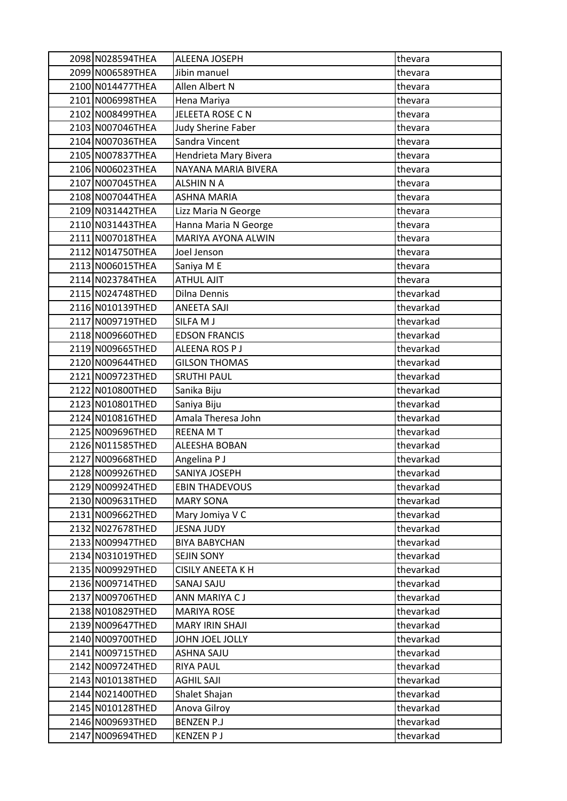| 2098 N028594THEA | ALEENA JOSEPH            | thevara   |
|------------------|--------------------------|-----------|
| 2099 N006589THEA | Jibin manuel             | thevara   |
| 2100 N014477THEA | Allen Albert N           | thevara   |
| 2101 N006998THEA | Hena Mariya              | thevara   |
| 2102 N008499THEA | JELEETA ROSE CN          | thevara   |
| 2103 N007046THEA | Judy Sherine Faber       | thevara   |
| 2104 N007036THEA | Sandra Vincent           | thevara   |
| 2105 N007837THEA | Hendrieta Mary Bivera    | thevara   |
| 2106 N006023THEA | NAYANA MARIA BIVERA      | thevara   |
| 2107 N007045THEA | <b>ALSHIN N A</b>        | thevara   |
| 2108 N007044THEA | <b>ASHNA MARIA</b>       | thevara   |
| 2109 N031442THEA | Lizz Maria N George      | thevara   |
| 2110 N031443THEA | Hanna Maria N George     | thevara   |
| 2111 N007018THEA | MARIYA AYONA ALWIN       | thevara   |
| 2112 N014750THEA | Joel Jenson              | thevara   |
| 2113 N006015THEA | Saniya M E               | thevara   |
| 2114 N023784THEA | <b>ATHUL AJIT</b>        | thevara   |
| 2115 N024748THED | Dilna Dennis             | thevarkad |
| 2116 N010139THED | <b>ANEETA SAJI</b>       | thevarkad |
| 2117 N009719THED | SILFA M J                | thevarkad |
| 2118 N009660THED | <b>EDSON FRANCIS</b>     | thevarkad |
| 2119 N009665THED | ALEENA ROS P J           | thevarkad |
| 2120 N009644THED | <b>GILSON THOMAS</b>     | thevarkad |
| 2121 N009723THED | <b>SRUTHI PAUL</b>       | thevarkad |
| 2122 N010800THED | Sanika Biju              | thevarkad |
| 2123 N010801THED | Saniya Biju              | thevarkad |
| 2124 N010816THED | Amala Theresa John       | thevarkad |
| 2125 N009696THED | <b>REENA MT</b>          | thevarkad |
| 2126 N011585THED | ALEESHA BOBAN            | thevarkad |
| 2127 N009668THED | Angelina P J             | thevarkad |
| 2128 N009926THED | SANIYA JOSEPH            | thevarkad |
| 2129 N009924THED | <b>EBIN THADEVOUS</b>    | thevarkad |
| 2130 N009631THED | <b>MARY SONA</b>         | thevarkad |
| 2131 N009662THED | Mary Jomiya V C          | thevarkad |
| 2132 N027678THED | <b>JESNA JUDY</b>        | thevarkad |
| 2133 N009947THED | <b>BIYA BABYCHAN</b>     | thevarkad |
| 2134 N031019THED | <b>SEJIN SONY</b>        | thevarkad |
| 2135 N009929THED | <b>CISILY ANEETA K H</b> | thevarkad |
| 2136 N009714THED | SANAJ SAJU               | thevarkad |
| 2137 N009706THED | ANN MARIYA CJ            | thevarkad |
| 2138 N010829THED | <b>MARIYA ROSE</b>       | thevarkad |
| 2139 N009647THED | <b>MARY IRIN SHAJI</b>   | thevarkad |
| 2140 N009700THED | JOHN JOEL JOLLY          | thevarkad |
| 2141 N009715THED | ASHNA SAJU               | thevarkad |
| 2142 N009724THED | <b>RIYA PAUL</b>         | thevarkad |
| 2143 N010138THED | AGHIL SAJI               | thevarkad |
| 2144 N021400THED | Shalet Shajan            | thevarkad |
| 2145 N010128THED | Anova Gilroy             | thevarkad |
| 2146 N009693THED | <b>BENZEN P.J</b>        | thevarkad |
| 2147 N009694THED | <b>KENZEN P J</b>        | thevarkad |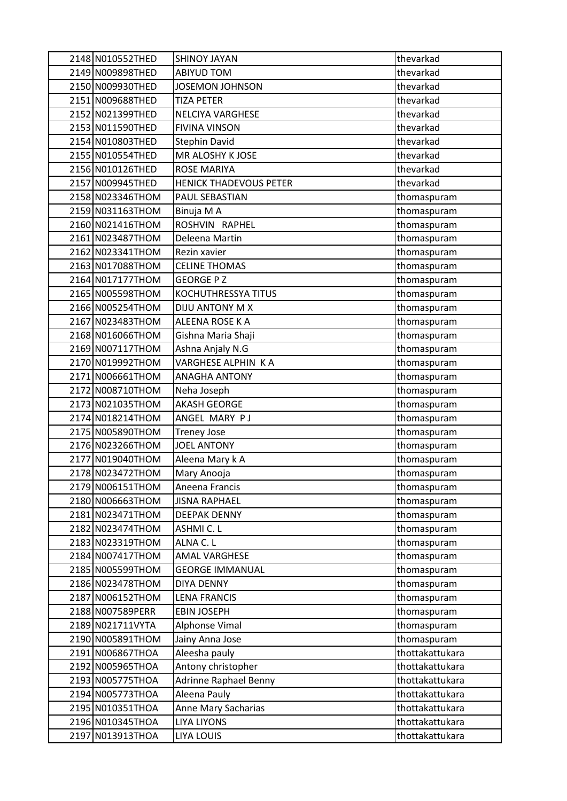| 2148 N010552THED | <b>SHINOY JAYAN</b>           | thevarkad       |
|------------------|-------------------------------|-----------------|
| 2149 N009898THED | ABIYUD TOM                    | thevarkad       |
| 2150 N009930THED | JOSEMON JOHNSON               | thevarkad       |
| 2151 N009688THED | <b>TIZA PETER</b>             | thevarkad       |
| 2152 N021399THED | <b>NELCIYA VARGHESE</b>       | thevarkad       |
| 2153 N011590THED | <b>FIVINA VINSON</b>          | thevarkad       |
| 2154 N010803THED | <b>Stephin David</b>          | thevarkad       |
| 2155 N010554THED | MR ALOSHY K JOSE              | thevarkad       |
| 2156 N010126THED | <b>ROSE MARIYA</b>            | thevarkad       |
| 2157 N009945THED | <b>HENICK THADEVOUS PETER</b> | thevarkad       |
| 2158 N023346THOM | PAUL SEBASTIAN                | thomaspuram     |
| 2159 N031163THOM | Binuja M A                    | thomaspuram     |
| 2160 N021416THOM | ROSHVIN RAPHEL                | thomaspuram     |
| 2161 N023487THOM | Deleena Martin                | thomaspuram     |
| 2162 N023341THOM | Rezin xavier                  | thomaspuram     |
| 2163 N017088THOM | <b>CELINE THOMAS</b>          | thomaspuram     |
| 2164 N017177THOM | <b>GEORGE P Z</b>             | thomaspuram     |
| 2165 N005598THOM | KOCHUTHRESSYA TITUS           | thomaspuram     |
| 2166 N005254THOM | DIJU ANTONY M X               | thomaspuram     |
| 2167 N023483THOM | ALEENA ROSE K A               | thomaspuram     |
| 2168 N016066THOM | Gishna Maria Shaji            | thomaspuram     |
| 2169 N007117THOM | Ashna Anjaly N.G              | thomaspuram     |
| 2170 N019992THOM | VARGHESE ALPHIN K A           | thomaspuram     |
| 2171 N006661THOM | <b>ANAGHA ANTONY</b>          | thomaspuram     |
| 2172 N008710THOM | Neha Joseph                   | thomaspuram     |
| 2173 N021035THOM | <b>AKASH GEORGE</b>           | thomaspuram     |
| 2174 N018214THOM | ANGEL MARY PJ                 | thomaspuram     |
| 2175 N005890THOM | <b>Treney Jose</b>            | thomaspuram     |
| 2176 N023266THOM | <b>JOEL ANTONY</b>            | thomaspuram     |
| 2177 N019040THOM | Aleena Mary k A               | thomaspuram     |
| 2178 N023472THOM | Mary Anooja                   | thomaspuram     |
| 2179 N006151THOM | Aneena Francis                | thomaspuram     |
| 2180 N006663THOM | <b>JISNA RAPHAEL</b>          | thomaspuram     |
| 2181 N023471THOM | <b>DEEPAK DENNY</b>           | thomaspuram     |
| 2182 N023474THOM | ASHMI C. L                    | thomaspuram     |
| 2183 N023319THOM | ALNA C. L                     | thomaspuram     |
| 2184 N007417THOM | <b>AMAL VARGHESE</b>          | thomaspuram     |
| 2185 N005599THOM | <b>GEORGE IMMANUAL</b>        | thomaspuram     |
| 2186 N023478THOM | <b>DIYA DENNY</b>             | thomaspuram     |
| 2187 N006152THOM | <b>LENA FRANCIS</b>           | thomaspuram     |
| 2188 N007589PERR | <b>EBIN JOSEPH</b>            | thomaspuram     |
| 2189 N021711VYTA | Alphonse Vimal                | thomaspuram     |
| 2190 N005891THOM | Jainy Anna Jose               | thomaspuram     |
| 2191 N006867THOA | Aleesha pauly                 | thottakattukara |
| 2192 N005965THOA | Antony christopher            | thottakattukara |
| 2193 N005775THOA | <b>Adrinne Raphael Benny</b>  | thottakattukara |
| 2194 N005773THOA | Aleena Pauly                  | thottakattukara |
| 2195 N010351THOA | Anne Mary Sacharias           | thottakattukara |
| 2196 N010345THOA | <b>LIYA LIYONS</b>            | thottakattukara |
| 2197 N013913THOA | LIYA LOUIS                    | thottakattukara |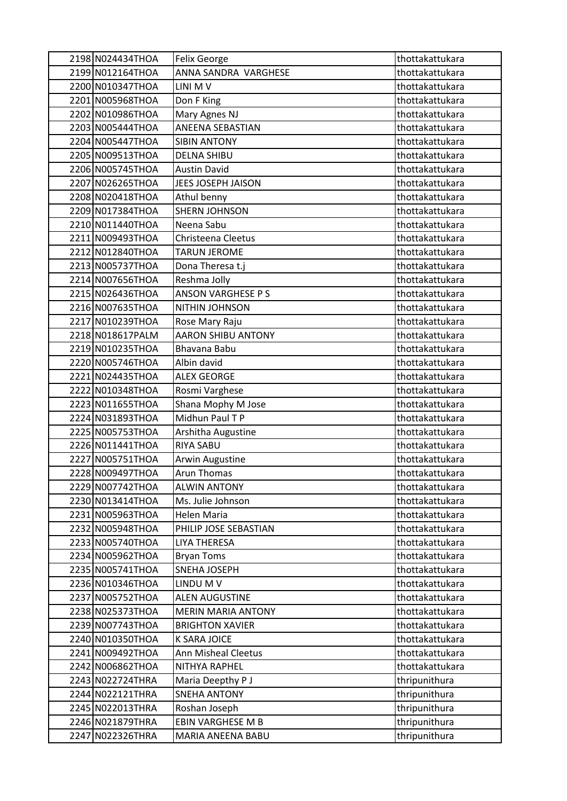| 2198 N024434THOA | <b>Felix George</b>       | thottakattukara |
|------------------|---------------------------|-----------------|
| 2199 N012164THOA | ANNA SANDRA VARGHESE      | thottakattukara |
| 2200 N010347THOA | LINI M V                  | thottakattukara |
| 2201 N005968THOA | Don F King                | thottakattukara |
| 2202 N010986THOA | Mary Agnes NJ             | thottakattukara |
| 2203 N005444THOA | ANEENA SEBASTIAN          | thottakattukara |
| 2204 N005447THOA | <b>SIBIN ANTONY</b>       | thottakattukara |
| 2205 N009513THOA | <b>DELNA SHIBU</b>        | thottakattukara |
| 2206 N005745THOA | <b>Austin David</b>       | thottakattukara |
| 2207 N026265THOA | JEES JOSEPH JAISON        | thottakattukara |
| 2208 N020418THOA | Athul benny               | thottakattukara |
| 2209 N017384THOA | <b>SHERN JOHNSON</b>      | thottakattukara |
| 2210 N011440THOA | Neena Sabu                | thottakattukara |
| 2211 N009493THOA | Christeena Cleetus        | thottakattukara |
| 2212 N012840THOA | <b>TARUN JEROME</b>       | thottakattukara |
| 2213 N005737THOA | Dona Theresa t.j          | thottakattukara |
| 2214 N007656THOA | Reshma Jolly              | thottakattukara |
| 2215 N026436THOA | <b>ANSON VARGHESE P S</b> | thottakattukara |
| 2216 N007635THOA | NITHIN JOHNSON            | thottakattukara |
| 2217 N010239THOA | Rose Mary Raju            | thottakattukara |
| 2218 N018617PALM | <b>AARON SHIBU ANTONY</b> | thottakattukara |
| 2219 N010235THOA | Bhavana Babu              | thottakattukara |
| 2220 N005746THOA | Albin david               | thottakattukara |
| 2221 N024435THOA | <b>ALEX GEORGE</b>        | thottakattukara |
| 2222 N010348THOA | Rosmi Varghese            | thottakattukara |
| 2223 N011655THOA | Shana Mophy M Jose        | thottakattukara |
| 2224 N031893THOA | Midhun Paul T P           | thottakattukara |
| 2225 N005753THOA | Arshitha Augustine        | thottakattukara |
| 2226 N011441THOA | RIYA SABU                 | thottakattukara |
| 2227 N005751THOA | Arwin Augustine           | thottakattukara |
| 2228 N009497THOA | <b>Arun Thomas</b>        | thottakattukara |
| 2229 N007742THOA | <b>ALWIN ANTONY</b>       | thottakattukara |
| 2230 N013414THOA | Ms. Julie Johnson         | thottakattukara |
| 2231 N005963THOA | Helen Maria               | thottakattukara |
| 2232 N005948THOA | PHILIP JOSE SEBASTIAN     | thottakattukara |
| 2233 N005740THOA | <b>LIYA THERESA</b>       | thottakattukara |
| 2234 N005962THOA | <b>Bryan Toms</b>         | thottakattukara |
| 2235 N005741THOA | SNEHA JOSEPH              | thottakattukara |
| 2236 N010346THOA | LINDU M V                 | thottakattukara |
| 2237 N005752THOA | <b>ALEN AUGUSTINE</b>     | thottakattukara |
| 2238 N025373THOA | <b>MERIN MARIA ANTONY</b> | thottakattukara |
| 2239 N007743THOA | <b>BRIGHTON XAVIER</b>    | thottakattukara |
| 2240 N010350THOA | K SARA JOICE              | thottakattukara |
| 2241 N009492THOA | Ann Misheal Cleetus       | thottakattukara |
| 2242 N006862THOA | NITHYA RAPHEL             | thottakattukara |
| 2243 N022724THRA | Maria Deepthy P J         | thripunithura   |
| 2244 N022121THRA | <b>SNEHA ANTONY</b>       | thripunithura   |
| 2245 N022013THRA | Roshan Joseph             | thripunithura   |
| 2246 N021879THRA | EBIN VARGHESE M B         | thripunithura   |
| 2247 N022326THRA | MARIA ANEENA BABU         | thripunithura   |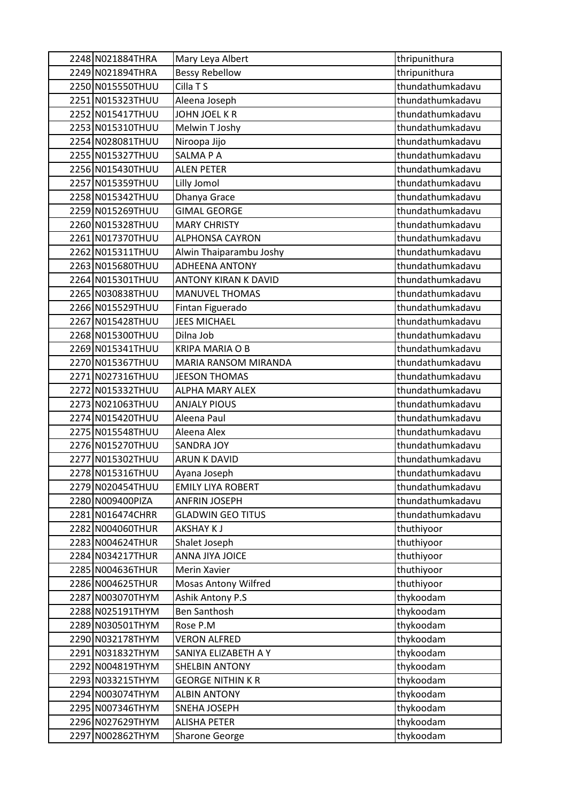| 2248 N021884THRA | Mary Leya Albert            | thripunithura    |
|------------------|-----------------------------|------------------|
| 2249 N021894THRA | <b>Bessy Rebellow</b>       | thripunithura    |
| 2250 N015550THUU | Cilla T S                   | thundathumkadavu |
| 2251 N015323THUU | Aleena Joseph               | thundathumkadavu |
| 2252 N015417THUU | <b>JOHN JOEL K R</b>        | thundathumkadavu |
| 2253 N015310THUU | Melwin T Joshy              | thundathumkadavu |
| 2254 N028081THUU | Niroopa Jijo                | thundathumkadavu |
| 2255 N015327THUU | SALMA P A                   | thundathumkadavu |
| 2256 N015430THUU | <b>ALEN PETER</b>           | thundathumkadavu |
| 2257 N015359THUU | Lilly Jomol                 | thundathumkadavu |
| 2258 N015342THUU | Dhanya Grace                | thundathumkadavu |
| 2259 N015269THUU | <b>GIMAL GEORGE</b>         | thundathumkadavu |
| 2260 N015328THUU | <b>MARY CHRISTY</b>         | thundathumkadavu |
| 2261 N017370THUU | <b>ALPHONSA CAYRON</b>      | thundathumkadavu |
| 2262 N015311THUU | Alwin Thaiparambu Joshy     | thundathumkadavu |
| 2263 N015680THUU | <b>ADHEENA ANTONY</b>       | thundathumkadavu |
| 2264 N015301THUU | <b>ANTONY KIRAN K DAVID</b> | thundathumkadavu |
| 2265 N030838THUU | <b>MANUVEL THOMAS</b>       | thundathumkadavu |
| 2266 N015529THUU | Fintan Figuerado            | thundathumkadavu |
| 2267 N015428THUU | <b>JEES MICHAEL</b>         | thundathumkadavu |
| 2268 N015300THUU | Dilna Job                   | thundathumkadavu |
| 2269 N015341THUU | <b>KRIPA MARIA O B</b>      | thundathumkadavu |
| 2270 N015367THUU | MARIA RANSOM MIRANDA        | thundathumkadavu |
| 2271 N027316THUU | <b>JEESON THOMAS</b>        | thundathumkadavu |
| 2272 N015332THUU | ALPHA MARY ALEX             | thundathumkadavu |
| 2273 N021063THUU | <b>ANJALY PIOUS</b>         | thundathumkadavu |
| 2274 N015420THUU | Aleena Paul                 | thundathumkadavu |
| 2275 N015548THUU | Aleena Alex                 | thundathumkadavu |
| 2276 N015270THUU | <b>SANDRA JOY</b>           | thundathumkadavu |
| 2277 N015302THUU | <b>ARUN K DAVID</b>         | thundathumkadavu |
| 2278 N015316THUU | Ayana Joseph                | thundathumkadavu |
| 2279 N020454THUU | <b>EMILY LIYA ROBERT</b>    | thundathumkadavu |
| 2280 N009400PIZA | <b>ANFRIN JOSEPH</b>        | thundathumkadavu |
| 2281 N016474CHRR | <b>GLADWIN GEO TITUS</b>    | thundathumkadavu |
| 2282 N004060THUR | <b>AKSHAY KJ</b>            | thuthiyoor       |
| 2283 N004624THUR | Shalet Joseph               | thuthiyoor       |
| 2284 N034217THUR | ANNA JIYA JOICE             | thuthiyoor       |
| 2285 N004636THUR | Merin Xavier                | thuthiyoor       |
| 2286 N004625THUR | <b>Mosas Antony Wilfred</b> | thuthiyoor       |
| 2287 N003070THYM | <b>Ashik Antony P.S</b>     | thykoodam        |
| 2288 N025191THYM | <b>Ben Santhosh</b>         | thykoodam        |
| 2289 N030501THYM | Rose P.M                    | thykoodam        |
| 2290 N032178THYM | <b>VERON ALFRED</b>         | thykoodam        |
| 2291 N031832THYM | SANIYA ELIZABETH A Y        | thykoodam        |
| 2292 N004819THYM | <b>SHELBIN ANTONY</b>       | thykoodam        |
| 2293 N033215THYM | <b>GEORGE NITHIN K R</b>    | thykoodam        |
| 2294 N003074THYM | <b>ALBIN ANTONY</b>         | thykoodam        |
| 2295 N007346THYM | SNEHA JOSEPH                | thykoodam        |
| 2296 N027629THYM | <b>ALISHA PETER</b>         | thykoodam        |
| 2297 N002862THYM | <b>Sharone George</b>       | thykoodam        |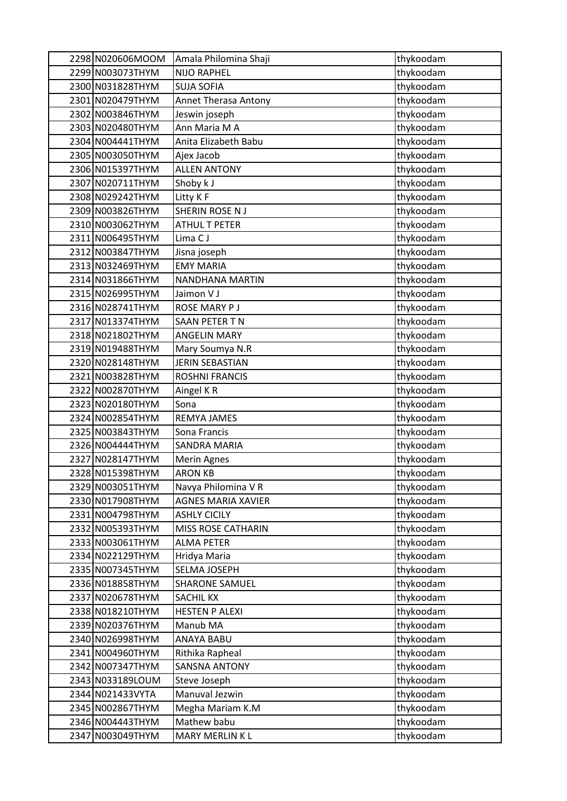| 2298 N020606MOOM | Amala Philomina Shaji     | thykoodam |
|------------------|---------------------------|-----------|
| 2299 N003073THYM | <b>NIJO RAPHEL</b>        | thykoodam |
| 2300 N031828THYM | <b>SUJA SOFIA</b>         | thykoodam |
| 2301 N020479THYM | Annet Therasa Antony      | thykoodam |
| 2302 N003846THYM | Jeswin joseph             | thykoodam |
| 2303 N020480THYM | Ann Maria M A             | thykoodam |
| 2304 N004441THYM | Anita Elizabeth Babu      | thykoodam |
| 2305 N003050THYM | Ajex Jacob                | thykoodam |
| 2306 N015397THYM | <b>ALLEN ANTONY</b>       | thykoodam |
| 2307 N020711THYM | Shoby k J                 | thykoodam |
| 2308 N029242THYM | Litty K F                 | thykoodam |
| 2309 N003826THYM | SHERIN ROSE N J           | thykoodam |
| 2310 N003062THYM | <b>ATHUL T PETER</b>      | thykoodam |
| 2311 N006495THYM | Lima CJ                   | thykoodam |
| 2312 N003847THYM | Jisna joseph              | thykoodam |
| 2313 N032469THYM | <b>EMY MARIA</b>          | thykoodam |
| 2314 N031866THYM | NANDHANA MARTIN           | thykoodam |
| 2315 N026995THYM | Jaimon V J                | thykoodam |
| 2316 N028741THYM | ROSE MARY P J             | thykoodam |
| 2317 N013374THYM | SAAN PETER TN             | thykoodam |
| 2318 N021802THYM | <b>ANGELIN MARY</b>       | thykoodam |
| 2319 N019488THYM | Mary Soumya N.R           | thykoodam |
| 2320 N028148THYM | <b>JERIN SEBASTIAN</b>    | thykoodam |
| 2321 N003828THYM | <b>ROSHNI FRANCIS</b>     | thykoodam |
| 2322 N002870THYM | Aingel KR                 | thykoodam |
| 2323 N020180THYM | Sona                      | thykoodam |
| 2324 N002854THYM | REMYA JAMES               | thykoodam |
| 2325 N003843THYM | Sona Francis              | thykoodam |
| 2326 N004444THYM | <b>SANDRA MARIA</b>       | thykoodam |
| 2327 N028147THYM | Merin Agnes               | thykoodam |
| 2328 N015398THYM | <b>ARON KB</b>            | thykoodam |
| 2329 N003051THYM | Navya Philomina V R       | thykoodam |
| 2330 N017908THYM | <b>AGNES MARIA XAVIER</b> | thykoodam |
| 2331 N004798THYM | <b>ASHLY CICILY</b>       | thykoodam |
| 2332 N005393THYM | MISS ROSE CATHARIN        | thykoodam |
| 2333 N003061THYM | <b>ALMA PETER</b>         | thykoodam |
| 2334 N022129THYM | Hridya Maria              | thykoodam |
| 2335 N007345THYM | SELMA JOSEPH              | thykoodam |
| 2336 N018858THYM | <b>SHARONE SAMUEL</b>     | thykoodam |
| 2337 N020678THYM | <b>SACHIL KX</b>          | thykoodam |
| 2338 N018210THYM | <b>HESTEN P ALEXI</b>     | thykoodam |
| 2339 N020376THYM | Manub MA                  | thykoodam |
| 2340 N026998THYM | ANAYA BABU                | thykoodam |
| 2341 N004960THYM | Rithika Rapheal           | thykoodam |
| 2342 N007347THYM | <b>SANSNA ANTONY</b>      | thykoodam |
| 2343 N033189LOUM | Steve Joseph              | thykoodam |
| 2344 N021433VYTA | Manuval Jezwin            | thykoodam |
| 2345 N002867THYM | Megha Mariam K.M          | thykoodam |
| 2346 N004443THYM | Mathew babu               | thykoodam |
| 2347 N003049THYM | MARY MERLIN K L           | thykoodam |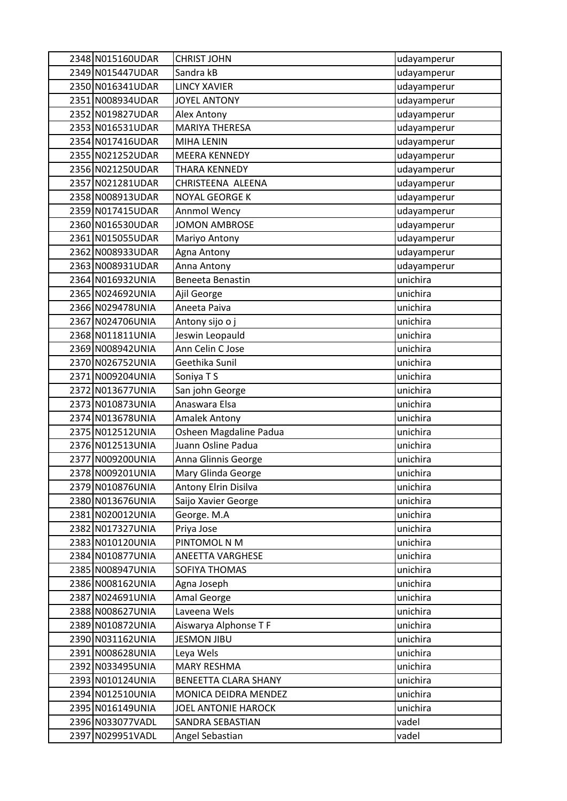| 2348 N015160UDAR  | <b>CHRIST JOHN</b>         | udayamperur |
|-------------------|----------------------------|-------------|
| 2349 N015447UDAR  | Sandra kB                  | udayamperur |
| 2350 N016341UDAR  | <b>LINCY XAVIER</b>        | udayamperur |
| 2351 N008934UDAR  | <b>JOYEL ANTONY</b>        | udayamperur |
| 2352 N019827UDAR  | Alex Antony                | udayamperur |
| 2353 N016531UDAR  | <b>MARIYA THERESA</b>      | udayamperur |
| 2354 N017416UDAR  | MIHA LENIN                 | udayamperur |
| 2355 N021252UDAR  | <b>MEERA KENNEDY</b>       | udayamperur |
| 2356 N021250UDAR  | THARA KENNEDY              | udayamperur |
| 2357 N021281UDAR  | CHRISTEENA ALEENA          | udayamperur |
| 2358 N008913UDAR  | <b>NOYAL GEORGE K</b>      | udayamperur |
| 2359 N017415UDAR  | Annmol Wency               | udayamperur |
| 2360 N016530UDAR  | <b>JOMON AMBROSE</b>       | udayamperur |
| 2361 N015055UDAR  | Mariyo Antony              | udayamperur |
| 2362 N008933UDAR  | Agna Antony                | udayamperur |
| 2363 N008931UDAR  | Anna Antony                | udayamperur |
| 2364 N016932UNIA  | <b>Beneeta Benastin</b>    | unichira    |
| 2365 N024692UNIA  | Ajil George                | unichira    |
| 2366 N029478UNIA  | Aneeta Paiva               | unichira    |
| 2367 N024706UNIA  | Antony sijo o j            | unichira    |
| 2368 N011811UNIA  | Jeswin Leopauld            | unichira    |
| 2369 N008942UNIA  | Ann Celin C Jose           | unichira    |
| 2370 N026752UNIA  | Geethika Sunil             | unichira    |
| 2371 N009204 UNIA | Soniya T S                 | unichira    |
| 2372 N013677UNIA  | San john George            | unichira    |
| 2373 N010873UNIA  | Anaswara Elsa              | unichira    |
| 2374 N013678UNIA  | <b>Amalek Antony</b>       | unichira    |
| 2375 N012512UNIA  | Osheen Magdaline Padua     | unichira    |
| 2376 N012513UNIA  | Juann Osline Padua         | unichira    |
| 2377 N009200UNIA  | Anna Glinnis George        | unichira    |
| 2378 N009201UNIA  | Mary Glinda George         | unichira    |
| 2379 N010876UNIA  | Antony Elrin Disilva       | unichira    |
| 2380 N013676UNIA  | Saijo Xavier George        | unichira    |
| 2381 N020012UNIA  | George. M.A                | unichira    |
| 2382 N017327UNIA  | Priya Jose                 | unichira    |
| 2383 N010120UNIA  | PINTOMOL N M               | unichira    |
| 2384 N010877UNIA  | ANEETTA VARGHESE           | unichira    |
| 2385 N008947UNIA  | SOFIYA THOMAS              | unichira    |
| 2386 N008162UNIA  | Agna Joseph                | unichira    |
| 2387 N024691UNIA  | Amal George                | unichira    |
| 2388 N008627UNIA  | Laveena Wels               | unichira    |
| 2389 N010872UNIA  | Aiswarya Alphonse T F      | unichira    |
| 2390 N031162UNIA  | <b>JESMON JIBU</b>         | unichira    |
| 2391 N008628UNIA  | Leya Wels                  | unichira    |
| 2392 N033495UNIA  | <b>MARY RESHMA</b>         | unichira    |
| 2393 N010124UNIA  | BENEETTA CLARA SHANY       | unichira    |
| 2394 N012510UNIA  | MONICA DEIDRA MENDEZ       | unichira    |
| 2395 N016149UNIA  | <b>JOEL ANTONIE HAROCK</b> | unichira    |
| 2396 N033077VADL  | SANDRA SEBASTIAN           | vadel       |
| 2397 N029951VADL  | Angel Sebastian            | vadel       |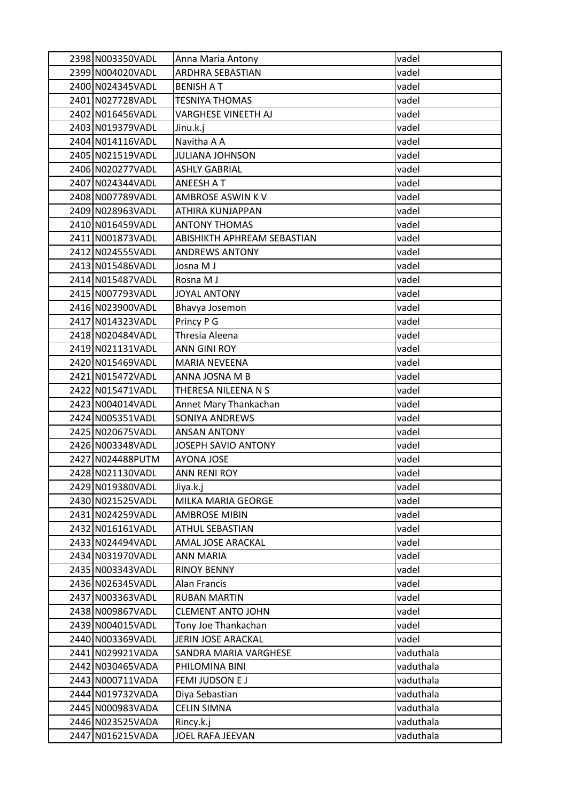| 2398 N003350VADL  | Anna Maria Antony           | vadel     |
|-------------------|-----------------------------|-----------|
| 2399 N004020VADL  | <b>ARDHRA SEBASTIAN</b>     | vadel     |
| 2400 N024345VADL  | <b>BENISH A T</b>           | vadel     |
| 2401 N027728VADL  | <b>TESNIYA THOMAS</b>       | vadel     |
| 2402 N016456VADL  | VARGHESE VINEETH AJ         | vadel     |
| 2403 N019379VADL  | Jinu.k.j                    | vadel     |
| 2404 N014116VADL  | Navitha A A                 | vadel     |
| 2405 N021519 VADL | JULIANA JOHNSON             | vadel     |
| 2406 N020277VADL  | <b>ASHLY GABRIAL</b>        | vadel     |
| 2407 N024344VADL  | ANEESH A T                  | vadel     |
| 2408 N007789VADL  | AMBROSE ASWIN KV            | vadel     |
| 2409 N028963VADL  | ATHIRA KUNJAPPAN            | vadel     |
| 2410 N016459 VADL | <b>ANTONY THOMAS</b>        | vadel     |
| 2411 N001873VADL  | ABISHIKTH APHREAM SEBASTIAN | vadel     |
| 2412 N024555VADL  | <b>ANDREWS ANTONY</b>       | vadel     |
| 2413 N015486VADL  | Josna M J                   | vadel     |
| 2414 N015487VADL  | Rosna M J                   | vadel     |
| 2415 N007793VADL  | <b>JOYAL ANTONY</b>         | vadel     |
| 2416 N023900VADL  | Bhavya Josemon              | vadel     |
| 2417 N014323VADL  | Princy P G                  | vadel     |
| 2418 N020484VADL  | Thresia Aleena              | vadel     |
| 2419 N021131VADL  | ANN GINI ROY                | vadel     |
| 2420 N015469VADL  | <b>MARIA NEVEENA</b>        | vadel     |
| 2421 N015472VADL  | ANNA JOSNA M B              | vadel     |
| 2422 N015471VADL  | THERESA NILEENA N S         | vadel     |
| 2423 N004014VADL  | Annet Mary Thankachan       | vadel     |
| 2424 N005351VADL  | <b>SONIYA ANDREWS</b>       | vadel     |
| 2425 N020675VADL  | <b>ANSAN ANTONY</b>         | vadel     |
| 2426 N003348VADL  | JOSEPH SAVIO ANTONY         | vadel     |
| 2427 N024488 PUTM | <b>AYONA JOSE</b>           | vadel     |
| 2428 N021130VADL  | <b>ANN RENI ROY</b>         | vadel     |
| 2429 N019380VADL  | Jiya.k.j                    | vadel     |
| 2430 N021525VADL  | MILKA MARIA GEORGE          | vadel     |
| 2431 N024259 VADL | <b>AMBROSE MIBIN</b>        | vadel     |
| 2432 N016161VADL  | <b>ATHUL SEBASTIAN</b>      | vadel     |
| 2433 N024494 VADL | AMAL JOSE ARACKAL           | vadel     |
| 2434 N031970VADL  | <b>ANN MARIA</b>            | vadel     |
| 2435 N003343VADL  | <b>RINOY BENNY</b>          | vadel     |
| 2436 N026345VADL  | Alan Francis                | vadel     |
| 2437 N003363VADL  | <b>RUBAN MARTIN</b>         | vadel     |
| 2438 N009867VADL  | <b>CLEMENT ANTO JOHN</b>    | vadel     |
| 2439 N004015VADL  | Tony Joe Thankachan         | vadel     |
| 2440 N003369VADL  | JERIN JOSE ARACKAL          | vadel     |
| 2441 N029921VADA  | SANDRA MARIA VARGHESE       | vaduthala |
| 2442 N030465 VADA | PHILOMINA BINI              | vaduthala |
| 2443 N000711VADA  | FEMI JUDSON E J             | vaduthala |
| 2444 N019732VADA  | Diya Sebastian              | vaduthala |
| 2445 N000983VADA  | <b>CELIN SIMNA</b>          | vaduthala |
| 2446 N023525 VADA | Rincy.k.j                   | vaduthala |
| 2447 N016215VADA  | JOEL RAFA JEEVAN            | vaduthala |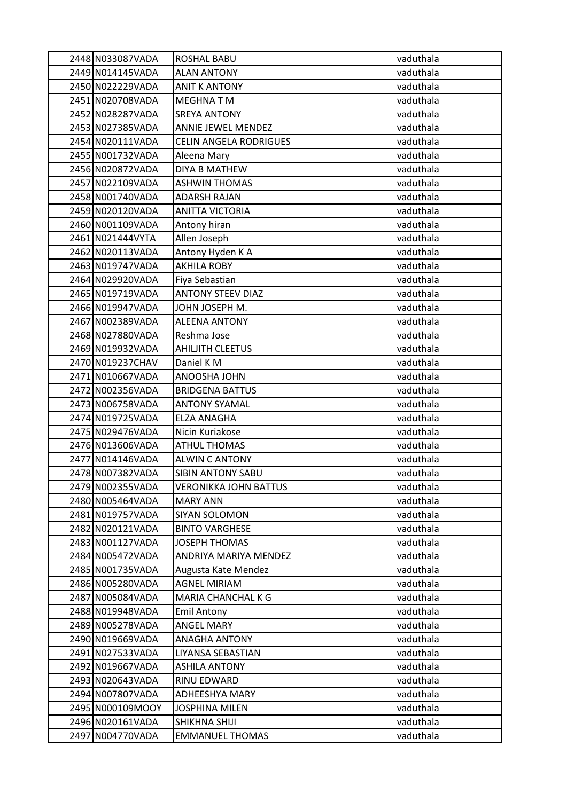| 2448 N033087VADA  | <b>ROSHAL BABU</b>            | vaduthala |
|-------------------|-------------------------------|-----------|
| 2449 N014145VADA  | <b>ALAN ANTONY</b>            | vaduthala |
| 2450 N022229 VADA | <b>ANIT K ANTONY</b>          | vaduthala |
| 2451 N020708VADA  | <b>MEGHNATM</b>               | vaduthala |
| 2452 N028287VADA  | <b>SREYA ANTONY</b>           | vaduthala |
| 2453 N027385 VADA | ANNIE JEWEL MENDEZ            | vaduthala |
| 2454 N020111VADA  | <b>CELIN ANGELA RODRIGUES</b> | vaduthala |
| 2455 N001732VADA  | Aleena Mary                   | vaduthala |
| 2456 N020872VADA  | <b>DIYA B MATHEW</b>          | vaduthala |
| 2457 N022109 VADA | <b>ASHWIN THOMAS</b>          | vaduthala |
| 2458 N001740VADA  | <b>ADARSH RAJAN</b>           | vaduthala |
| 2459 N020120VADA  | <b>ANITTA VICTORIA</b>        | vaduthala |
| 2460 N001109 VADA | Antony hiran                  | vaduthala |
| 2461 N021444VYTA  | Allen Joseph                  | vaduthala |
| 2462 N020113VADA  | Antony Hyden K A              | vaduthala |
| 2463 N019747VADA  | <b>AKHILA ROBY</b>            | vaduthala |
| 2464 N029920VADA  | Fiya Sebastian                | vaduthala |
| 2465 N019719 VADA | <b>ANTONY STEEV DIAZ</b>      | vaduthala |
| 2466 N019947VADA  | JOHN JOSEPH M.                | vaduthala |
| 2467 N002389 VADA | <b>ALEENA ANTONY</b>          | vaduthala |
| 2468 N027880VADA  | Reshma Jose                   | vaduthala |
| 2469 N019932VADA  | <b>AHILJITH CLEETUS</b>       | vaduthala |
| 2470 N019237CHAV  | Daniel K M                    | vaduthala |
| 2471 N010667VADA  | ANOOSHA JOHN                  | vaduthala |
| 2472 N002356VADA  | <b>BRIDGENA BATTUS</b>        | vaduthala |
| 2473 N006758VADA  | <b>ANTONY SYAMAL</b>          | vaduthala |
| 2474 N019725 VADA | <b>ELZA ANAGHA</b>            | vaduthala |
| 2475 N029476VADA  | Nicin Kuriakose               | vaduthala |
| 2476 N013606 VADA | <b>ATHUL THOMAS</b>           | vaduthala |
| 2477 N014146VADA  | <b>ALWIN C ANTONY</b>         | vaduthala |
| 2478 N007382VADA  | <b>SIBIN ANTONY SABU</b>      | vaduthala |
| 2479 N002355 VADA | VERONIKKA JOHN BATTUS         | vaduthala |
| 2480 N005464 VADA | <b>MARY ANN</b>               | vaduthala |
| 2481 N019757VADA  | SIYAN SOLOMON                 | vaduthala |
| 2482 N020121VADA  | <b>BINTO VARGHESE</b>         | vaduthala |
| 2483 N001127VADA  | JOSEPH THOMAS                 | vaduthala |
| 2484 N005472VADA  | ANDRIYA MARIYA MENDEZ         | vaduthala |
| 2485 N001735 VADA | Augusta Kate Mendez           | vaduthala |
| 2486 N005280VADA  | <b>AGNEL MIRIAM</b>           | vaduthala |
| 2487 N005084VADA  | MARIA CHANCHAL K G            | vaduthala |
| 2488 N019948 VADA | <b>Emil Antony</b>            | vaduthala |
| 2489 N005278VADA  | <b>ANGEL MARY</b>             | vaduthala |
| 2490 N019669VADA  | <b>ANAGHA ANTONY</b>          | vaduthala |
| 2491 N027533 VADA | LIYANSA SEBASTIAN             | vaduthala |
| 2492 N019667VADA  | <b>ASHILA ANTONY</b>          | vaduthala |
| 2493 N020643 VADA | RINU EDWARD                   | vaduthala |
| 2494 N007807VADA  | ADHEESHYA MARY                | vaduthala |
| 2495 N000109MOOY  | JOSPHINA MILEN                | vaduthala |
| 2496 N020161VADA  | SHIKHNA SHIJI                 | vaduthala |
| 2497 N004770VADA  | <b>EMMANUEL THOMAS</b>        | vaduthala |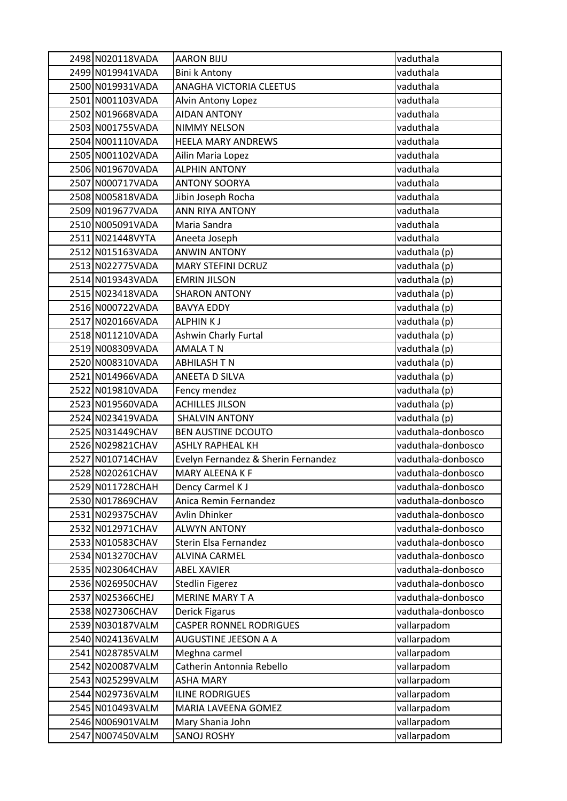| 2498 N020118VADA | <b>AARON BIJU</b>                   | vaduthala          |
|------------------|-------------------------------------|--------------------|
| 2499 N019941VADA | Bini k Antony                       | vaduthala          |
| 2500 N019931VADA | ANAGHA VICTORIA CLEETUS             | vaduthala          |
| 2501 N001103VADA | Alvin Antony Lopez                  | vaduthala          |
| 2502 N019668VADA | <b>AIDAN ANTONY</b>                 | vaduthala          |
| 2503 N001755VADA | NIMMY NELSON                        | vaduthala          |
| 2504 N001110VADA | <b>HEELA MARY ANDREWS</b>           | vaduthala          |
| 2505 N001102VADA | Ailin Maria Lopez                   | vaduthala          |
| 2506 N019670VADA | <b>ALPHIN ANTONY</b>                | vaduthala          |
| 2507 N000717VADA | <b>ANTONY SOORYA</b>                | vaduthala          |
| 2508 N005818VADA | Jibin Joseph Rocha                  | vaduthala          |
| 2509 N019677VADA | <b>ANN RIYA ANTONY</b>              | vaduthala          |
| 2510 N005091VADA | Maria Sandra                        | vaduthala          |
| 2511 N021448VYTA | Aneeta Joseph                       | vaduthala          |
| 2512 N015163VADA | <b>ANWIN ANTONY</b>                 | vaduthala (p)      |
| 2513 N022775VADA | <b>MARY STEFINI DCRUZ</b>           | vaduthala (p)      |
| 2514 N019343VADA | <b>EMRIN JILSON</b>                 | vaduthala (p)      |
| 2515 N023418VADA | <b>SHARON ANTONY</b>                | vaduthala (p)      |
| 2516 N000722VADA | <b>BAVYA EDDY</b>                   | vaduthala (p)      |
| 2517 N020166VADA | ALPHIN K J                          | vaduthala (p)      |
| 2518 N011210VADA | Ashwin Charly Furtal                | vaduthala (p)      |
| 2519 N008309VADA | <b>AMALA T N</b>                    | vaduthala (p)      |
| 2520 N008310VADA | <b>ABHILASH T N</b>                 | vaduthala (p)      |
| 2521 N014966VADA | ANEETA D SILVA                      | vaduthala (p)      |
| 2522 N019810VADA | Fency mendez                        | vaduthala (p)      |
| 2523 N019560VADA | <b>ACHILLES JILSON</b>              | vaduthala (p)      |
| 2524 N023419VADA | <b>SHALVIN ANTONY</b>               | vaduthala (p)      |
| 2525 N031449CHAV | <b>BEN AUSTINE DCOUTO</b>           | vaduthala-donbosco |
| 2526 N029821CHAV | <b>ASHLY RAPHEAL KH</b>             | vaduthala-donbosco |
| 2527 N010714CHAV | Evelyn Fernandez & Sherin Fernandez | vaduthala-donbosco |
| 2528 N020261CHAV | <b>MARY ALEENA K F</b>              | vaduthala-donbosco |
| 2529 N011728CHAH | Dency Carmel K J                    | vaduthala-donbosco |
| 2530 N017869CHAV | Anica Remin Fernandez               | vaduthala-donbosco |
| 2531 N029375CHAV | Avlin Dhinker                       | vaduthala-donbosco |
| 2532 N012971CHAV | <b>ALWYN ANTONY</b>                 | vaduthala-donbosco |
| 2533 N010583CHAV | Sterin Elsa Fernandez               | vaduthala-donbosco |
| 2534 N013270CHAV | <b>ALVINA CARMEL</b>                | vaduthala-donbosco |
| 2535 N023064CHAV | <b>ABEL XAVIER</b>                  | vaduthala-donbosco |
| 2536 N026950CHAV | <b>Stedlin Figerez</b>              | vaduthala-donbosco |
| 2537 N025366CHEJ | <b>MERINE MARY TA</b>               | vaduthala-donbosco |
| 2538 N027306CHAV | Derick Figarus                      | vaduthala-donbosco |
| 2539 N030187VALM | <b>CASPER RONNEL RODRIGUES</b>      | vallarpadom        |
| 2540 N024136VALM | AUGUSTINE JEESON A A                | vallarpadom        |
| 2541 N028785VALM | Meghna carmel                       | vallarpadom        |
| 2542 N020087VALM | Catherin Antonnia Rebello           | vallarpadom        |
| 2543 N025299VALM | <b>ASHA MARY</b>                    | vallarpadom        |
| 2544 N029736VALM | <b>ILINE RODRIGUES</b>              | vallarpadom        |
| 2545 N010493VALM | MARIA LAVEENA GOMEZ                 | vallarpadom        |
| 2546 N006901VALM | Mary Shania John                    | vallarpadom        |
| 2547 N007450VALM | <b>SANOJ ROSHY</b>                  | vallarpadom        |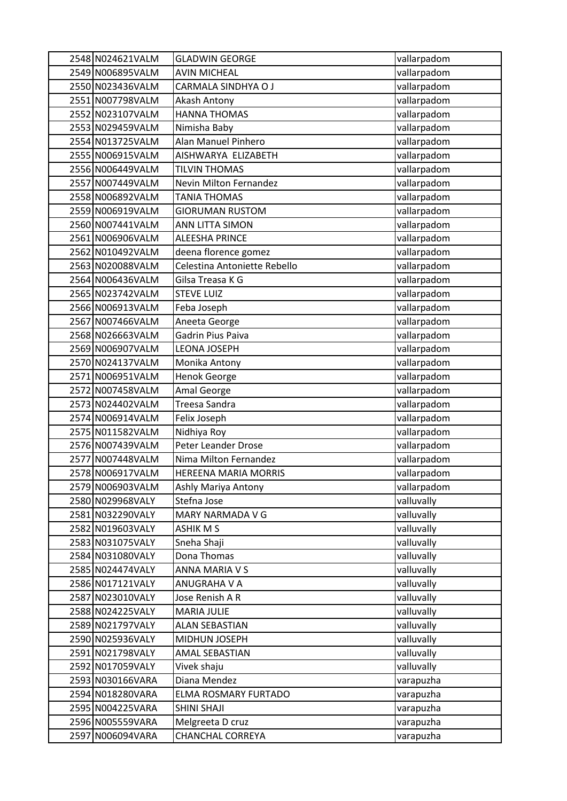| 2548 N024621VALM                     | <b>GLADWIN GEORGE</b>               | vallarpadom            |
|--------------------------------------|-------------------------------------|------------------------|
| 2549 N006895VALM                     | <b>AVIN MICHEAL</b>                 | vallarpadom            |
| 2550 N023436VALM                     | CARMALA SINDHYA O J                 | vallarpadom            |
| 2551 N007798VALM                     | Akash Antony                        | vallarpadom            |
| 2552 N023107VALM                     | <b>HANNA THOMAS</b>                 | vallarpadom            |
| 2553 N029459VALM                     | Nimisha Baby                        | vallarpadom            |
| 2554 N013725VALM                     | Alan Manuel Pinhero                 | vallarpadom            |
| 2555 N006915VALM                     | AISHWARYA ELIZABETH                 | vallarpadom            |
| 2556 N006449VALM                     | <b>TILVIN THOMAS</b>                | vallarpadom            |
| 2557 N007449VALM                     | <b>Nevin Milton Fernandez</b>       | vallarpadom            |
| 2558 N006892VALM                     | <b>TANIA THOMAS</b>                 | vallarpadom            |
| 2559 N006919VALM                     | <b>GIORUMAN RUSTOM</b>              | vallarpadom            |
| 2560 N007441VALM                     | ANN LITTA SIMON                     | vallarpadom            |
| 2561 N006906VALM                     | ALEESHA PRINCE                      | vallarpadom            |
| 2562 N010492VALM                     | deena florence gomez                | vallarpadom            |
| 2563 N020088VALM                     | Celestina Antoniette Rebello        | vallarpadom            |
| 2564 N006436VALM                     | Gilsa Treasa K G                    | vallarpadom            |
| 2565 N023742VALM                     | <b>STEVE LUIZ</b>                   | vallarpadom            |
| 2566 N006913VALM                     | Feba Joseph                         | vallarpadom            |
| 2567 N007466VALM                     | Aneeta George                       | vallarpadom            |
| 2568 N026663VALM                     | Gadrin Pius Paiva                   | vallarpadom            |
| 2569 N006907VALM                     | LEONA JOSEPH                        | vallarpadom            |
| 2570 N024137VALM                     | Monika Antony                       | vallarpadom            |
| 2571 N006951VALM                     | <b>Henok George</b>                 | vallarpadom            |
| 2572 N007458VALM                     | Amal George                         | vallarpadom            |
| 2573 N024402VALM                     | Treesa Sandra                       | vallarpadom            |
| 2574 N006914VALM                     | Felix Joseph                        | vallarpadom            |
| 2575 N011582VALM                     | Nidhiya Roy                         | vallarpadom            |
| 2576 N007439VALM                     | Peter Leander Drose                 | vallarpadom            |
| 2577 N007448VALM                     | Nima Milton Fernandez               | vallarpadom            |
| 2578 N006917VALM                     | <b>HEREENA MARIA MORRIS</b>         | vallarpadom            |
| 2579 N006903VALM                     | Ashly Mariya Antony                 | vallarpadom            |
| 2580 N029968VALY                     | Stefna Jose                         | valluvally             |
| 2581 N032290VALY                     | MARY NARMADA V G                    | valluvally             |
| 2582 N019603VALY                     | <b>ASHIK M S</b>                    | valluvally             |
| 2583 N031075VALY                     | Sneha Shaji                         | valluvally             |
| 2584 N031080VALY                     | Dona Thomas                         | valluvally             |
| 2585 N024474VALY                     | <b>ANNA MARIA V S</b>               | valluvally             |
| 2586 N017121VALY                     | ANUGRAHA V A                        | valluvally             |
| 2587 N023010VALY                     | Jose Renish A R                     | valluvally             |
| 2588 N024225VALY                     | <b>MARIA JULIE</b>                  | valluvally             |
| 2589 N021797VALY                     | <b>ALAN SEBASTIAN</b>               | valluvally             |
| 2590 N025936VALY                     | MIDHUN JOSEPH                       | valluvally             |
| 2591 N021798VALY                     | <b>AMAL SEBASTIAN</b>               | valluvally             |
| 2592 N017059VALY                     | Vivek shaju<br>Diana Mendez         | valluvally             |
| 2593 N030166VARA                     |                                     | varapuzha              |
| 2594 N018280VARA<br>2595 N004225VARA | ELMA ROSMARY FURTADO<br>SHINI SHAJI | varapuzha              |
| 2596 N005559VARA                     | Melgreeta D cruz                    | varapuzha<br>varapuzha |
|                                      |                                     |                        |
| 2597 N006094VARA                     | CHANCHAL CORREYA                    | varapuzha              |